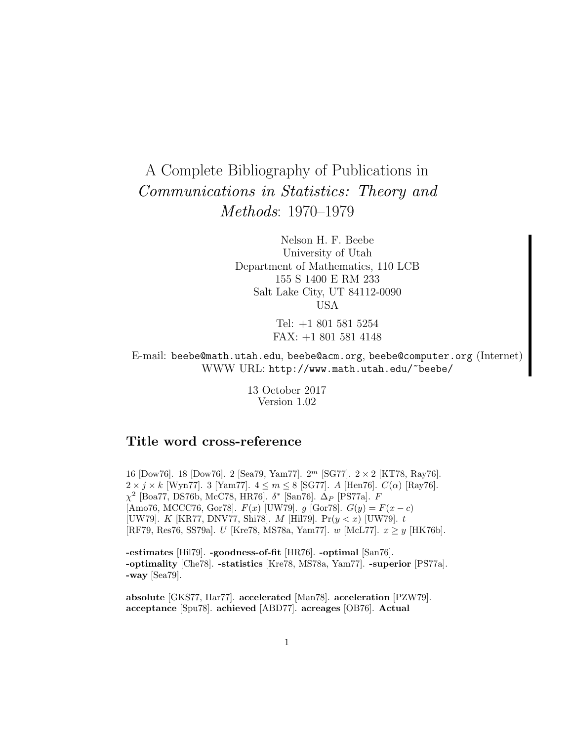# A Complete Bibliography of Publications in Communications in Statistics: Theory and Methods: 1970–1979

Nelson H. F. Beebe University of Utah Department of Mathematics, 110 LCB 155 S 1400 E RM 233 Salt Lake City, UT 84112-0090 USA

> Tel: +1 801 581 5254 FAX: +1 801 581 4148

E-mail: beebe@math.utah.edu, beebe@acm.org, beebe@computer.org (Internet) WWW URL: http://www.math.utah.edu/~beebe/

> 13 October 2017 Version 1.02

# **Title word cross-reference**

16 [Dow76]. 18 [Dow76]. 2 [Sea79, Yam77].  $2^m$  [SG77].  $2 \times 2$  [KT78, Ray76].  $2 \times j \times k$  [Wyn77]. 3 [Yam77].  $4 \leq m \leq 8$  [SG77]. A [Hen76].  $C(\alpha)$  [Ray76].  $\chi^2$  [Boa77, DS76b, McC78, HR76].  $\delta^*$  [San76].  $\Delta_P$  [PS77a]. F [Amo76, MCCC76, Gor78].  $F(x)$  [UW79].  $g$  [Gor78].  $G(y) = F(x - c)$ [UW79]. K [KR77, DNV77, Shi78]. M [Hil79]. Pr $(y < x)$  [UW79]. t [RF79, Res76, SS79a]. U [Kre78, MS78a, Yam77]. w [McL77].  $x \ge y$  [HK76b].

**-estimates** [Hil79]. **-goodness-of-fit** [HR76]. **-optimal** [San76]. **-optimality** [Che78]. **-statistics** [Kre78, MS78a, Yam77]. **-superior** [PS77a]. **-way** [Sea79].

**absolute** [GKS77, Har77]. **accelerated** [Man78]. **acceleration** [PZW79]. **acceptance** [Spu78]. **achieved** [ABD77]. **acreages** [OB76]. **Actual**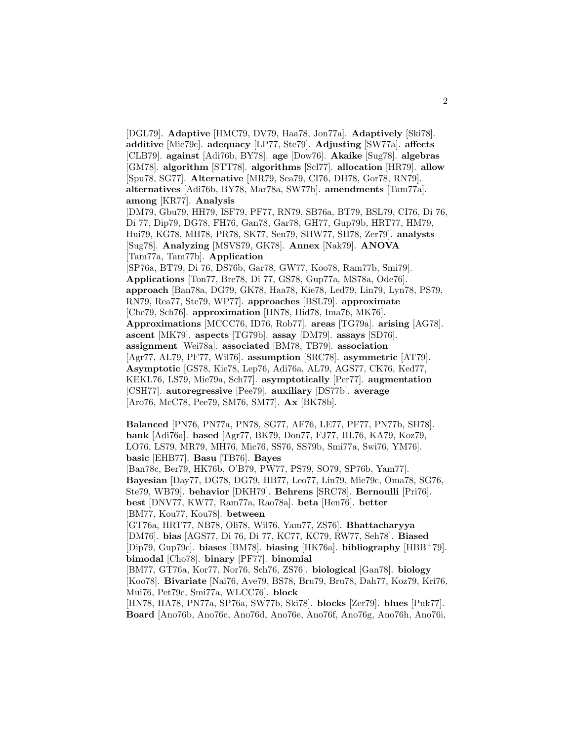[DGL79]. **Adaptive** [HMC79, DV79, Haa78, Jon77a]. **Adaptively** [Ski78]. **additive** [Mie79c]. **adequacy** [LP77, Ste79]. **Adjusting** [SW77a]. **affects** [CLB79]. **against** [Adi76b, BY78]. **age** [Dow76]. **Akaike** [Sug78]. **algebras** [GM78]. **algorithm** [STT78]. **algorithms** [Scl77]. **allocation** [HR79]. **allow** [Spu78, SG77]. **Alternative** [MR79, Sea79, CI76, DH78, Gor78, RN79]. **alternatives** [Adi76b, BY78, Mar78a, SW77b]. **amendments** [Tam77a]. **among** [KR77]. **Analysis** [DM79, Gbu79, HH79, ISF79, PF77, RN79, SB76a, BT79, BSL79, CI76, Di 76, Di 77, Dip79, DG78, FH76, Gan78, Gar78, GH77, Gup79b, HRT77, HM79, Hui79, KG78, MH78, PR78, SK77, Sen79, SHW77, SH78, Zer79]. **analysts** [Sug78]. **Analyzing** [MSVS79, GK78]. **Annex** [Nak79]. **ANOVA** [Tam77a, Tam77b]. **Application** [SP76a, BT79, Di 76, DS76b, Gar78, GW77, Koo78, Ram77b, Smi79]. **Applications** [Ton77, Bre78, Di 77, GS78, Gup77a, MS78a, Ode76]. **approach** [Ban78a, DG79, GK78, Haa78, Kie78, Led79, Lin79, Lyn78, PS79, RN79, Rea77, Ste79, WP77]. **approaches** [BSL79]. **approximate** [Che79, Sch76]. **approximation** [HN78, Hid78, Ima76, MK76]. **Approximations** [MCCC76, ID76, Rob77]. **areas** [TG79a]. **arising** [AG78]. **ascent** [MK79]. **aspects** [TG79b]. **assay** [DM79]. **assays** [SD76]. **assignment** [Wei78a]. **associated** [BM78, TB79]. **association** [Agr77, AL79, PF77, Wil76]. **assumption** [SRC78]. **asymmetric** [AT79]. **Asymptotic** [GS78, Kie78, Lep76, Adi76a, AL79, AGS77, CK76, Ked77, KEKL76, LS79, Mie79a, Sch77]. **asymptotically** [Per77]. **augmentation** [CSH77]. **autoregressive** [Pee79]. **auxiliary** [DS77b]. **average** [Aro76, McC78, Pee79, SM76, SM77]. **Ax** [BK78b].

**Balanced** [PN76, PN77a, PN78, SG77, AF76, LE77, PF77, PN77b, SH78]. **bank** [Adi76a]. **based** [Agr77, BK79, Don77, FJ77, HL76, KA79, Koz79, LO76, LS79, MR79, MH76, Mic76, SS76, SS79b, Smi77a, Swi76, YM76]. **basic** [EHB77]. **Basu** [TB76]. **Bayes** [Ban78c, Ber79, HK76b, O'B79, PW77, PS79, SO79, SP76b, Yam77]. **Bayesian** [Day77, DG78, DG79, HB77, Leo77, Lin79, Mie79c, Oma78, SG76, Ste79, WB79]. **behavior** [DKH79]. **Behrens** [SRC78]. **Bernoulli** [Pri76]. **best** [DNV77, KW77, Ram77a, Rao78a]. **beta** [Hen76]. **better** [BM77, Kou77, Kou78]. **between** [GT76a, HRT77, NB78, Oli78, Wil76, Yam77, ZS76]. **Bhattacharyya** [DM76]. **bias** [AGS77, Di 76, Di 77, KC77, KC79, RW77, Seh78]. **Biased** [Dip79, Gup79c]. **biases** [BM78]. **biasing** [HK76a]. **bibliography** [HBB<sup>+</sup>79]. **bimodal** [Cho78]. **binary** [PF77]. **binomial** [BM77, GT76a, Kor77, Nor76, Sch76, ZS76]. **biological** [Gan78]. **biology** [Koo78]. **Bivariate** [Nai76, Ave79, BS78, Bru79, Bru78, Dah77, Koz79, Kri76, Mui76, Pet79c, Smi77a, WLCC76]. **block**

[HN78, HA78, PN77a, SP76a, SW77b, Ski78]. **blocks** [Zer79]. **blues** [Puk77]. **Board** [Ano76b, Ano76c, Ano76d, Ano76e, Ano76f, Ano76g, Ano76h, Ano76i,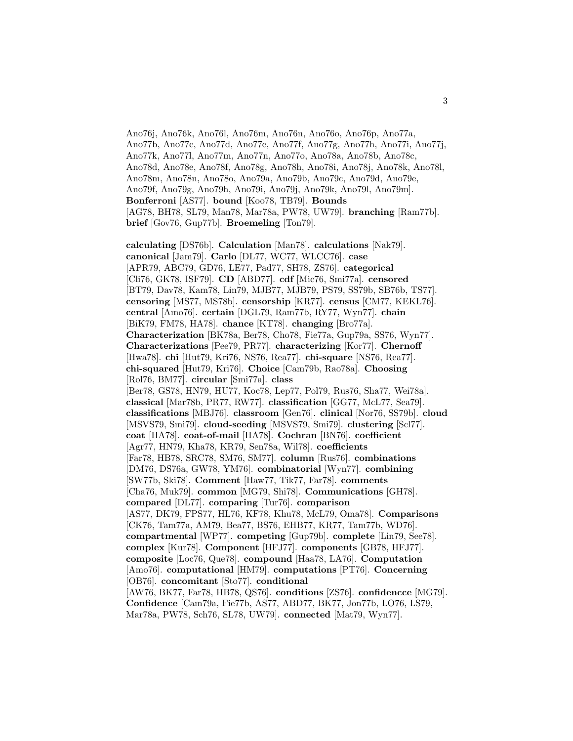Ano76j, Ano76k, Ano76l, Ano76m, Ano76n, Ano76o, Ano76p, Ano77a, Ano77b, Ano77c, Ano77d, Ano77e, Ano77f, Ano77g, Ano77h, Ano77i, Ano77j, Ano77k, Ano77l, Ano77m, Ano77n, Ano77o, Ano78a, Ano78b, Ano78c, Ano78d, Ano78e, Ano78f, Ano78g, Ano78h, Ano78i, Ano78j, Ano78k, Ano78l, Ano78m, Ano78n, Ano78o, Ano79a, Ano79b, Ano79c, Ano79d, Ano79e, Ano79f, Ano79g, Ano79h, Ano79i, Ano79j, Ano79k, Ano79l, Ano79m]. **Bonferroni** [AS77]. **bound** [Koo78, TB79]. **Bounds** [AG78, BH78, SL79, Man78, Mar78a, PW78, UW79]. **branching** [Ram77b]. **brief** [Gov76, Gup77b]. **Broemeling** [Ton79].

**calculating** [DS76b]. **Calculation** [Man78]. **calculations** [Nak79]. **canonical** [Jam79]. **Carlo** [DL77, WC77, WLCC76]. **case** [APR79, ABC79, GD76, LE77, Pad77, SH78, ZS76]. **categorical** [Cli76, GK78, ISF79]. **CD** [ABD77]. **cdf** [Mic76, Smi77a]. **censored** [BT79, Dav78, Kam78, Lin79, MJB77, MJB79, PS79, SS79b, SB76b, TS77]. **censoring** [MS77, MS78b]. **censorship** [KR77]. **census** [CM77, KEKL76]. **central** [Amo76]. **certain** [DGL79, Ram77b, RY77, Wyn77]. **chain** [BiK79, FM78, HA78]. **chance** [KT78]. **changing** [Bro77a]. **Characterization** [BK78a, Ber78, Cho78, Fie77a, Gup79a, SS76, Wyn77]. **Characterizations** [Pee79, PR77]. **characterizing** [Kor77]. **Chernoff** [Hwa78]. **chi** [Hut79, Kri76, NS76, Rea77]. **chi-square** [NS76, Rea77]. **chi-squared** [Hut79, Kri76]. **Choice** [Cam79b, Rao78a]. **Choosing** [Rol76, BM77]. **circular** [Smi77a]. **class** [Ber78, GS78, HN79, HU77, Koc78, Lep77, Pol79, Rus76, Sha77, Wei78a]. **classical** [Mar78b, PR77, RW77]. **classification** [GG77, McL77, Sea79]. **classifications** [MBJ76]. **classroom** [Gen76]. **clinical** [Nor76, SS79b]. **cloud** [MSVS79, Smi79]. **cloud-seeding** [MSVS79, Smi79]. **clustering** [Scl77]. **coat** [HA78]. **coat-of-mail** [HA78]. **Cochran** [BN76]. **coefficient** [Agr77, HN79, Kha78, KR79, Sen78a, Wil78]. **coefficients** [Far78, HB78, SRC78, SM76, SM77]. **column** [Rus76]. **combinations** [DM76, DS76a, GW78, YM76]. **combinatorial** [Wyn77]. **combining** [SW77b, Ski78]. **Comment** [Haw77, Tik77, Far78]. **comments** [Cha76, Muk79]. **common** [MG79, Shi78]. **Communications** [GH78]. **compared** [DL77]. **comparing** [Tur76]. **comparison** [AS77, DK79, FPS77, HL76, KF78, Khu78, McL79, Oma78]. **Comparisons** [CK76, Tam77a, AM79, Bea77, BS76, EHB77, KR77, Tam77b, WD76]. **compartmental** [WP77]. **competing** [Gup79b]. **complete** [Lin79, See78]. **complex** [Kur78]. **Component** [HFJ77]. **components** [GB78, HFJ77]. **composite** [Loc76, Que78]. **compound** [Haa78, LA76]. **Computation** [Amo76]. **computational** [HM79]. **computations** [PT76]. **Concerning** [OB76]. **concomitant** [Sto77]. **conditional** [AW76, BK77, Far78, HB78, QS76]. **conditions** [ZS76]. **confidencce** [MG79]. **Confidence** [Cam79a, Fie77b, AS77, ABD77, BK77, Jon77b, LO76, LS79, Mar78a, PW78, Sch76, SL78, UW79]. **connected** [Mat79, Wyn77].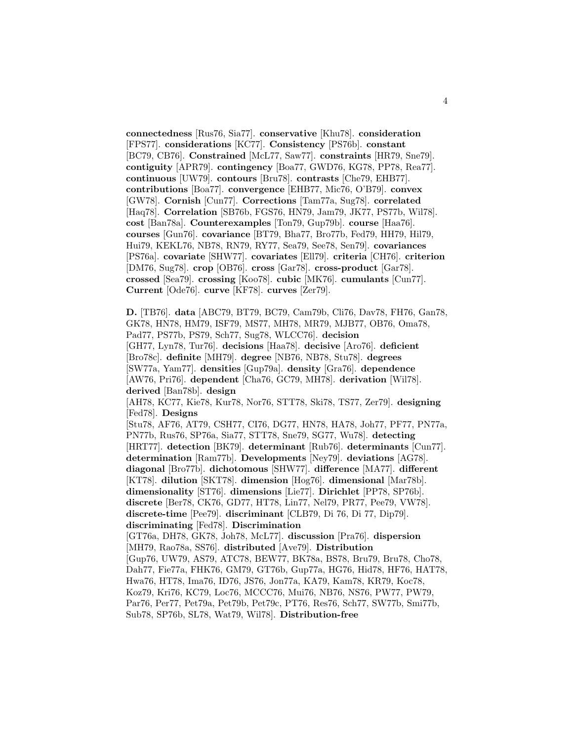**connectedness** [Rus76, Sia77]. **conservative** [Khu78]. **consideration** [FPS77]. **considerations** [KC77]. **Consistency** [PS76b]. **constant** [BC79, CB76]. **Constrained** [McL77, Saw77]. **constraints** [HR79, Sne79]. **contiguity** [APR79]. **contingency** [Boa77, GWD76, KG78, PP78, Rea77]. **continuous** [UW79]. **contours** [Bru78]. **contrasts** [Che79, EHB77]. **contributions** [Boa77]. **convergence** [EHB77, Mic76, O'B79]. **convex** [GW78]. **Cornish** [Cun77]. **Corrections** [Tam77a, Sug78]. **correlated** [Haq78]. **Correlation** [SB76b, FGS76, HN79, Jam79, JK77, PS77b, Wil78]. **cost** [Ban78a]. **Counterexamples** [Ton79, Gup79b]. **course** [Haa76]. **courses** [Gun76]. **covariance** [BT79, Bha77, Bro77b, Fed79, HH79, Hil79, Hui79, KEKL76, NB78, RN79, RY77, Sea79, See78, Sen79]. **covariances** [PS76a]. **covariate** [SHW77]. **covariates** [Ell79]. **criteria** [CH76]. **criterion** [DM76, Sug78]. **crop** [OB76]. **cross** [Gar78]. **cross-product** [Gar78]. **crossed** [Sea79]. **crossing** [Koo78]. **cubic** [MK76]. **cumulants** [Cun77]. **Current** [Ode76]. **curve** [KF78]. **curves** [Zer79].

**D.** [TB76]. **data** [ABC79, BT79, BC79, Cam79b, Cli76, Dav78, FH76, Gan78, GK78, HN78, HM79, ISF79, MS77, MH78, MR79, MJB77, OB76, Oma78, Pad77, PS77b, PS79, Sch77, Sug78, WLCC76]. **decision** [GH77, Lyn78, Tur76]. **decisions** [Haa78]. **decisive** [Aro76]. **deficient** [Bro78c]. **definite** [MH79]. **degree** [NB76, NB78, Stu78]. **degrees** [SW77a, Yam77]. **densities** [Gup79a]. **density** [Gra76]. **dependence** [AW76, Pri76]. **dependent** [Cha76, GC79, MH78]. **derivation** [Wil78]. **derived** [Ban78b]. **design** [AH78, KC77, Kie78, Kur78, Nor76, STT78, Ski78, TS77, Zer79]. **designing** [Fed78]. **Designs** [Stu78, AF76, AT79, CSH77, CI76, DG77, HN78, HA78, Joh77, PF77, PN77a, PN77b, Rus76, SP76a, Sia77, STT78, Sne79, SG77, Wu78]. **detecting** [HRT77]. **detection** [BK79]. **determinant** [Rub76]. **determinants** [Cun77]. **determination** [Ram77b]. **Developments** [Ney79]. **deviations** [AG78]. **diagonal** [Bro77b]. **dichotomous** [SHW77]. **difference** [MA77]. **different** [KT78]. **dilution** [SKT78]. **dimension** [Hog76]. **dimensional** [Mar78b]. **dimensionality** [ST76]. **dimensions** [Lie77]. **Dirichlet** [PP78, SP76b]. **discrete** [Ber78, CK76, GD77, HT78, Lin77, Nel79, PR77, Pee79, VW78]. **discrete-time** [Pee79]. **discriminant** [CLB79, Di 76, Di 77, Dip79]. **discriminating** [Fed78]. **Discrimination** [GT76a, DH78, GK78, Joh78, McL77]. **discussion** [Pra76]. **dispersion** [MH79, Rao78a, SS76]. **distributed** [Ave79]. **Distribution** [Gup76, UW79, AS79, ATC78, BEW77, BK78a, BS78, Bru79, Bru78, Cho78, Dah77, Fie77a, FHK76, GM79, GT76b, Gup77a, HG76, Hid78, HF76, HAT78, Hwa76, HT78, Ima76, ID76, JS76, Jon77a, KA79, Kam78, KR79, Koc78, Koz79, Kri76, KC79, Loc76, MCCC76, Mui76, NB76, NS76, PW77, PW79, Par76, Per77, Pet79a, Pet79b, Pet79c, PT76, Res76, Sch77, SW77b, Smi77b,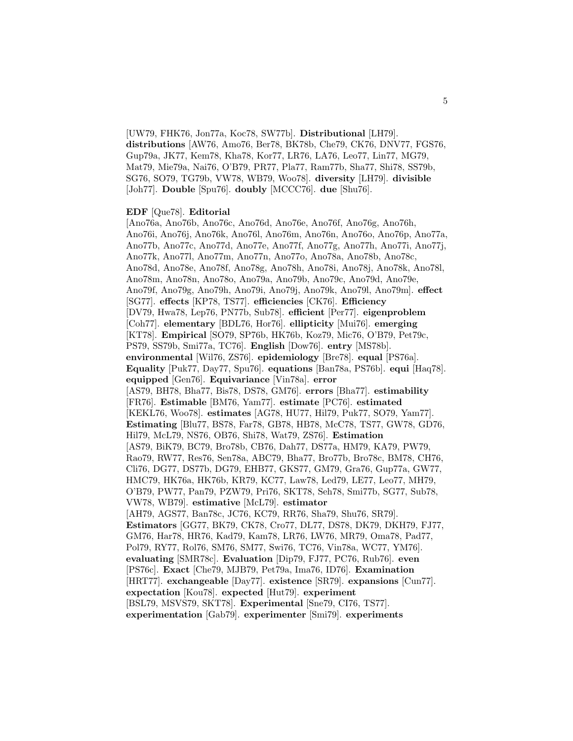[UW79, FHK76, Jon77a, Koc78, SW77b]. **Distributional** [LH79]. **distributions** [AW76, Amo76, Ber78, BK78b, Che79, CK76, DNV77, FGS76, Gup79a, JK77, Kem78, Kha78, Kor77, LR76, LA76, Leo77, Lin77, MG79, Mat79, Mie79a, Nai76, O'B79, PR77, Pla77, Ram77b, Sha77, Shi78, SS79b, SG76, SO79, TG79b, VW78, WB79, Woo78]. **diversity** [LH79]. **divisible** [Joh77]. **Double** [Spu76]. **doubly** [MCCC76]. **due** [Shu76].

#### **EDF** [Que78]. **Editorial**

[Ano76a, Ano76b, Ano76c, Ano76d, Ano76e, Ano76f, Ano76g, Ano76h, Ano76i, Ano76j, Ano76k, Ano76l, Ano76m, Ano76n, Ano76o, Ano76p, Ano77a, Ano77b, Ano77c, Ano77d, Ano77e, Ano77f, Ano77g, Ano77h, Ano77i, Ano77j, Ano77k, Ano77l, Ano77m, Ano77n, Ano77o, Ano78a, Ano78b, Ano78c, Ano78d, Ano78e, Ano78f, Ano78g, Ano78h, Ano78i, Ano78j, Ano78k, Ano78l, Ano78m, Ano78n, Ano78o, Ano79a, Ano79b, Ano79c, Ano79d, Ano79e, Ano79f, Ano79g, Ano79h, Ano79i, Ano79j, Ano79k, Ano79l, Ano79m]. **effect** [SG77]. **effects** [KP78, TS77]. **efficiencies** [CK76]. **Efficiency** [DV79, Hwa78, Lep76, PN77b, Sub78]. **efficient** [Per77]. **eigenproblem** [Coh77]. **elementary** [BDL76, Hor76]. **ellipticity** [Mui76]. **emerging** [KT78]. **Empirical** [SO79, SP76b, HK76b, Koz79, Mic76, O'B79, Pet79c, PS79, SS79b, Smi77a, TC76]. **English** [Dow76]. **entry** [MS78b]. **environmental** [Wil76, ZS76]. **epidemiology** [Bre78]. **equal** [PS76a]. **Equality** [Puk77, Day77, Spu76]. **equations** [Ban78a, PS76b]. **equi** [Haq78]. **equipped** [Gen76]. **Equivariance** [Vin78a]. **error** [AS79, BH78, Bha77, Bis78, DS78, GM76]. **errors** [Bha77]. **estimability** [FR76]. **Estimable** [BM76, Yam77]. **estimate** [PC76]. **estimated** [KEKL76, Woo78]. **estimates** [AG78, HU77, Hil79, Puk77, SO79, Yam77]. **Estimating** [Blu77, BS78, Far78, GB78, HB78, McC78, TS77, GW78, GD76, Hil79, McL79, NS76, OB76, Shi78, Wat79, ZS76]. **Estimation** [AS79, BiK79, BC79, Bro78b, CB76, Dah77, DS77a, HM79, KA79, PW79, Rao79, RW77, Res76, Sen78a, ABC79, Bha77, Bro77b, Bro78c, BM78, CH76, Cli76, DG77, DS77b, DG79, EHB77, GKS77, GM79, Gra76, Gup77a, GW77, HMC79, HK76a, HK76b, KR79, KC77, Law78, Led79, LE77, Leo77, MH79, O'B79, PW77, Pan79, PZW79, Pri76, SKT78, Seh78, Smi77b, SG77, Sub78, VW78, WB79]. **estimative** [McL79]. **estimator** [AH79, AGS77, Ban78c, JC76, KC79, RR76, Sha79, Shu76, SR79]. **Estimators** [GG77, BK79, CK78, Cro77, DL77, DS78, DK79, DKH79, FJ77, GM76, Har78, HR76, Kad79, Kam78, LR76, LW76, MR79, Oma78, Pad77, Pol79, RY77, Rol76, SM76, SM77, Swi76, TC76, Vin78a, WC77, YM76]. **evaluating** [SMR78c]. **Evaluation** [Dip79, FJ77, PC76, Rub76]. **even** [PS76c]. **Exact** [Che79, MJB79, Pet79a, Ima76, ID76]. **Examination** [HRT77]. **exchangeable** [Day77]. **existence** [SR79]. **expansions** [Cun77]. **expectation** [Kou78]. **expected** [Hut79]. **experiment** [BSL79, MSVS79, SKT78]. **Experimental** [Sne79, CI76, TS77].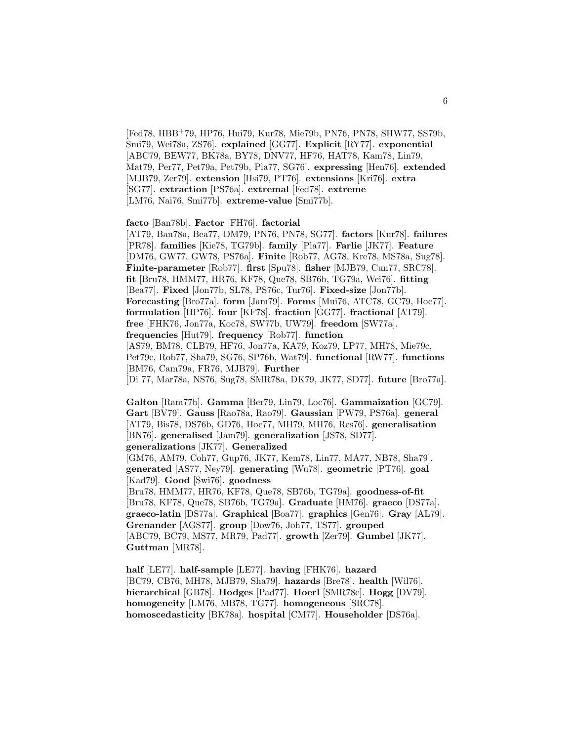[Fed78, HBB<sup>+</sup>79, HP76, Hui79, Kur78, Mie79b, PN76, PN78, SHW77, SS79b, Smi79, Wei78a, ZS76]. **explained** [GG77]. **Explicit** [RY77]. **exponential** [ABC79, BEW77, BK78a, BY78, DNV77, HF76, HAT78, Kam78, Lin79, Mat79, Per77, Pet79a, Pet79b, Pla77, SG76]. **expressing** [Hen76]. **extended** [MJB79, Zer79]. **extension** [Hsi79, PT76]. **extensions** [Kri76]. **extra** [SG77]. **extraction** [PS76a]. **extremal** [Fed78]. **extreme** [LM76, Nai76, Smi77b]. **extreme-value** [Smi77b].

**facto** [Ban78b]. **Factor** [FH76]. **factorial**

[AT79, Ban78a, Bea77, DM79, PN76, PN78, SG77]. **factors** [Kur78]. **failures** [PR78]. **families** [Kie78, TG79b]. **family** [Pla77]. **Farlie** [JK77]. **Feature** [DM76, GW77, GW78, PS76a]. **Finite** [Rob77, AG78, Kre78, MS78a, Sug78]. **Finite-parameter** [Rob77]. **first** [Spu78]. **fisher** [MJB79, Cun77, SRC78]. **fit** [Bru78, HMM77, HR76, KF78, Que78, SB76b, TG79a, Wei76]. **fitting** [Bea77]. **Fixed** [Jon77b, SL78, PS76c, Tur76]. **Fixed-size** [Jon77b]. **Forecasting** [Bro77a]. **form** [Jam79]. **Forms** [Mui76, ATC78, GC79, Hoc77]. **formulation** [HP76]. **four** [KF78]. **fraction** [GG77]. **fractional** [AT79]. **free** [FHK76, Jon77a, Koc78, SW77b, UW79]. **freedom** [SW77a]. **frequencies** [Hut79]. **frequency** [Rob77]. **function** [AS79, BM78, CLB79, HF76, Jon77a, KA79, Koz79, LP77, MH78, Mie79c, Pet79c, Rob77, Sha79, SG76, SP76b, Wat79]. **functional** [RW77]. **functions** [BM76, Cam79a, FR76, MJB79]. **Further** [Di 77, Mar78a, NS76, Sug78, SMR78a, DK79, JK77, SD77]. **future** [Bro77a].

**Galton** [Ram77b]. **Gamma** [Ber79, Lin79, Loc76]. **Gammaization** [GC79]. **Gart** [BV79]. **Gauss** [Rao78a, Rao79]. **Gaussian** [PW79, PS76a]. **general** [AT79, Bis78, DS76b, GD76, Hoc77, MH79, MH76, Res76]. **generalisation** [BN76]. **generalised** [Jam79]. **generalization** [JS78, SD77]. **generalizations** [JK77]. **Generalized**

[GM76, AM79, Coh77, Gup76, JK77, Kem78, Lin77, MA77, NB78, Sha79]. **generated** [AS77, Ney79]. **generating** [Wu78]. **geometric** [PT76]. **goal** [Kad79]. **Good** [Swi76]. **goodness**

[Bru78, HMM77, HR76, KF78, Que78, SB76b, TG79a]. **goodness-of-fit** [Bru78, KF78, Que78, SB76b, TG79a]. **Graduate** [HM76]. **graeco** [DS77a]. **graeco-latin** [DS77a]. **Graphical** [Boa77]. **graphics** [Gen76]. **Gray** [AL79]. **Grenander** [AGS77]. **group** [Dow76, Joh77, TS77]. **grouped** [ABC79, BC79, MS77, MR79, Pad77]. **growth** [Zer79]. **Gumbel** [JK77]. **Guttman** [MR78].

**half** [LE77]. **half-sample** [LE77]. **having** [FHK76]. **hazard** [BC79, CB76, MH78, MJB79, Sha79]. **hazards** [Bre78]. **health** [Wil76]. **hierarchical** [GB78]. **Hodges** [Pad77]. **Hoerl** [SMR78c]. **Hogg** [DV79]. **homogeneity** [LM76, MB78, TG77]. **homogeneous** [SRC78]. **homoscedasticity** [BK78a]. **hospital** [CM77]. **Householder** [DS76a].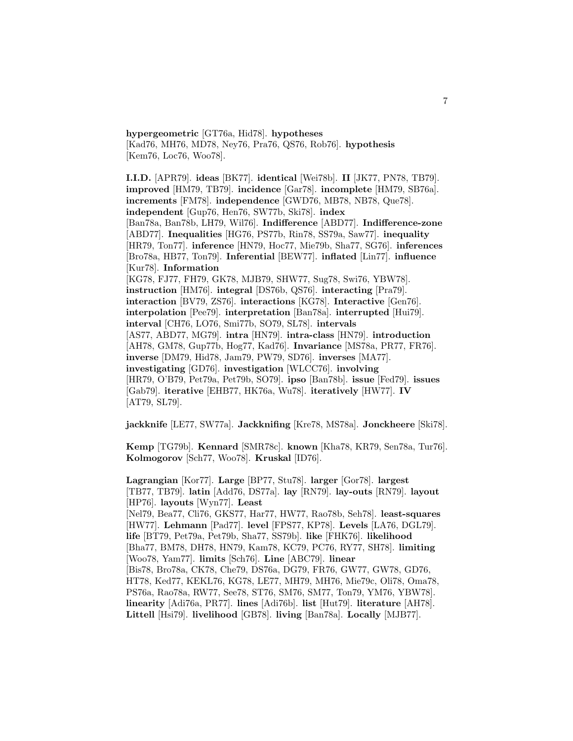**hypergeometric** [GT76a, Hid78]. **hypotheses** [Kad76, MH76, MD78, Ney76, Pra76, QS76, Rob76]. **hypothesis** [Kem76, Loc76, Woo78].

**I.I.D.** [APR79]. **ideas** [BK77]. **identical** [Wei78b]. **II** [JK77, PN78, TB79]. **improved** [HM79, TB79]. **incidence** [Gar78]. **incomplete** [HM79, SB76a]. **increments** [FM78]. **independence** [GWD76, MB78, NB78, Que78]. **independent** [Gup76, Hen76, SW77b, Ski78]. **index** [Ban78a, Ban78b, LH79, Wil76]. **Indifference** [ABD77]. **Indifference-zone** [ABD77]. **Inequalities** [HG76, PS77b, Rin78, SS79a, Saw77]. **inequality** [HR79, Ton77]. **inference** [HN79, Hoc77, Mie79b, Sha77, SG76]. **inferences** [Bro78a, HB77, Ton79]. **Inferential** [BEW77]. **inflated** [Lin77]. **influence** [Kur78]. **Information** [KG78, FJ77, FH79, GK78, MJB79, SHW77, Sug78, Swi76, YBW78]. **instruction** [HM76]. **integral** [DS76b, QS76]. **interacting** [Pra79]. **interaction** [BV79, ZS76]. **interactions** [KG78]. **Interactive** [Gen76]. **interpolation** [Pee79]. **interpretation** [Ban78a]. **interrupted** [Hui79]. **interval** [CH76, LO76, Smi77b, SO79, SL78]. **intervals** [AS77, ABD77, MG79]. **intra** [HN79]. **intra-class** [HN79]. **introduction** [AH78, GM78, Gup77b, Hog77, Kad76]. **Invariance** [MS78a, PR77, FR76]. **inverse** [DM79, Hid78, Jam79, PW79, SD76]. **inverses** [MA77]. **investigating** [GD76]. **investigation** [WLCC76]. **involving** [HR79, O'B79, Pet79a, Pet79b, SO79]. **ipso** [Ban78b]. **issue** [Fed79]. **issues** [Gab79]. **iterative** [EHB77, HK76a, Wu78]. **iteratively** [HW77]. **IV** [AT79, SL79].

**jackknife** [LE77, SW77a]. **Jackknifing** [Kre78, MS78a]. **Jonckheere** [Ski78].

**Kemp** [TG79b]. **Kennard** [SMR78c]. **known** [Kha78, KR79, Sen78a, Tur76]. **Kolmogorov** [Sch77, Woo78]. **Kruskal** [ID76].

**Lagrangian** [Kor77]. **Large** [BP77, Stu78]. **larger** [Gor78]. **largest** [TB77, TB79]. **latin** [Add76, DS77a]. **lay** [RN79]. **lay-outs** [RN79]. **layout** [HP76]. **layouts** [Wyn77]. **Least** [Nel79, Bea77, Cli76, GKS77, Har77, HW77, Rao78b, Seh78]. **least-squares** [HW77]. **Lehmann** [Pad77]. **level** [FPS77, KP78]. **Levels** [LA76, DGL79]. **life** [BT79, Pet79a, Pet79b, Sha77, SS79b]. **like** [FHK76]. **likelihood** [Bha77, BM78, DH78, HN79, Kam78, KC79, PC76, RY77, SH78]. **limiting** [Woo78, Yam77]. **limits** [Sch76]. **Line** [ABC79]. **linear** [Bis78, Bro78a, CK78, Che79, DS76a, DG79, FR76, GW77, GW78, GD76, HT78, Ked77, KEKL76, KG78, LE77, MH79, MH76, Mie79c, Oli78, Oma78, PS76a, Rao78a, RW77, See78, ST76, SM76, SM77, Ton79, YM76, YBW78]. **linearity** [Adi76a, PR77]. **lines** [Adi76b]. **list** [Hut79]. **literature** [AH78]. **Littell** [Hsi79]. **livelihood** [GB78]. **living** [Ban78a]. **Locally** [MJB77].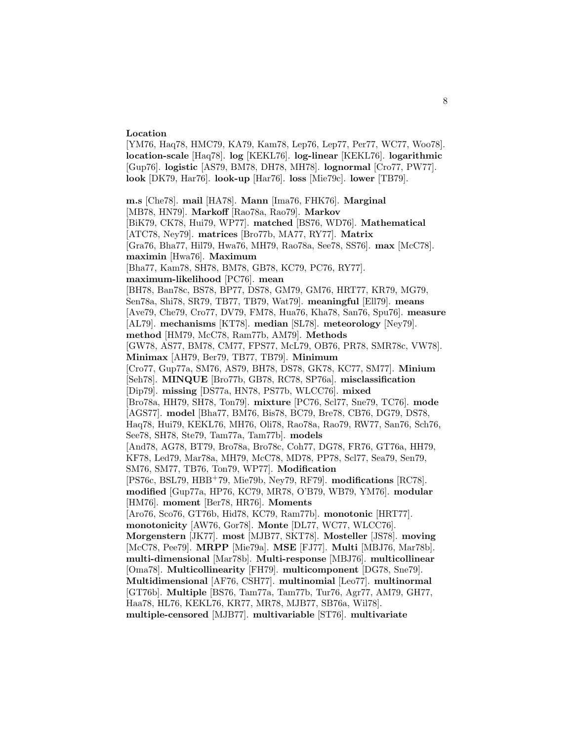#### **Location**

[YM76, Haq78, HMC79, KA79, Kam78, Lep76, Lep77, Per77, WC77, Woo78]. **location-scale** [Haq78]. **log** [KEKL76]. **log-linear** [KEKL76]. **logarithmic** [Gup76]. **logistic** [AS79, BM78, DH78, MH78]. **lognormal** [Cro77, PW77]. **look** [DK79, Har76]. **look-up** [Har76]. **loss** [Mie79c]. **lower** [TB79].

**m.s** [Che78]. **mail** [HA78]. **Mann** [Ima76, FHK76]. **Marginal** [MB78, HN79]. **Markoff** [Rao78a, Rao79]. **Markov** [BiK79, CK78, Hui79, WP77]. **matched** [BS76, WD76]. **Mathematical** [ATC78, Ney79]. **matrices** [Bro77b, MA77, RY77]. **Matrix** [Gra76, Bha77, Hil79, Hwa76, MH79, Rao78a, See78, SS76]. **max** [McC78]. **maximin** [Hwa76]. **Maximum** [Bha77, Kam78, SH78, BM78, GB78, KC79, PC76, RY77]. **maximum-likelihood** [PC76]. **mean** [BH78, Ban78c, BS78, BP77, DS78, GM79, GM76, HRT77, KR79, MG79, Sen78a, Shi78, SR79, TB77, TB79, Wat79]. **meaningful** [Ell79]. **means** [Ave79, Che79, Cro77, DV79, FM78, Hua76, Kha78, San76, Spu76]. **measure** [AL79]. **mechanisms** [KT78]. **median** [SL78]. **meteorology** [Ney79]. **method** [HM79, McC78, Ram77b, AM79]. **Methods** [GW78, AS77, BM78, CM77, FPS77, McL79, OB76, PR78, SMR78c, VW78]. **Minimax** [AH79, Ber79, TB77, TB79]. **Minimum** [Cro77, Gup77a, SM76, AS79, BH78, DS78, GK78, KC77, SM77]. **Minium** [Seh78]. **MINQUE** [Bro77b, GB78, RC78, SP76a]. **misclassification** [Dip79]. **missing** [DS77a, HN78, PS77b, WLCC76]. **mixed** [Bro78a, HH79, SH78, Ton79]. **mixture** [PC76, Scl77, Sne79, TC76]. **mode** [AGS77]. **model** [Bha77, BM76, Bis78, BC79, Bre78, CB76, DG79, DS78, Haq78, Hui79, KEKL76, MH76, Oli78, Rao78a, Rao79, RW77, San76, Sch76, See78, SH78, Ste79, Tam77a, Tam77b]. **models** [And78, AG78, BT79, Bro78a, Bro78c, Coh77, DG78, FR76, GT76a, HH79, KF78, Led79, Mar78a, MH79, McC78, MD78, PP78, Scl77, Sea79, Sen79, SM76, SM77, TB76, Ton79, WP77]. **Modification** [PS76c, BSL79, HBB<sup>+</sup>79, Mie79b, Ney79, RF79]. **modifications** [RC78]. **modified** [Gup77a, HP76, KC79, MR78, O'B79, WB79, YM76]. **modular** [HM76]. **moment** [Ber78, HR76]. **Moments** [Aro76, Sco76, GT76b, Hid78, KC79, Ram77b]. **monotonic** [HRT77]. **monotonicity** [AW76, Gor78]. **Monte** [DL77, WC77, WLCC76]. **Morgenstern** [JK77]. **most** [MJB77, SKT78]. **Mosteller** [JS78]. **moving** [McC78, Pee79]. **MRPP** [Mie79a]. **MSE** [FJ77]. **Multi** [MBJ76, Mar78b]. **multi-dimensional** [Mar78b]. **Multi-response** [MBJ76]. **multicollinear** [Oma78]. **Multicollinearity** [FH79]. **multicomponent** [DG78, Sne79]. **Multidimensional** [AF76, CSH77]. **multinomial** [Leo77]. **multinormal** [GT76b]. **Multiple** [BS76, Tam77a, Tam77b, Tur76, Agr77, AM79, GH77, Haa78, HL76, KEKL76, KR77, MR78, MJB77, SB76a, Wil78]. **multiple-censored** [MJB77]. **multivariable** [ST76]. **multivariate**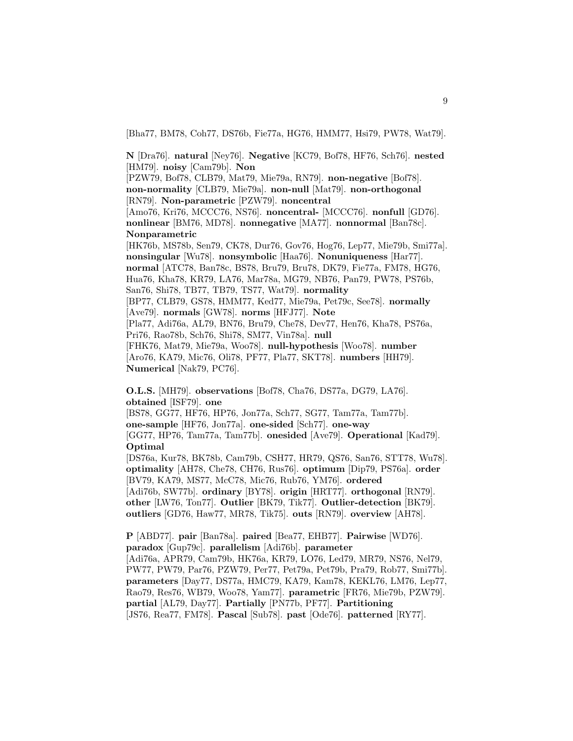[Bha77, BM78, Coh77, DS76b, Fie77a, HG76, HMM77, Hsi79, PW78, Wat79].

**N** [Dra76]. **natural** [Ney76]. **Negative** [KC79, Bof78, HF76, Sch76]. **nested** [HM79]. **noisy** [Cam79b]. **Non**

[PZW79, Bof78, CLB79, Mat79, Mie79a, RN79]. **non-negative** [Bof78]. **non-normality** [CLB79, Mie79a]. **non-null** [Mat79]. **non-orthogonal** [RN79]. **Non-parametric** [PZW79]. **noncentral** [Amo76, Kri76, MCCC76, NS76]. **noncentral-** [MCCC76]. **nonfull** [GD76]. **nonlinear** [BM76, MD78]. **nonnegative** [MA77]. **nonnormal** [Ban78c]. **Nonparametric**

[HK76b, MS78b, Sen79, CK78, Dur76, Gov76, Hog76, Lep77, Mie79b, Smi77a]. **nonsingular** [Wu78]. **nonsymbolic** [Haa76]. **Nonuniqueness** [Har77]. **normal** [ATC78, Ban78c, BS78, Bru79, Bru78, DK79, Fie77a, FM78, HG76, Hua76, Kha78, KR79, LA76, Mar78a, MG79, NB76, Pan79, PW78, PS76b, San76, Shi78, TB77, TB79, TS77, Wat79]. **normality** [BP77, CLB79, GS78, HMM77, Ked77, Mie79a, Pet79c, See78]. **normally** [Ave79]. **normals** [GW78]. **norms** [HFJ77]. **Note** [Pla77, Adi76a, AL79, BN76, Bru79, Che78, Dev77, Hen76, Kha78, PS76a, Pri76, Rao78b, Sch76, Shi78, SM77, Vin78a]. **null** [FHK76, Mat79, Mie79a, Woo78]. **null-hypothesis** [Woo78]. **number** [Aro76, KA79, Mic76, Oli78, PF77, Pla77, SKT78]. **numbers** [HH79]. **Numerical** [Nak79, PC76].

**O.L.S.** [MH79]. **observations** [Bof78, Cha76, DS77a, DG79, LA76]. **obtained** [ISF79]. **one**

[BS78, GG77, HF76, HP76, Jon77a, Sch77, SG77, Tam77a, Tam77b]. **one-sample** [HF76, Jon77a]. **one-sided** [Sch77]. **one-way** [GG77, HP76, Tam77a, Tam77b]. **onesided** [Ave79]. **Operational** [Kad79]. **Optimal**

[DS76a, Kur78, BK78b, Cam79b, CSH77, HR79, QS76, San76, STT78, Wu78]. **optimality** [AH78, Che78, CH76, Rus76]. **optimum** [Dip79, PS76a]. **order** [BV79, KA79, MS77, McC78, Mic76, Rub76, YM76]. **ordered** [Adi76b, SW77b]. **ordinary** [BY78]. **origin** [HRT77]. **orthogonal** [RN79].

**other** [LW76, Ton77]. **Outlier** [BK79, Tik77]. **Outlier-detection** [BK79]. **outliers** [GD76, Haw77, MR78, Tik75]. **outs** [RN79]. **overview** [AH78].

**P** [ABD77]. **pair** [Ban78a]. **paired** [Bea77, EHB77]. **Pairwise** [WD76]. **paradox** [Gup79c]. **parallelism** [Adi76b]. **parameter** [Adi76a, APR79, Cam79b, HK76a, KR79, LO76, Led79, MR79, NS76, Nel79, PW77, PW79, Par76, PZW79, Per77, Pet79a, Pet79b, Pra79, Rob77, Smi77b]. **parameters** [Day77, DS77a, HMC79, KA79, Kam78, KEKL76, LM76, Lep77, Rao79, Res76, WB79, Woo78, Yam77]. **parametric** [FR76, Mie79b, PZW79]. **partial** [AL79, Day77]. **Partially** [PN77b, PF77]. **Partitioning** [JS76, Rea77, FM78]. **Pascal** [Sub78]. **past** [Ode76]. **patterned** [RY77].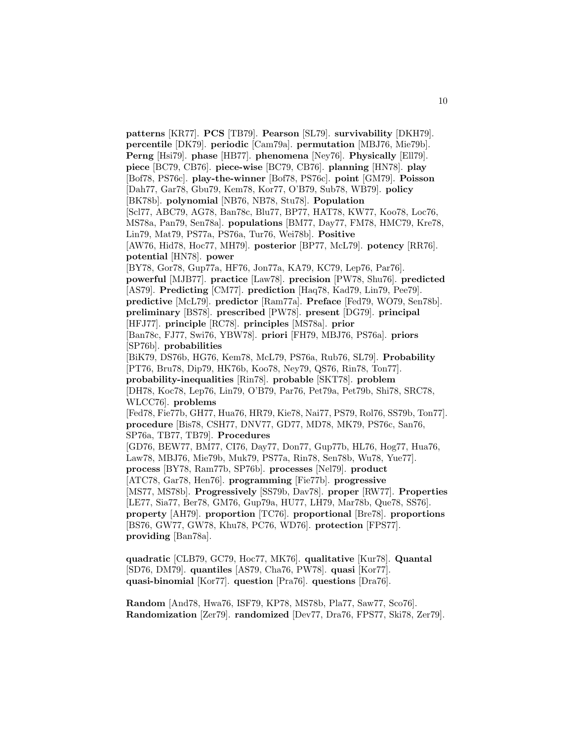**patterns** [KR77]. **PCS** [TB79]. **Pearson** [SL79]. **survivability** [DKH79]. **percentile** [DK79]. **periodic** [Cam79a]. **permutation** [MBJ76, Mie79b]. **Perng** [Hsi79]. **phase** [HB77]. **phenomena** [Ney76]. **Physically** [Ell79]. **piece** [BC79, CB76]. **piece-wise** [BC79, CB76]. **planning** [HN78]. **play** [Bof78, PS76c]. **play-the-winner** [Bof78, PS76c]. **point** [GM79]. **Poisson** [Dah77, Gar78, Gbu79, Kem78, Kor77, O'B79, Sub78, WB79]. **policy** [BK78b]. **polynomial** [NB76, NB78, Stu78]. **Population** [Scl77, ABC79, AG78, Ban78c, Blu77, BP77, HAT78, KW77, Koo78, Loc76, MS78a, Pan79, Sen78a]. **populations** [BM77, Day77, FM78, HMC79, Kre78, Lin79, Mat79, PS77a, PS76a, Tur76, Wei78b]. **Positive** [AW76, Hid78, Hoc77, MH79]. **posterior** [BP77, McL79]. **potency** [RR76]. **potential** [HN78]. **power** [BY78, Gor78, Gup77a, HF76, Jon77a, KA79, KC79, Lep76, Par76]. **powerful** [MJB77]. **practice** [Law78]. **precision** [PW78, Shu76]. **predicted** [AS79]. **Predicting** [CM77]. **prediction** [Haq78, Kad79, Lin79, Pee79]. **predictive** [McL79]. **predictor** [Ram77a]. **Preface** [Fed79, WO79, Sen78b]. **preliminary** [BS78]. **prescribed** [PW78]. **present** [DG79]. **principal** [HFJ77]. **principle** [RC78]. **principles** [MS78a]. **prior** [Ban78c, FJ77, Swi76, YBW78]. **priori** [FH79, MBJ76, PS76a]. **priors** [SP76b]. **probabilities** [BiK79, DS76b, HG76, Kem78, McL79, PS76a, Rub76, SL79]. **Probability** [PT76, Bru78, Dip79, HK76b, Koo78, Ney79, QS76, Rin78, Ton77]. **probability-inequalities** [Rin78]. **probable** [SKT78]. **problem** [DH78, Koc78, Lep76, Lin79, O'B79, Par76, Pet79a, Pet79b, Shi78, SRC78, WLCC76]. **problems** [Fed78, Fie77b, GH77, Hua76, HR79, Kie78, Nai77, PS79, Rol76, SS79b, Ton77]. **procedure** [Bis78, CSH77, DNV77, GD77, MD78, MK79, PS76c, San76, SP76a, TB77, TB79]. **Procedures** [GD76, BEW77, BM77, CI76, Day77, Don77, Gup77b, HL76, Hog77, Hua76, Law78, MBJ76, Mie79b, Muk79, PS77a, Rin78, Sen78b, Wu78, Yue77]. **process** [BY78, Ram77b, SP76b]. **processes** [Nel79]. **product** [ATC78, Gar78, Hen76]. **programming** [Fie77b]. **progressive** [MS77, MS78b]. **Progressively** [SS79b, Dav78]. **proper** [RW77]. **Properties** [LE77, Sia77, Ber78, GM76, Gup79a, HU77, LH79, Mar78b, Que78, SS76]. **property** [AH79]. **proportion** [TC76]. **proportional** [Bre78]. **proportions** [BS76, GW77, GW78, Khu78, PC76, WD76]. **protection** [FPS77]. **providing** [Ban78a].

**quadratic** [CLB79, GC79, Hoc77, MK76]. **qualitative** [Kur78]. **Quantal** [SD76, DM79]. **quantiles** [AS79, Cha76, PW78]. **quasi** [Kor77]. **quasi-binomial** [Kor77]. **question** [Pra76]. **questions** [Dra76].

**Random** [And78, Hwa76, ISF79, KP78, MS78b, Pla77, Saw77, Sco76]. **Randomization** [Zer79]. **randomized** [Dev77, Dra76, FPS77, Ski78, Zer79].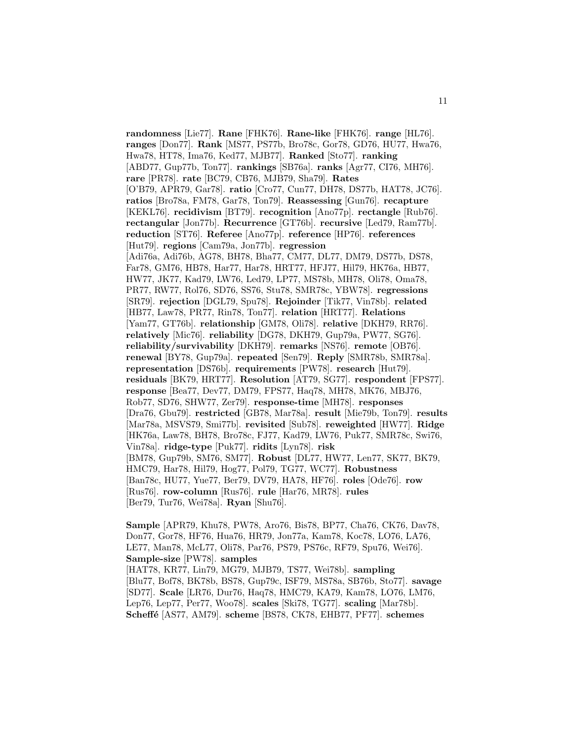**randomness** [Lie77]. **Rane** [FHK76]. **Rane-like** [FHK76]. **range** [HL76]. **ranges** [Don77]. **Rank** [MS77, PS77b, Bro78c, Gor78, GD76, HU77, Hwa76, Hwa78, HT78, Ima76, Ked77, MJB77]. **Ranked** [Sto77]. **ranking** [ABD77, Gup77b, Ton77]. **rankings** [SB76a]. **ranks** [Agr77, CI76, MH76]. **rare** [PR78]. **rate** [BC79, CB76, MJB79, Sha79]. **Rates** [O'B79, APR79, Gar78]. **ratio** [Cro77, Cun77, DH78, DS77b, HAT78, JC76]. **ratios** [Bro78a, FM78, Gar78, Ton79]. **Reassessing** [Gun76]. **recapture** [KEKL76]. **recidivism** [BT79]. **recognition** [Ano77p]. **rectangle** [Rub76]. **rectangular** [Jon77b]. **Recurrence** [GT76b]. **recursive** [Led79, Ram77b]. **reduction** [ST76]. **Referee** [Ano77p]. **reference** [HP76]. **references** [Hut79]. **regions** [Cam79a, Jon77b]. **regression** [Adi76a, Adi76b, AG78, BH78, Bha77, CM77, DL77, DM79, DS77b, DS78, Far78, GM76, HB78, Har77, Har78, HRT77, HFJ77, Hil79, HK76a, HB77, HW77, JK77, Kad79, LW76, Led79, LP77, MS78b, MH78, Oli78, Oma78, PR77, RW77, Rol76, SD76, SS76, Stu78, SMR78c, YBW78]. **regressions** [SR79]. **rejection** [DGL79, Spu78]. **Rejoinder** [Tik77, Vin78b]. **related** [HB77, Law78, PR77, Rin78, Ton77]. **relation** [HRT77]. **Relations** [Yam77, GT76b]. **relationship** [GM78, Oli78]. **relative** [DKH79, RR76]. **relatively** [Mic76]. **reliability** [DG78, DKH79, Gup79a, PW77, SG76]. **reliability/survivability** [DKH79]. **remarks** [NS76]. **remote** [OB76]. **renewal** [BY78, Gup79a]. **repeated** [Sen79]. **Reply** [SMR78b, SMR78a]. **representation** [DS76b]. **requirements** [PW78]. **research** [Hut79]. **residuals** [BK79, HRT77]. **Resolution** [AT79, SG77]. **respondent** [FPS77]. **response** [Bea77, Dev77, DM79, FPS77, Haq78, MH78, MK76, MBJ76, Rob77, SD76, SHW77, Zer79]. **response-time** [MH78]. **responses** [Dra76, Gbu79]. **restricted** [GB78, Mar78a]. **result** [Mie79b, Ton79]. **results** [Mar78a, MSVS79, Smi77b]. **revisited** [Sub78]. **reweighted** [HW77]. **Ridge** [HK76a, Law78, BH78, Bro78c, FJ77, Kad79, LW76, Puk77, SMR78c, Swi76, Vin78a]. **ridge-type** [Puk77]. **ridits** [Lyn78]. **risk** [BM78, Gup79b, SM76, SM77]. **Robust** [DL77, HW77, Len77, SK77, BK79, HMC79, Har78, Hil79, Hog77, Pol79, TG77, WC77]. **Robustness** [Ban78c, HU77, Yue77, Ber79, DV79, HA78, HF76]. **roles** [Ode76]. **row** [Rus76]. **row-column** [Rus76]. **rule** [Har76, MR78]. **rules** [Ber79, Tur76, Wei78a]. **Ryan** [Shu76].

**Sample** [APR79, Khu78, PW78, Aro76, Bis78, BP77, Cha76, CK76, Dav78, Don77, Gor78, HF76, Hua76, HR79, Jon77a, Kam78, Koc78, LO76, LA76, LE77, Man78, McL77, Oli78, Par76, PS79, PS76c, RF79, Spu76, Wei76]. **Sample-size** [PW78]. **samples** [HAT78, KR77, Lin79, MG79, MJB79, TS77, Wei78b]. **sampling** [Blu77, Bof78, BK78b, BS78, Gup79c, ISF79, MS78a, SB76b, Sto77]. **savage** [SD77]. **Scale** [LR76, Dur76, Haq78, HMC79, KA79, Kam78, LO76, LM76, Lep76, Lep77, Per77, Woo78]. **scales** [Ski78, TG77]. **scaling** [Mar78b]. **Scheff´e** [AS77, AM79]. **scheme** [BS78, CK78, EHB77, PF77]. **schemes**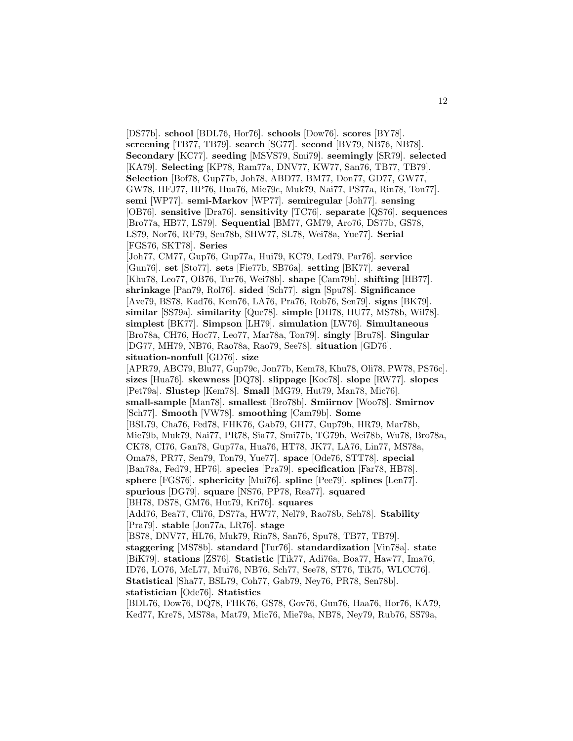[DS77b]. **school** [BDL76, Hor76]. **schools** [Dow76]. **scores** [BY78]. **screening** [TB77, TB79]. **search** [SG77]. **second** [BV79, NB76, NB78]. **Secondary** [KC77]. **seeding** [MSVS79, Smi79]. **seemingly** [SR79]. **selected** [KA79]. **Selecting** [KP78, Ram77a, DNV77, KW77, San76, TB77, TB79]. **Selection** [Bof78, Gup77b, Joh78, ABD77, BM77, Don77, GD77, GW77, GW78, HFJ77, HP76, Hua76, Mie79c, Muk79, Nai77, PS77a, Rin78, Ton77]. **semi** [WP77]. **semi-Markov** [WP77]. **semiregular** [Joh77]. **sensing** [OB76]. **sensitive** [Dra76]. **sensitivity** [TC76]. **separate** [QS76]. **sequences** [Bro77a, HB77, LS79]. **Sequential** [BM77, GM79, Aro76, DS77b, GS78, LS79, Nor76, RF79, Sen78b, SHW77, SL78, Wei78a, Yue77]. **Serial** [FGS76, SKT78]. **Series** [Joh77, CM77, Gup76, Gup77a, Hui79, KC79, Led79, Par76]. **service** [Gun76]. **set** [Sto77]. **sets** [Fie77b, SB76a]. **setting** [BK77]. **several** [Khu78, Leo77, OB76, Tur76, Wei78b]. **shape** [Cam79b]. **shifting** [HB77]. **shrinkage** [Pan79, Rol76]. **sided** [Sch77]. **sign** [Spu78]. **Significance** [Ave79, BS78, Kad76, Kem76, LA76, Pra76, Rob76, Sen79]. **signs** [BK79]. **similar** [SS79a]. **similarity** [Que78]. **simple** [DH78, HU77, MS78b, Wil78]. **simplest** [BK77]. **Simpson** [LH79]. **simulation** [LW76]. **Simultaneous** [Bro78a, CH76, Hoc77, Leo77, Mar78a, Ton79]. **singly** [Bru78]. **Singular** [DG77, MH79, NB76, Rao78a, Rao79, See78]. **situation** [GD76]. **situation-nonfull** [GD76]. **size** [APR79, ABC79, Blu77, Gup79c, Jon77b, Kem78, Khu78, Oli78, PW78, PS76c]. **sizes** [Hua76]. **skewness** [DQ78]. **slippage** [Koc78]. **slope** [RW77]. **slopes** [Pet79a]. **Slustep** [Kem78]. **Small** [MG79, Hut79, Man78, Mic76]. **small-sample** [Man78]. **smallest** [Bro78b]. **Smiirnov** [Woo78]. **Smirnov** [Sch77]. **Smooth** [VW78]. **smoothing** [Cam79b]. **Some** [BSL79, Cha76, Fed78, FHK76, Gab79, GH77, Gup79b, HR79, Mar78b, Mie79b, Muk79, Nai77, PR78, Sia77, Smi77b, TG79b, Wei78b, Wu78, Bro78a, CK78, CI76, Gan78, Gup77a, Hua76, HT78, JK77, LA76, Lin77, MS78a, Oma78, PR77, Sen79, Ton79, Yue77]. **space** [Ode76, STT78]. **special** [Ban78a, Fed79, HP76]. **species** [Pra79]. **specification** [Far78, HB78]. **sphere** [FGS76]. **sphericity** [Mui76]. **spline** [Pee79]. **splines** [Len77]. **spurious** [DG79]. **square** [NS76, PP78, Rea77]. **squared** [BH78, DS78, GM76, Hut79, Kri76]. **squares** [Add76, Bea77, Cli76, DS77a, HW77, Nel79, Rao78b, Seh78]. **Stability** [Pra79]. **stable** [Jon77a, LR76]. **stage** [BS78, DNV77, HL76, Muk79, Rin78, San76, Spu78, TB77, TB79]. **staggering** [MS78b]. **standard** [Tur76]. **standardization** [Vin78a]. **state** [BiK79]. **stations** [ZS76]. **Statistic** [Tik77, Adi76a, Boa77, Haw77, Ima76, ID76, LO76, McL77, Mui76, NB76, Sch77, See78, ST76, Tik75, WLCC76]. **Statistical** [Sha77, BSL79, Coh77, Gab79, Ney76, PR78, Sen78b]. **statistician** [Ode76]. **Statistics** [BDL76, Dow76, DQ78, FHK76, GS78, Gov76, Gun76, Haa76, Hor76, KA79, Ked77, Kre78, MS78a, Mat79, Mic76, Mie79a, NB78, Ney79, Rub76, SS79a,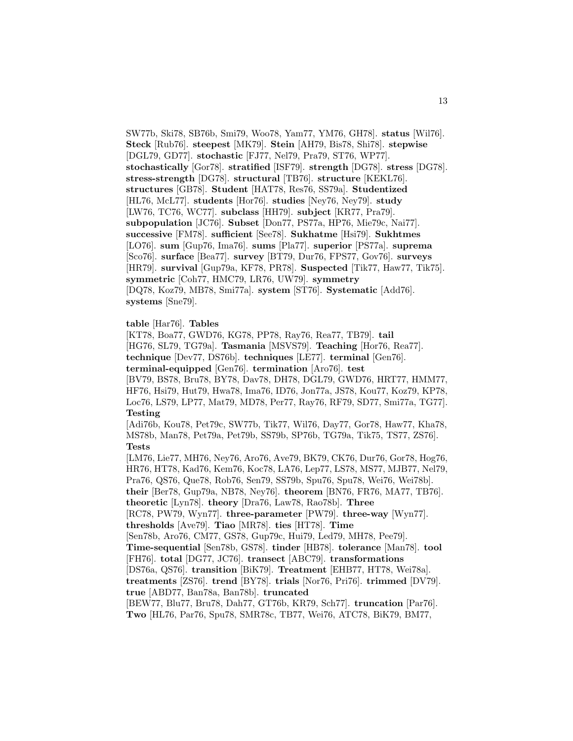SW77b, Ski78, SB76b, Smi79, Woo78, Yam77, YM76, GH78]. **status** [Wil76]. **Steck** [Rub76]. **steepest** [MK79]. **Stein** [AH79, Bis78, Shi78]. **stepwise** [DGL79, GD77]. **stochastic** [FJ77, Nel79, Pra79, ST76, WP77]. **stochastically** [Gor78]. **stratified** [ISF79]. **strength** [DG78]. **stress** [DG78]. **stress-strength** [DG78]. **structural** [TB76]. **structure** [KEKL76]. **structures** [GB78]. **Student** [HAT78, Res76, SS79a]. **Studentized** [HL76, McL77]. **students** [Hor76]. **studies** [Ney76, Ney79]. **study** [LW76, TC76, WC77]. **subclass** [HH79]. **subject** [KR77, Pra79]. **subpopulation** [JC76]. **Subset** [Don77, PS77a, HP76, Mie79c, Nai77]. **successive** [FM78]. **sufficient** [See78]. **Sukhatme** [Hsi79]. **Sukhtmes** [LO76]. **sum** [Gup76, Ima76]. **sums** [Pla77]. **superior** [PS77a]. **suprema** [Sco76]. **surface** [Bea77]. **survey** [BT79, Dur76, FPS77, Gov76]. **surveys** [HR79]. **survival** [Gup79a, KF78, PR78]. **Suspected** [Tik77, Haw77, Tik75]. **symmetric** [Coh77, HMC79, LR76, UW79]. **symmetry** [DQ78, Koz79, MB78, Smi77a]. **system** [ST76]. **Systematic** [Add76]. **systems** [Sne79].

# **table** [Har76]. **Tables**

[KT78, Boa77, GWD76, KG78, PP78, Ray76, Rea77, TB79]. **tail** [HG76, SL79, TG79a]. **Tasmania** [MSVS79]. **Teaching** [Hor76, Rea77]. **technique** [Dev77, DS76b]. **techniques** [LE77]. **terminal** [Gen76]. **terminal-equipped** [Gen76]. **termination** [Aro76]. **test** [BV79, BS78, Bru78, BY78, Dav78, DH78, DGL79, GWD76, HRT77, HMM77, HF76, Hsi79, Hut79, Hwa78, Ima76, ID76, Jon77a, JS78, Kou77, Koz79, KP78, Loc76, LS79, LP77, Mat79, MD78, Per77, Ray76, RF79, SD77, Smi77a, TG77]. **Testing** [Adi76b, Kou78, Pet79c, SW77b, Tik77, Wil76, Day77, Gor78, Haw77, Kha78, MS78b, Man78, Pet79a, Pet79b, SS79b, SP76b, TG79a, Tik75, TS77, ZS76]. **Tests** [LM76, Lie77, MH76, Ney76, Aro76, Ave79, BK79, CK76, Dur76, Gor78, Hog76, HR76, HT78, Kad76, Kem76, Koc78, LA76, Lep77, LS78, MS77, MJB77, Nel79, Pra76, QS76, Que78, Rob76, Sen79, SS79b, Spu76, Spu78, Wei76, Wei78b]. **their** [Ber78, Gup79a, NB78, Ney76]. **theorem** [BN76, FR76, MA77, TB76]. **theoretic** [Lyn78]. **theory** [Dra76, Law78, Rao78b]. **Three** [RC78, PW79, Wyn77]. **three-parameter** [PW79]. **three-way** [Wyn77]. **thresholds** [Ave79]. **Tiao** [MR78]. **ties** [HT78]. **Time** [Sen78b, Aro76, CM77, GS78, Gup79c, Hui79, Led79, MH78, Pee79]. **Time-sequential** [Sen78b, GS78]. **tinder** [HB78]. **tolerance** [Man78]. **tool** [FH76]. **total** [DG77, JC76]. **transect** [ABC79]. **transformations** [DS76a, QS76]. **transition** [BiK79]. **Treatment** [EHB77, HT78, Wei78a]. **treatments** [ZS76]. **trend** [BY78]. **trials** [Nor76, Pri76]. **trimmed** [DV79]. **true** [ABD77, Ban78a, Ban78b]. **truncated** [BEW77, Blu77, Bru78, Dah77, GT76b, KR79, Sch77]. **truncation** [Par76]. **Two** [HL76, Par76, Spu78, SMR78c, TB77, Wei76, ATC78, BiK79, BM77,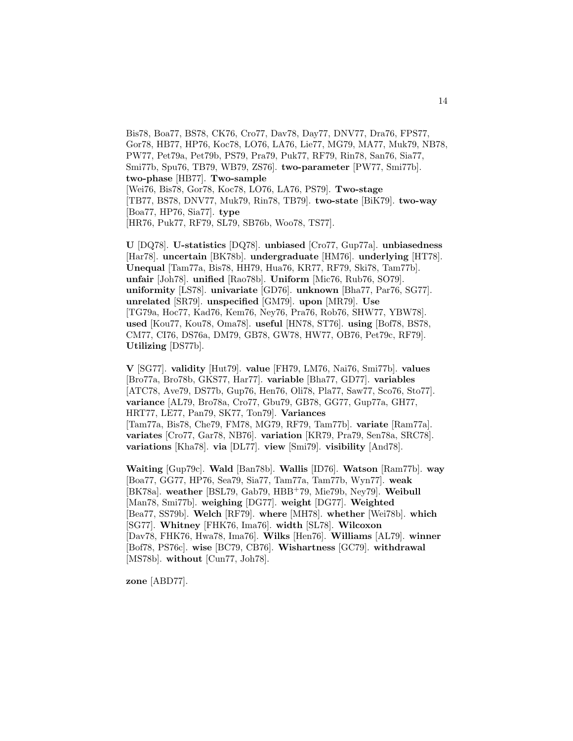Bis78, Boa77, BS78, CK76, Cro77, Dav78, Day77, DNV77, Dra76, FPS77, Gor78, HB77, HP76, Koc78, LO76, LA76, Lie77, MG79, MA77, Muk79, NB78, PW77, Pet79a, Pet79b, PS79, Pra79, Puk77, RF79, Rin78, San76, Sia77, Smi77b, Spu76, TB79, WB79, ZS76]. **two-parameter** [PW77, Smi77b]. **two-phase** [HB77]. **Two-sample** [Wei76, Bis78, Gor78, Koc78, LO76, LA76, PS79]. **Two-stage** [TB77, BS78, DNV77, Muk79, Rin78, TB79]. **two-state** [BiK79]. **two-way** [Boa77, HP76, Sia77]. **type** [HR76, Puk77, RF79, SL79, SB76b, Woo78, TS77].

**U** [DQ78]. **U-statistics** [DQ78]. **unbiased** [Cro77, Gup77a]. **unbiasedness** [Har78]. **uncertain** [BK78b]. **undergraduate** [HM76]. **underlying** [HT78]. **Unequal** [Tam77a, Bis78, HH79, Hua76, KR77, RF79, Ski78, Tam77b]. **unfair** [Joh78]. **unified** [Rao78b]. **Uniform** [Mic76, Rub76, SO79]. **uniformity** [LS78]. **univariate** [GD76]. **unknown** [Bha77, Par76, SG77]. **unrelated** [SR79]. **unspecified** [GM79]. **upon** [MR79]. **Use** [TG79a, Hoc77, Kad76, Kem76, Ney76, Pra76, Rob76, SHW77, YBW78]. **used** [Kou77, Kou78, Oma78]. **useful** [HN78, ST76]. **using** [Bof78, BS78, CM77, CI76, DS76a, DM79, GB78, GW78, HW77, OB76, Pet79c, RF79]. **Utilizing** [DS77b].

**V** [SG77]. **validity** [Hut79]. **value** [FH79, LM76, Nai76, Smi77b]. **values** [Bro77a, Bro78b, GKS77, Har77]. **variable** [Bha77, GD77]. **variables** [ATC78, Ave79, DS77b, Gup76, Hen76, Oli78, Pla77, Saw77, Sco76, Sto77]. **variance** [AL79, Bro78a, Cro77, Gbu79, GB78, GG77, Gup77a, GH77, HRT77, LE77, Pan79, SK77, Ton79]. **Variances** [Tam77a, Bis78, Che79, FM78, MG79, RF79, Tam77b]. **variate** [Ram77a].

**variates** [Cro77, Gar78, NB76]. **variation** [KR79, Pra79, Sen78a, SRC78]. **variations** [Kha78]. **via** [DL77]. **view** [Smi79]. **visibility** [And78].

**Waiting** [Gup79c]. **Wald** [Ban78b]. **Wallis** [ID76]. **Watson** [Ram77b]. **way** [Boa77, GG77, HP76, Sea79, Sia77, Tam77a, Tam77b, Wyn77]. **weak** [BK78a]. **weather** [BSL79, Gab79, HBB<sup>+</sup>79, Mie79b, Ney79]. **Weibull** [Man78, Smi77b]. **weighing** [DG77]. **weight** [DG77]. **Weighted** [Bea77, SS79b]. **Welch** [RF79]. **where** [MH78]. **whether** [Wei78b]. **which** [SG77]. **Whitney** [FHK76, Ima76]. **width** [SL78]. **Wilcoxon** [Dav78, FHK76, Hwa78, Ima76]. **Wilks** [Hen76]. **Williams** [AL79]. **winner** [Bof78, PS76c]. **wise** [BC79, CB76]. **Wishartness** [GC79]. **withdrawal** [MS78b]. **without** [Cun77, Joh78].

**zone** [ABD77].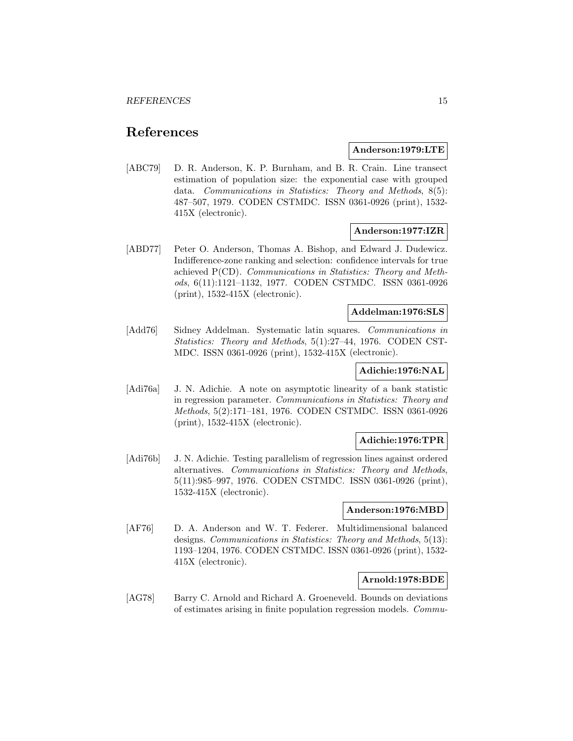# **References**

#### **Anderson:1979:LTE**

[ABC79] D. R. Anderson, K. P. Burnham, and B. R. Crain. Line transect estimation of population size: the exponential case with grouped data. Communications in Statistics: Theory and Methods, 8(5): 487–507, 1979. CODEN CSTMDC. ISSN 0361-0926 (print), 1532- 415X (electronic).

# **Anderson:1977:IZR**

[ABD77] Peter O. Anderson, Thomas A. Bishop, and Edward J. Dudewicz. Indifference-zone ranking and selection: confidence intervals for true achieved P(CD). Communications in Statistics: Theory and Methods, 6(11):1121–1132, 1977. CODEN CSTMDC. ISSN 0361-0926 (print), 1532-415X (electronic).

# **Addelman:1976:SLS**

[Add76] Sidney Addelman. Systematic latin squares. Communications in Statistics: Theory and Methods, 5(1):27–44, 1976. CODEN CST-MDC. ISSN 0361-0926 (print), 1532-415X (electronic).

# **Adichie:1976:NAL**

[Adi76a] J. N. Adichie. A note on asymptotic linearity of a bank statistic in regression parameter. Communications in Statistics: Theory and Methods, 5(2):171–181, 1976. CODEN CSTMDC. ISSN 0361-0926 (print), 1532-415X (electronic).

## **Adichie:1976:TPR**

[Adi76b] J. N. Adichie. Testing parallelism of regression lines against ordered alternatives. Communications in Statistics: Theory and Methods, 5(11):985–997, 1976. CODEN CSTMDC. ISSN 0361-0926 (print), 1532-415X (electronic).

#### **Anderson:1976:MBD**

[AF76] D. A. Anderson and W. T. Federer. Multidimensional balanced designs. Communications in Statistics: Theory and Methods, 5(13): 1193–1204, 1976. CODEN CSTMDC. ISSN 0361-0926 (print), 1532- 415X (electronic).

# **Arnold:1978:BDE**

[AG78] Barry C. Arnold and Richard A. Groeneveld. Bounds on deviations of estimates arising in finite population regression models. Commu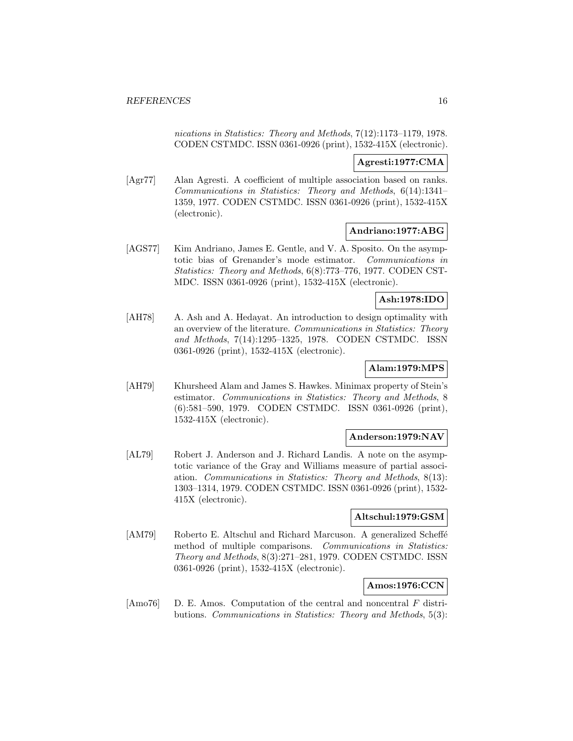nications in Statistics: Theory and Methods, 7(12):1173–1179, 1978. CODEN CSTMDC. ISSN 0361-0926 (print), 1532-415X (electronic).

## **Agresti:1977:CMA**

[Agr77] Alan Agresti. A coefficient of multiple association based on ranks. Communications in Statistics: Theory and Methods, 6(14):1341– 1359, 1977. CODEN CSTMDC. ISSN 0361-0926 (print), 1532-415X (electronic).

# **Andriano:1977:ABG**

[AGS77] Kim Andriano, James E. Gentle, and V. A. Sposito. On the asymptotic bias of Grenander's mode estimator. Communications in Statistics: Theory and Methods, 6(8):773–776, 1977. CODEN CST-MDC. ISSN 0361-0926 (print), 1532-415X (electronic).

## **Ash:1978:IDO**

[AH78] A. Ash and A. Hedayat. An introduction to design optimality with an overview of the literature. Communications in Statistics: Theory and Methods, 7(14):1295–1325, 1978. CODEN CSTMDC. ISSN 0361-0926 (print), 1532-415X (electronic).

# **Alam:1979:MPS**

[AH79] Khursheed Alam and James S. Hawkes. Minimax property of Stein's estimator. Communications in Statistics: Theory and Methods, 8 (6):581–590, 1979. CODEN CSTMDC. ISSN 0361-0926 (print), 1532-415X (electronic).

## **Anderson:1979:NAV**

[AL79] Robert J. Anderson and J. Richard Landis. A note on the asymptotic variance of the Gray and Williams measure of partial association. Communications in Statistics: Theory and Methods, 8(13): 1303–1314, 1979. CODEN CSTMDC. ISSN 0361-0926 (print), 1532- 415X (electronic).

# **Altschul:1979:GSM**

[AM79] Roberto E. Altschul and Richard Marcuson. A generalized Scheffé method of multiple comparisons. Communications in Statistics: Theory and Methods, 8(3):271–281, 1979. CODEN CSTMDC. ISSN 0361-0926 (print), 1532-415X (electronic).

## **Amos:1976:CCN**

[Amo76] D. E. Amos. Computation of the central and noncentral F distributions. Communications in Statistics: Theory and Methods, 5(3):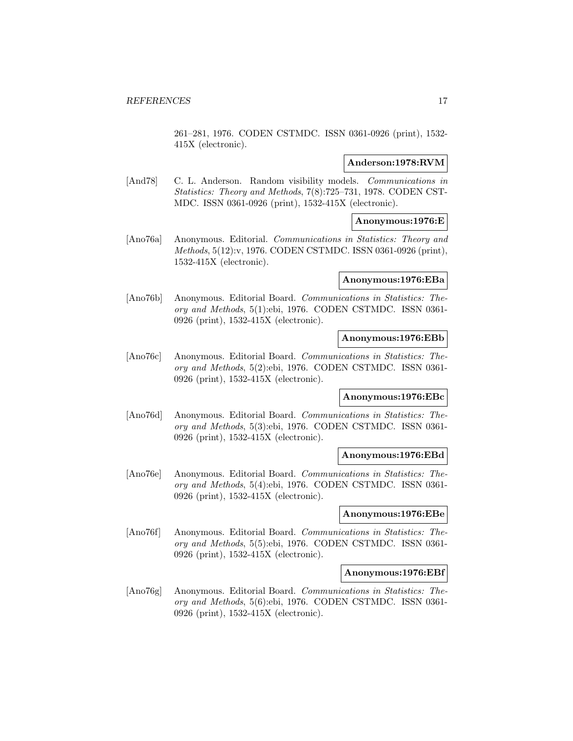261–281, 1976. CODEN CSTMDC. ISSN 0361-0926 (print), 1532- 415X (electronic).

## **Anderson:1978:RVM**

[And78] C. L. Anderson. Random visibility models. Communications in Statistics: Theory and Methods, 7(8):725–731, 1978. CODEN CST-MDC. ISSN 0361-0926 (print), 1532-415X (electronic).

## **Anonymous:1976:E**

[Ano76a] Anonymous. Editorial. Communications in Statistics: Theory and Methods, 5(12):v, 1976. CODEN CSTMDC. ISSN 0361-0926 (print), 1532-415X (electronic).

# **Anonymous:1976:EBa**

[Ano76b] Anonymous. Editorial Board. Communications in Statistics: Theory and Methods, 5(1):ebi, 1976. CODEN CSTMDC. ISSN 0361- 0926 (print), 1532-415X (electronic).

# **Anonymous:1976:EBb**

[Ano76c] Anonymous. Editorial Board. Communications in Statistics: Theory and Methods, 5(2):ebi, 1976. CODEN CSTMDC. ISSN 0361- 0926 (print), 1532-415X (electronic).

## **Anonymous:1976:EBc**

[Ano76d] Anonymous. Editorial Board. Communications in Statistics: Theory and Methods, 5(3):ebi, 1976. CODEN CSTMDC. ISSN 0361- 0926 (print), 1532-415X (electronic).

#### **Anonymous:1976:EBd**

[Ano76e] Anonymous. Editorial Board. Communications in Statistics: Theory and Methods, 5(4):ebi, 1976. CODEN CSTMDC. ISSN 0361- 0926 (print), 1532-415X (electronic).

## **Anonymous:1976:EBe**

[Ano76f] Anonymous. Editorial Board. Communications in Statistics: Theory and Methods, 5(5):ebi, 1976. CODEN CSTMDC. ISSN 0361- 0926 (print), 1532-415X (electronic).

#### **Anonymous:1976:EBf**

[Ano76g] Anonymous. Editorial Board. Communications in Statistics: Theory and Methods, 5(6):ebi, 1976. CODEN CSTMDC. ISSN 0361- 0926 (print), 1532-415X (electronic).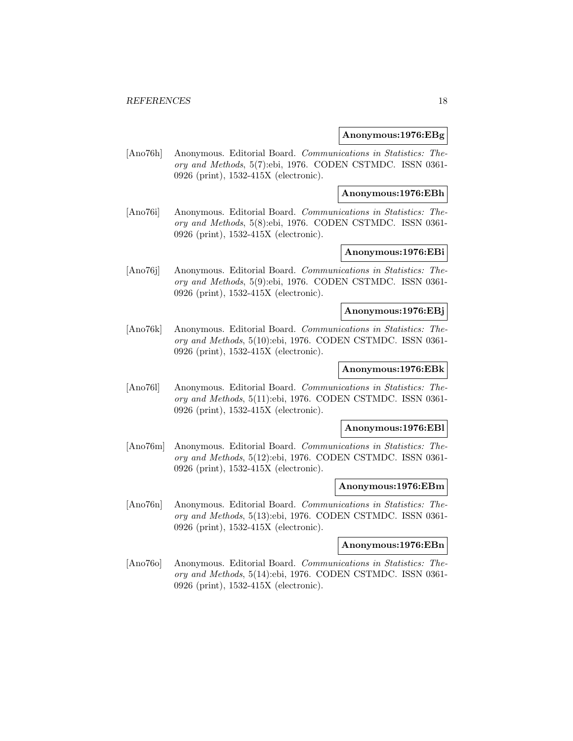#### **Anonymous:1976:EBg**

[Ano76h] Anonymous. Editorial Board. Communications in Statistics: Theory and Methods, 5(7):ebi, 1976. CODEN CSTMDC. ISSN 0361- 0926 (print), 1532-415X (electronic).

#### **Anonymous:1976:EBh**

[Ano76i] Anonymous. Editorial Board. Communications in Statistics: Theory and Methods, 5(8):ebi, 1976. CODEN CSTMDC. ISSN 0361- 0926 (print), 1532-415X (electronic).

# **Anonymous:1976:EBi**

[Ano76j] Anonymous. Editorial Board. Communications in Statistics: Theory and Methods, 5(9):ebi, 1976. CODEN CSTMDC. ISSN 0361- 0926 (print), 1532-415X (electronic).

#### **Anonymous:1976:EBj**

[Ano76k] Anonymous. Editorial Board. Communications in Statistics: Theory and Methods, 5(10):ebi, 1976. CODEN CSTMDC. ISSN 0361- 0926 (print), 1532-415X (electronic).

# **Anonymous:1976:EBk**

[Ano76l] Anonymous. Editorial Board. Communications in Statistics: Theory and Methods, 5(11):ebi, 1976. CODEN CSTMDC. ISSN 0361- 0926 (print), 1532-415X (electronic).

#### **Anonymous:1976:EBl**

[Ano76m] Anonymous. Editorial Board. Communications in Statistics: Theory and Methods, 5(12):ebi, 1976. CODEN CSTMDC. ISSN 0361- 0926 (print), 1532-415X (electronic).

#### **Anonymous:1976:EBm**

[Ano76n] Anonymous. Editorial Board. Communications in Statistics: Theory and Methods, 5(13):ebi, 1976. CODEN CSTMDC. ISSN 0361- 0926 (print), 1532-415X (electronic).

#### **Anonymous:1976:EBn**

[Ano76o] Anonymous. Editorial Board. Communications in Statistics: Theory and Methods, 5(14):ebi, 1976. CODEN CSTMDC. ISSN 0361- 0926 (print), 1532-415X (electronic).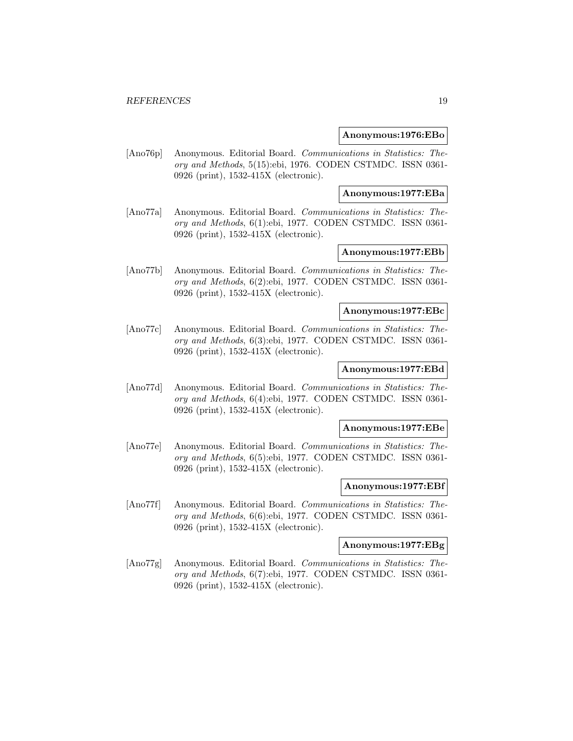#### **Anonymous:1976:EBo**

[Ano76p] Anonymous. Editorial Board. Communications in Statistics: Theory and Methods, 5(15):ebi, 1976. CODEN CSTMDC. ISSN 0361- 0926 (print), 1532-415X (electronic).

#### **Anonymous:1977:EBa**

[Ano77a] Anonymous. Editorial Board. Communications in Statistics: Theory and Methods, 6(1):ebi, 1977. CODEN CSTMDC. ISSN 0361- 0926 (print), 1532-415X (electronic).

# **Anonymous:1977:EBb**

[Ano77b] Anonymous. Editorial Board. Communications in Statistics: Theory and Methods, 6(2):ebi, 1977. CODEN CSTMDC. ISSN 0361- 0926 (print), 1532-415X (electronic).

#### **Anonymous:1977:EBc**

[Ano77c] Anonymous. Editorial Board. Communications in Statistics: Theory and Methods, 6(3):ebi, 1977. CODEN CSTMDC. ISSN 0361- 0926 (print), 1532-415X (electronic).

# **Anonymous:1977:EBd**

[Ano77d] Anonymous. Editorial Board. Communications in Statistics: Theory and Methods, 6(4):ebi, 1977. CODEN CSTMDC. ISSN 0361- 0926 (print), 1532-415X (electronic).

#### **Anonymous:1977:EBe**

[Ano77e] Anonymous. Editorial Board. Communications in Statistics: Theory and Methods, 6(5):ebi, 1977. CODEN CSTMDC. ISSN 0361- 0926 (print), 1532-415X (electronic).

#### **Anonymous:1977:EBf**

[Ano77f] Anonymous. Editorial Board. Communications in Statistics: Theory and Methods, 6(6):ebi, 1977. CODEN CSTMDC. ISSN 0361- 0926 (print), 1532-415X (electronic).

#### **Anonymous:1977:EBg**

[Ano77g] Anonymous. Editorial Board. Communications in Statistics: Theory and Methods, 6(7):ebi, 1977. CODEN CSTMDC. ISSN 0361- 0926 (print), 1532-415X (electronic).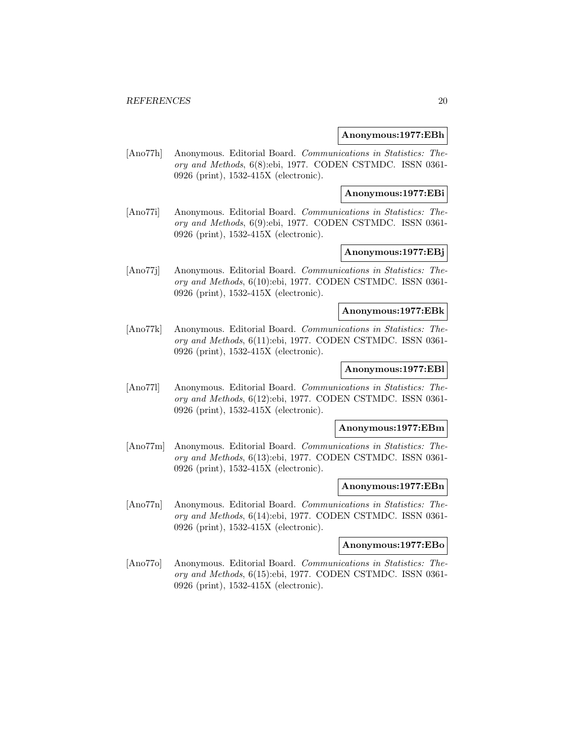#### **Anonymous:1977:EBh**

[Ano77h] Anonymous. Editorial Board. Communications in Statistics: Theory and Methods, 6(8):ebi, 1977. CODEN CSTMDC. ISSN 0361- 0926 (print), 1532-415X (electronic).

#### **Anonymous:1977:EBi**

[Ano77i] Anonymous. Editorial Board. Communications in Statistics: Theory and Methods, 6(9):ebi, 1977. CODEN CSTMDC. ISSN 0361- 0926 (print), 1532-415X (electronic).

# **Anonymous:1977:EBj**

[Ano77j] Anonymous. Editorial Board. Communications in Statistics: Theory and Methods, 6(10):ebi, 1977. CODEN CSTMDC. ISSN 0361- 0926 (print), 1532-415X (electronic).

#### **Anonymous:1977:EBk**

[Ano77k] Anonymous. Editorial Board. Communications in Statistics: Theory and Methods, 6(11):ebi, 1977. CODEN CSTMDC. ISSN 0361- 0926 (print), 1532-415X (electronic).

# **Anonymous:1977:EBl**

[Ano77l] Anonymous. Editorial Board. Communications in Statistics: Theory and Methods, 6(12):ebi, 1977. CODEN CSTMDC. ISSN 0361- 0926 (print), 1532-415X (electronic).

#### **Anonymous:1977:EBm**

[Ano77m] Anonymous. Editorial Board. Communications in Statistics: Theory and Methods, 6(13):ebi, 1977. CODEN CSTMDC. ISSN 0361- 0926 (print), 1532-415X (electronic).

#### **Anonymous:1977:EBn**

[Ano77n] Anonymous. Editorial Board. Communications in Statistics: Theory and Methods, 6(14):ebi, 1977. CODEN CSTMDC. ISSN 0361- 0926 (print), 1532-415X (electronic).

#### **Anonymous:1977:EBo**

[Ano77o] Anonymous. Editorial Board. Communications in Statistics: Theory and Methods, 6(15):ebi, 1977. CODEN CSTMDC. ISSN 0361- 0926 (print), 1532-415X (electronic).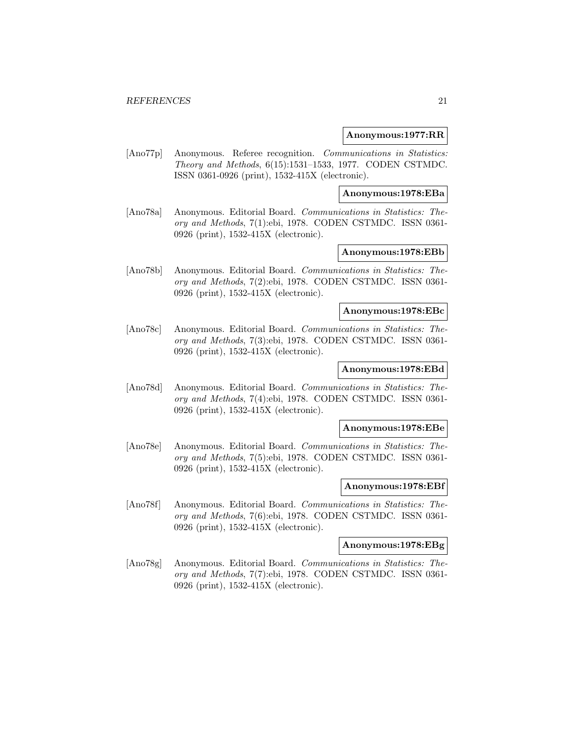#### **Anonymous:1977:RR**

[Ano77p] Anonymous. Referee recognition. Communications in Statistics: Theory and Methods, 6(15):1531–1533, 1977. CODEN CSTMDC. ISSN 0361-0926 (print), 1532-415X (electronic).

**Anonymous:1978:EBa**

[Ano78a] Anonymous. Editorial Board. Communications in Statistics: Theory and Methods, 7(1):ebi, 1978. CODEN CSTMDC. ISSN 0361- 0926 (print), 1532-415X (electronic).

## **Anonymous:1978:EBb**

[Ano78b] Anonymous. Editorial Board. Communications in Statistics: Theory and Methods, 7(2):ebi, 1978. CODEN CSTMDC. ISSN 0361- 0926 (print), 1532-415X (electronic).

#### **Anonymous:1978:EBc**

[Ano78c] Anonymous. Editorial Board. Communications in Statistics: Theory and Methods, 7(3):ebi, 1978. CODEN CSTMDC. ISSN 0361- 0926 (print), 1532-415X (electronic).

# **Anonymous:1978:EBd**

[Ano78d] Anonymous. Editorial Board. Communications in Statistics: Theory and Methods, 7(4):ebi, 1978. CODEN CSTMDC. ISSN 0361- 0926 (print), 1532-415X (electronic).

#### **Anonymous:1978:EBe**

[Ano78e] Anonymous. Editorial Board. Communications in Statistics: Theory and Methods, 7(5):ebi, 1978. CODEN CSTMDC. ISSN 0361- 0926 (print), 1532-415X (electronic).

#### **Anonymous:1978:EBf**

[Ano78f] Anonymous. Editorial Board. Communications in Statistics: Theory and Methods, 7(6):ebi, 1978. CODEN CSTMDC. ISSN 0361- 0926 (print), 1532-415X (electronic).

#### **Anonymous:1978:EBg**

[Ano78g] Anonymous. Editorial Board. Communications in Statistics: Theory and Methods, 7(7):ebi, 1978. CODEN CSTMDC. ISSN 0361- 0926 (print), 1532-415X (electronic).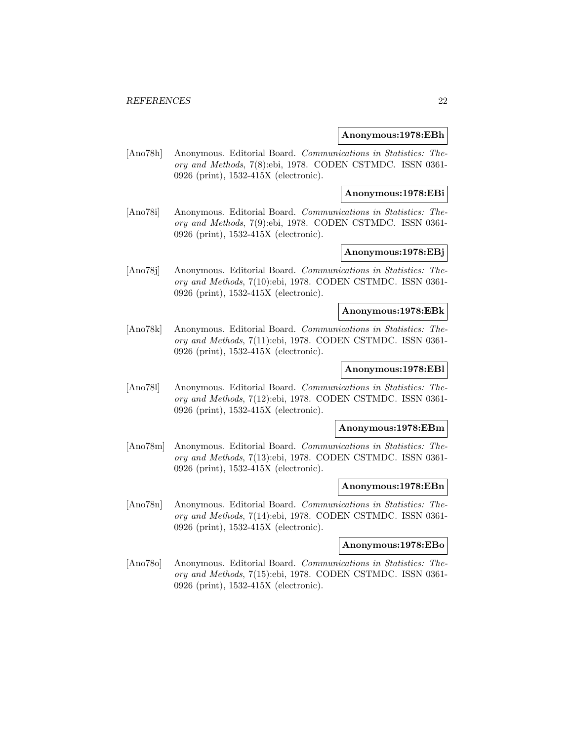#### **Anonymous:1978:EBh**

[Ano78h] Anonymous. Editorial Board. Communications in Statistics: Theory and Methods, 7(8):ebi, 1978. CODEN CSTMDC. ISSN 0361- 0926 (print), 1532-415X (electronic).

#### **Anonymous:1978:EBi**

[Ano78i] Anonymous. Editorial Board. Communications in Statistics: Theory and Methods, 7(9):ebi, 1978. CODEN CSTMDC. ISSN 0361- 0926 (print), 1532-415X (electronic).

# **Anonymous:1978:EBj**

[Ano78j] Anonymous. Editorial Board. Communications in Statistics: Theory and Methods, 7(10):ebi, 1978. CODEN CSTMDC. ISSN 0361- 0926 (print), 1532-415X (electronic).

#### **Anonymous:1978:EBk**

[Ano78k] Anonymous. Editorial Board. Communications in Statistics: Theory and Methods, 7(11):ebi, 1978. CODEN CSTMDC. ISSN 0361- 0926 (print), 1532-415X (electronic).

# **Anonymous:1978:EBl**

[Ano78l] Anonymous. Editorial Board. Communications in Statistics: Theory and Methods, 7(12):ebi, 1978. CODEN CSTMDC. ISSN 0361- 0926 (print), 1532-415X (electronic).

#### **Anonymous:1978:EBm**

[Ano78m] Anonymous. Editorial Board. Communications in Statistics: Theory and Methods, 7(13):ebi, 1978. CODEN CSTMDC. ISSN 0361- 0926 (print), 1532-415X (electronic).

#### **Anonymous:1978:EBn**

[Ano78n] Anonymous. Editorial Board. Communications in Statistics: Theory and Methods, 7(14):ebi, 1978. CODEN CSTMDC. ISSN 0361- 0926 (print), 1532-415X (electronic).

#### **Anonymous:1978:EBo**

[Ano78o] Anonymous. Editorial Board. Communications in Statistics: Theory and Methods, 7(15):ebi, 1978. CODEN CSTMDC. ISSN 0361- 0926 (print), 1532-415X (electronic).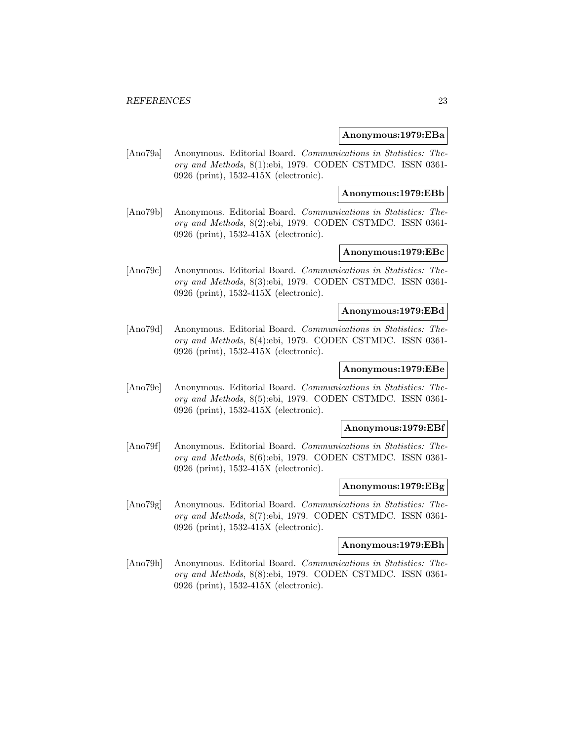#### **Anonymous:1979:EBa**

[Ano79a] Anonymous. Editorial Board. Communications in Statistics: Theory and Methods, 8(1):ebi, 1979. CODEN CSTMDC. ISSN 0361- 0926 (print), 1532-415X (electronic).

#### **Anonymous:1979:EBb**

[Ano79b] Anonymous. Editorial Board. Communications in Statistics: Theory and Methods, 8(2):ebi, 1979. CODEN CSTMDC. ISSN 0361- 0926 (print), 1532-415X (electronic).

# **Anonymous:1979:EBc**

[Ano79c] Anonymous. Editorial Board. Communications in Statistics: Theory and Methods, 8(3):ebi, 1979. CODEN CSTMDC. ISSN 0361- 0926 (print), 1532-415X (electronic).

#### **Anonymous:1979:EBd**

[Ano79d] Anonymous. Editorial Board. Communications in Statistics: Theory and Methods, 8(4):ebi, 1979. CODEN CSTMDC. ISSN 0361- 0926 (print), 1532-415X (electronic).

# **Anonymous:1979:EBe**

[Ano79e] Anonymous. Editorial Board. Communications in Statistics: Theory and Methods, 8(5):ebi, 1979. CODEN CSTMDC. ISSN 0361- 0926 (print), 1532-415X (electronic).

#### **Anonymous:1979:EBf**

[Ano79f] Anonymous. Editorial Board. Communications in Statistics: Theory and Methods, 8(6):ebi, 1979. CODEN CSTMDC. ISSN 0361- 0926 (print), 1532-415X (electronic).

#### **Anonymous:1979:EBg**

[Ano79g] Anonymous. Editorial Board. Communications in Statistics: Theory and Methods, 8(7):ebi, 1979. CODEN CSTMDC. ISSN 0361- 0926 (print), 1532-415X (electronic).

#### **Anonymous:1979:EBh**

[Ano79h] Anonymous. Editorial Board. Communications in Statistics: Theory and Methods, 8(8):ebi, 1979. CODEN CSTMDC. ISSN 0361- 0926 (print), 1532-415X (electronic).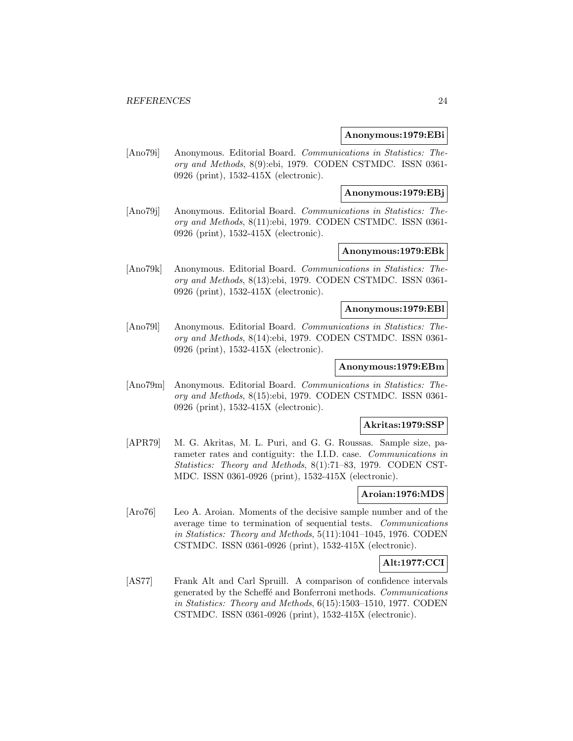#### **Anonymous:1979:EBi**

[Ano79i] Anonymous. Editorial Board. Communications in Statistics: Theory and Methods, 8(9):ebi, 1979. CODEN CSTMDC. ISSN 0361- 0926 (print), 1532-415X (electronic).

#### **Anonymous:1979:EBj**

[Ano79j] Anonymous. Editorial Board. Communications in Statistics: Theory and Methods, 8(11):ebi, 1979. CODEN CSTMDC. ISSN 0361- 0926 (print), 1532-415X (electronic).

# **Anonymous:1979:EBk**

[Ano79k] Anonymous. Editorial Board. Communications in Statistics: Theory and Methods, 8(13):ebi, 1979. CODEN CSTMDC. ISSN 0361- 0926 (print), 1532-415X (electronic).

# **Anonymous:1979:EBl**

[Ano79l] Anonymous. Editorial Board. Communications in Statistics: Theory and Methods, 8(14):ebi, 1979. CODEN CSTMDC. ISSN 0361- 0926 (print), 1532-415X (electronic).

#### **Anonymous:1979:EBm**

[Ano79m] Anonymous. Editorial Board. Communications in Statistics: Theory and Methods, 8(15):ebi, 1979. CODEN CSTMDC. ISSN 0361- 0926 (print), 1532-415X (electronic).

#### **Akritas:1979:SSP**

[APR79] M. G. Akritas, M. L. Puri, and G. G. Roussas. Sample size, parameter rates and contiguity: the I.I.D. case. Communications in Statistics: Theory and Methods, 8(1):71–83, 1979. CODEN CST-MDC. ISSN 0361-0926 (print), 1532-415X (electronic).

# **Aroian:1976:MDS**

[Aro76] Leo A. Aroian. Moments of the decisive sample number and of the average time to termination of sequential tests. Communications in Statistics: Theory and Methods, 5(11):1041–1045, 1976. CODEN CSTMDC. ISSN 0361-0926 (print), 1532-415X (electronic).

# **Alt:1977:CCI**

[AS77] Frank Alt and Carl Spruill. A comparison of confidence intervals generated by the Scheffé and Bonferroni methods. Communications in Statistics: Theory and Methods, 6(15):1503–1510, 1977. CODEN CSTMDC. ISSN 0361-0926 (print), 1532-415X (electronic).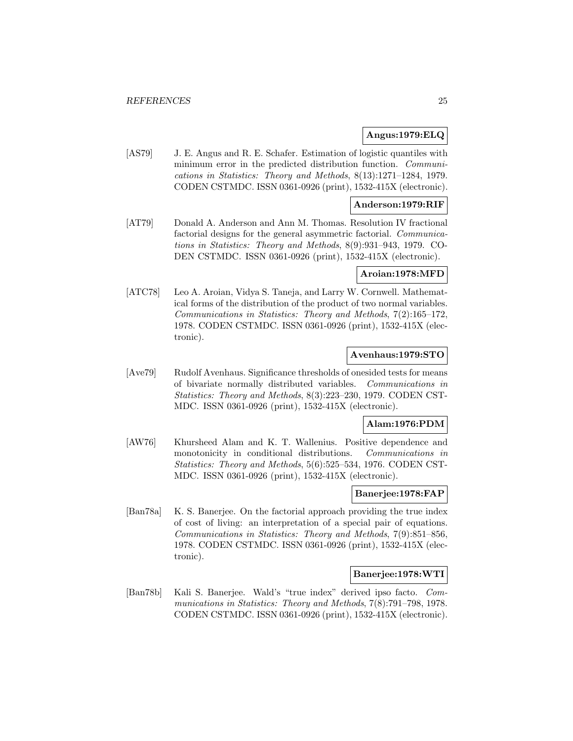# **Angus:1979:ELQ**

[AS79] J. E. Angus and R. E. Schafer. Estimation of logistic quantiles with minimum error in the predicted distribution function. *Communi*cations in Statistics: Theory and Methods, 8(13):1271–1284, 1979. CODEN CSTMDC. ISSN 0361-0926 (print), 1532-415X (electronic).

# **Anderson:1979:RIF**

[AT79] Donald A. Anderson and Ann M. Thomas. Resolution IV fractional factorial designs for the general asymmetric factorial. Communications in Statistics: Theory and Methods, 8(9):931–943, 1979. CO-DEN CSTMDC. ISSN 0361-0926 (print), 1532-415X (electronic).

#### **Aroian:1978:MFD**

[ATC78] Leo A. Aroian, Vidya S. Taneja, and Larry W. Cornwell. Mathematical forms of the distribution of the product of two normal variables. Communications in Statistics: Theory and Methods, 7(2):165–172, 1978. CODEN CSTMDC. ISSN 0361-0926 (print), 1532-415X (electronic).

## **Avenhaus:1979:STO**

[Ave79] Rudolf Avenhaus. Significance thresholds of onesided tests for means of bivariate normally distributed variables. Communications in Statistics: Theory and Methods, 8(3):223–230, 1979. CODEN CST-MDC. ISSN 0361-0926 (print), 1532-415X (electronic).

## **Alam:1976:PDM**

[AW76] Khursheed Alam and K. T. Wallenius. Positive dependence and monotonicity in conditional distributions. Communications in Statistics: Theory and Methods, 5(6):525–534, 1976. CODEN CST-MDC. ISSN 0361-0926 (print), 1532-415X (electronic).

# **Banerjee:1978:FAP**

[Ban78a] K. S. Banerjee. On the factorial approach providing the true index of cost of living: an interpretation of a special pair of equations. Communications in Statistics: Theory and Methods, 7(9):851–856, 1978. CODEN CSTMDC. ISSN 0361-0926 (print), 1532-415X (electronic).

# **Banerjee:1978:WTI**

[Ban78b] Kali S. Banerjee. Wald's "true index" derived ipso facto. Communications in Statistics: Theory and Methods, 7(8):791–798, 1978. CODEN CSTMDC. ISSN 0361-0926 (print), 1532-415X (electronic).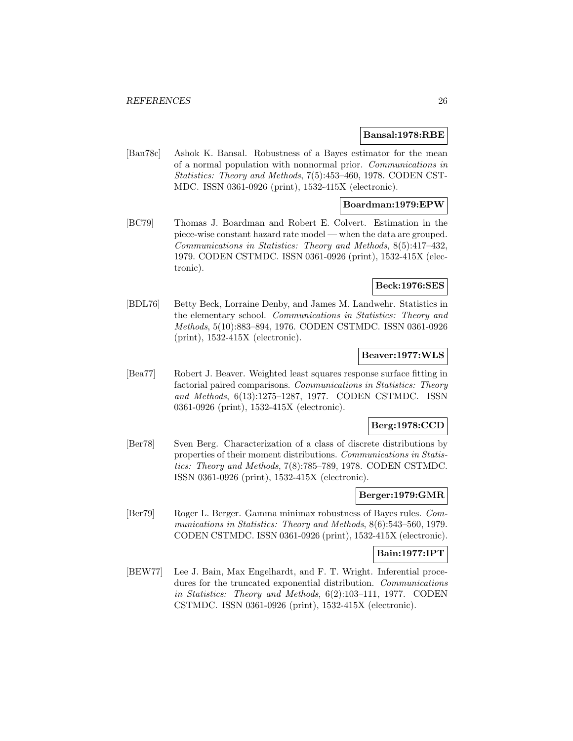#### **Bansal:1978:RBE**

[Ban78c] Ashok K. Bansal. Robustness of a Bayes estimator for the mean of a normal population with nonnormal prior. Communications in Statistics: Theory and Methods, 7(5):453–460, 1978. CODEN CST-MDC. ISSN 0361-0926 (print), 1532-415X (electronic).

## **Boardman:1979:EPW**

[BC79] Thomas J. Boardman and Robert E. Colvert. Estimation in the piece-wise constant hazard rate model — when the data are grouped. Communications in Statistics: Theory and Methods, 8(5):417–432, 1979. CODEN CSTMDC. ISSN 0361-0926 (print), 1532-415X (electronic).

#### **Beck:1976:SES**

[BDL76] Betty Beck, Lorraine Denby, and James M. Landwehr. Statistics in the elementary school. Communications in Statistics: Theory and Methods, 5(10):883–894, 1976. CODEN CSTMDC. ISSN 0361-0926 (print), 1532-415X (electronic).

# **Beaver:1977:WLS**

[Bea77] Robert J. Beaver. Weighted least squares response surface fitting in factorial paired comparisons. Communications in Statistics: Theory and Methods, 6(13):1275–1287, 1977. CODEN CSTMDC. ISSN 0361-0926 (print), 1532-415X (electronic).

#### **Berg:1978:CCD**

[Ber78] Sven Berg. Characterization of a class of discrete distributions by properties of their moment distributions. Communications in Statistics: Theory and Methods, 7(8):785–789, 1978. CODEN CSTMDC. ISSN 0361-0926 (print), 1532-415X (electronic).

# **Berger:1979:GMR**

[Ber79] Roger L. Berger. Gamma minimax robustness of Bayes rules. Communications in Statistics: Theory and Methods, 8(6):543–560, 1979. CODEN CSTMDC. ISSN 0361-0926 (print), 1532-415X (electronic).

#### **Bain:1977:IPT**

[BEW77] Lee J. Bain, Max Engelhardt, and F. T. Wright. Inferential procedures for the truncated exponential distribution. Communications in Statistics: Theory and Methods, 6(2):103–111, 1977. CODEN CSTMDC. ISSN 0361-0926 (print), 1532-415X (electronic).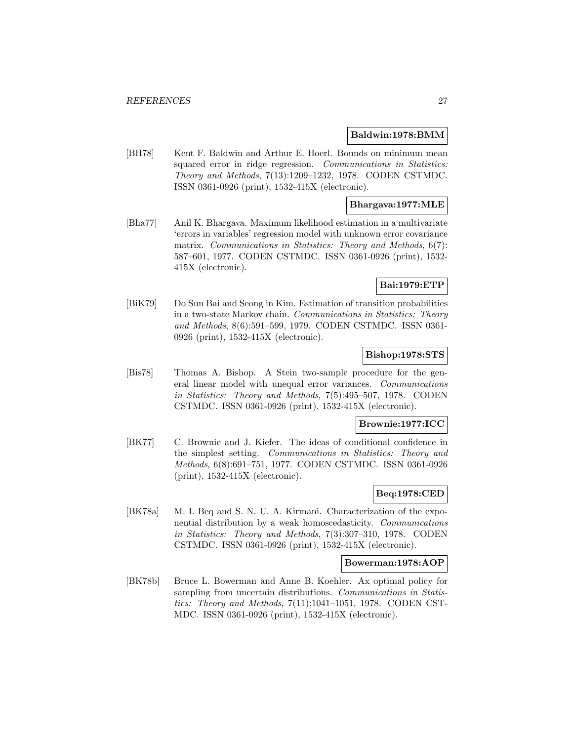#### **Baldwin:1978:BMM**

[BH78] Kent F. Baldwin and Arthur E. Hoerl. Bounds on minimum mean squared error in ridge regression. Communications in Statistics: Theory and Methods, 7(13):1209–1232, 1978. CODEN CSTMDC. ISSN 0361-0926 (print), 1532-415X (electronic).

# **Bhargava:1977:MLE**

[Bha77] Anil K. Bhargava. Maximum likelihood estimation in a multivariate 'errors in variables' regression model with unknown error covariance matrix. Communications in Statistics: Theory and Methods, 6(7): 587–601, 1977. CODEN CSTMDC. ISSN 0361-0926 (print), 1532- 415X (electronic).

# **Bai:1979:ETP**

[BiK79] Do Sun Bai and Seong in Kim. Estimation of transition probabilities in a two-state Markov chain. Communications in Statistics: Theory and Methods, 8(6):591–599, 1979. CODEN CSTMDC. ISSN 0361- 0926 (print), 1532-415X (electronic).

## **Bishop:1978:STS**

[Bis78] Thomas A. Bishop. A Stein two-sample procedure for the general linear model with unequal error variances. Communications in Statistics: Theory and Methods, 7(5):495–507, 1978. CODEN CSTMDC. ISSN 0361-0926 (print), 1532-415X (electronic).

#### **Brownie:1977:ICC**

[BK77] C. Brownie and J. Kiefer. The ideas of conditional confidence in the simplest setting. Communications in Statistics: Theory and Methods, 6(8):691–751, 1977. CODEN CSTMDC. ISSN 0361-0926 (print), 1532-415X (electronic).

# **Beq:1978:CED**

[BK78a] M. I. Beq and S. N. U. A. Kirmani. Characterization of the exponential distribution by a weak homoscedasticity. Communications in Statistics: Theory and Methods, 7(3):307–310, 1978. CODEN CSTMDC. ISSN 0361-0926 (print), 1532-415X (electronic).

#### **Bowerman:1978:AOP**

[BK78b] Bruce L. Bowerman and Anne B. Koehler. Ax optimal policy for sampling from uncertain distributions. Communications in Statistics: Theory and Methods, 7(11):1041–1051, 1978. CODEN CST-MDC. ISSN 0361-0926 (print), 1532-415X (electronic).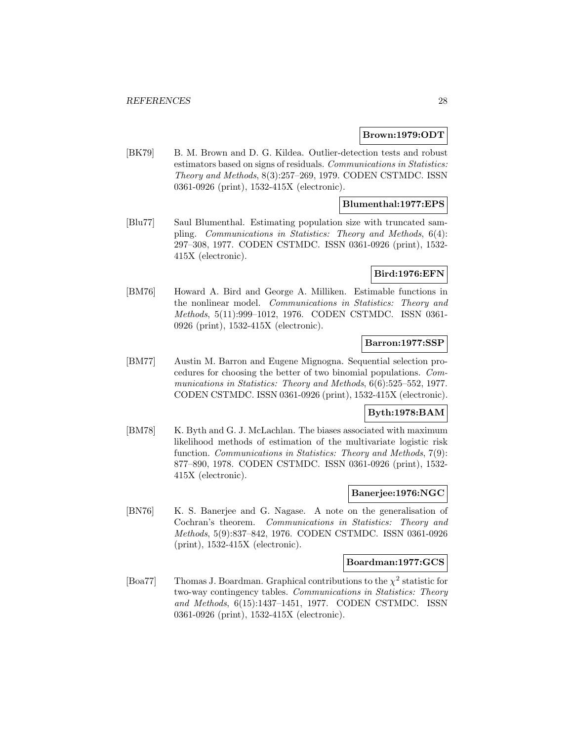#### **Brown:1979:ODT**

[BK79] B. M. Brown and D. G. Kildea. Outlier-detection tests and robust estimators based on signs of residuals. Communications in Statistics: Theory and Methods, 8(3):257–269, 1979. CODEN CSTMDC. ISSN 0361-0926 (print), 1532-415X (electronic).

#### **Blumenthal:1977:EPS**

[Blu77] Saul Blumenthal. Estimating population size with truncated sampling. Communications in Statistics: Theory and Methods, 6(4): 297–308, 1977. CODEN CSTMDC. ISSN 0361-0926 (print), 1532- 415X (electronic).

#### **Bird:1976:EFN**

[BM76] Howard A. Bird and George A. Milliken. Estimable functions in the nonlinear model. Communications in Statistics: Theory and Methods, 5(11):999–1012, 1976. CODEN CSTMDC. ISSN 0361- 0926 (print), 1532-415X (electronic).

## **Barron:1977:SSP**

[BM77] Austin M. Barron and Eugene Mignogna. Sequential selection procedures for choosing the better of two binomial populations. Communications in Statistics: Theory and Methods,  $6(6)$ :525-552, 1977. CODEN CSTMDC. ISSN 0361-0926 (print), 1532-415X (electronic).

## **Byth:1978:BAM**

[BM78] K. Byth and G. J. McLachlan. The biases associated with maximum likelihood methods of estimation of the multivariate logistic risk function. Communications in Statistics: Theory and Methods, 7(9): 877–890, 1978. CODEN CSTMDC. ISSN 0361-0926 (print), 1532- 415X (electronic).

#### **Banerjee:1976:NGC**

[BN76] K. S. Banerjee and G. Nagase. A note on the generalisation of Cochran's theorem. Communications in Statistics: Theory and Methods, 5(9):837–842, 1976. CODEN CSTMDC. ISSN 0361-0926 (print), 1532-415X (electronic).

#### **Boardman:1977:GCS**

[Boa77] Thomas J. Boardman. Graphical contributions to the  $\chi^2$  statistic for two-way contingency tables. Communications in Statistics: Theory and Methods, 6(15):1437–1451, 1977. CODEN CSTMDC. ISSN 0361-0926 (print), 1532-415X (electronic).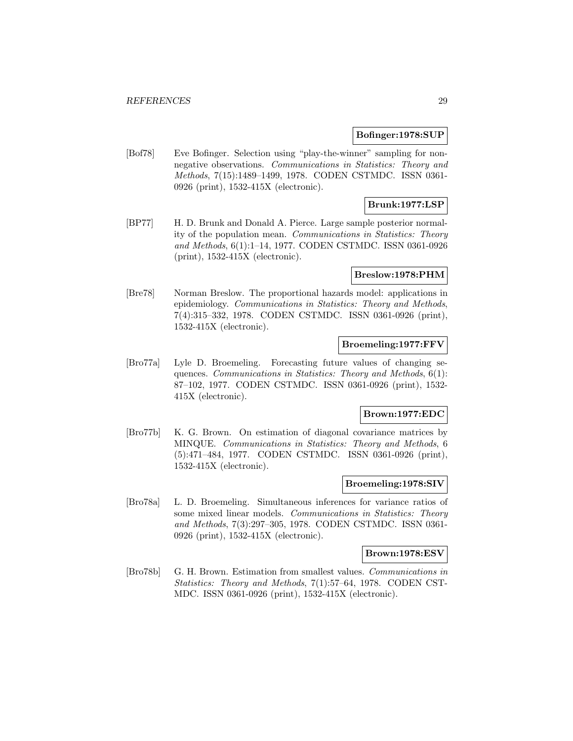#### **Bofinger:1978:SUP**

[Bof78] Eve Bofinger. Selection using "play-the-winner" sampling for nonnegative observations. Communications in Statistics: Theory and Methods, 7(15):1489–1499, 1978. CODEN CSTMDC. ISSN 0361- 0926 (print), 1532-415X (electronic).

# **Brunk:1977:LSP**

[BP77] H. D. Brunk and Donald A. Pierce. Large sample posterior normality of the population mean. Communications in Statistics: Theory and Methods, 6(1):1–14, 1977. CODEN CSTMDC. ISSN 0361-0926 (print), 1532-415X (electronic).

#### **Breslow:1978:PHM**

[Bre78] Norman Breslow. The proportional hazards model: applications in epidemiology. Communications in Statistics: Theory and Methods, 7(4):315–332, 1978. CODEN CSTMDC. ISSN 0361-0926 (print), 1532-415X (electronic).

# **Broemeling:1977:FFV**

[Bro77a] Lyle D. Broemeling. Forecasting future values of changing sequences. Communications in Statistics: Theory and Methods, 6(1): 87–102, 1977. CODEN CSTMDC. ISSN 0361-0926 (print), 1532- 415X (electronic).

## **Brown:1977:EDC**

[Bro77b] K. G. Brown. On estimation of diagonal covariance matrices by MINQUE. Communications in Statistics: Theory and Methods, 6 (5):471–484, 1977. CODEN CSTMDC. ISSN 0361-0926 (print), 1532-415X (electronic).

# **Broemeling:1978:SIV**

[Bro78a] L. D. Broemeling. Simultaneous inferences for variance ratios of some mixed linear models. Communications in Statistics: Theory and Methods, 7(3):297–305, 1978. CODEN CSTMDC. ISSN 0361- 0926 (print), 1532-415X (electronic).

# **Brown:1978:ESV**

[Bro78b] G. H. Brown. Estimation from smallest values. Communications in Statistics: Theory and Methods, 7(1):57–64, 1978. CODEN CST-MDC. ISSN 0361-0926 (print), 1532-415X (electronic).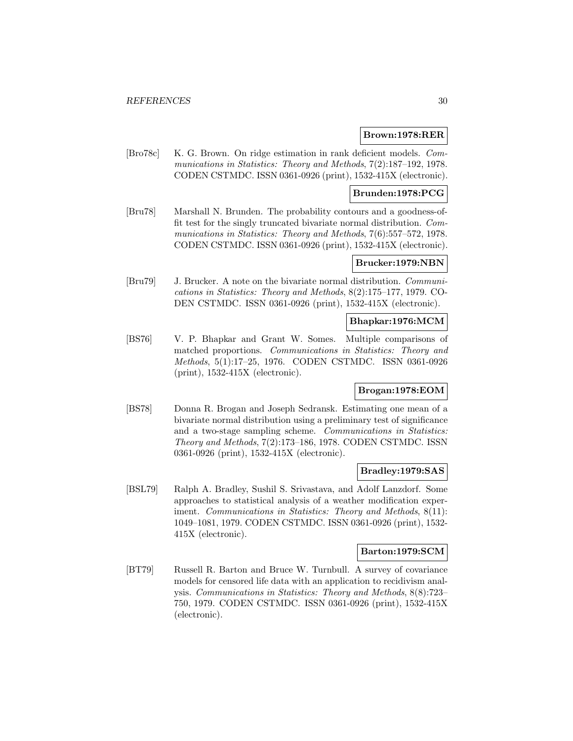#### **Brown:1978:RER**

[Bro78c] K. G. Brown. On ridge estimation in rank deficient models. Communications in Statistics: Theory and Methods,  $7(2)$ :187-192, 1978. CODEN CSTMDC. ISSN 0361-0926 (print), 1532-415X (electronic).

## **Brunden:1978:PCG**

[Bru78] Marshall N. Brunden. The probability contours and a goodness-offit test for the singly truncated bivariate normal distribution. Communications in Statistics: Theory and Methods, 7(6):557–572, 1978. CODEN CSTMDC. ISSN 0361-0926 (print), 1532-415X (electronic).

# **Brucker:1979:NBN**

[Bru79] J. Brucker. A note on the bivariate normal distribution. Communications in Statistics: Theory and Methods, 8(2):175–177, 1979. CO-DEN CSTMDC. ISSN 0361-0926 (print), 1532-415X (electronic).

#### **Bhapkar:1976:MCM**

[BS76] V. P. Bhapkar and Grant W. Somes. Multiple comparisons of matched proportions. Communications in Statistics: Theory and Methods, 5(1):17–25, 1976. CODEN CSTMDC. ISSN 0361-0926 (print), 1532-415X (electronic).

# **Brogan:1978:EOM**

[BS78] Donna R. Brogan and Joseph Sedransk. Estimating one mean of a bivariate normal distribution using a preliminary test of significance and a two-stage sampling scheme. Communications in Statistics: Theory and Methods, 7(2):173–186, 1978. CODEN CSTMDC. ISSN 0361-0926 (print), 1532-415X (electronic).

#### **Bradley:1979:SAS**

[BSL79] Ralph A. Bradley, Sushil S. Srivastava, and Adolf Lanzdorf. Some approaches to statistical analysis of a weather modification experiment. Communications in Statistics: Theory and Methods, 8(11): 1049–1081, 1979. CODEN CSTMDC. ISSN 0361-0926 (print), 1532- 415X (electronic).

#### **Barton:1979:SCM**

[BT79] Russell R. Barton and Bruce W. Turnbull. A survey of covariance models for censored life data with an application to recidivism analysis. Communications in Statistics: Theory and Methods, 8(8):723– 750, 1979. CODEN CSTMDC. ISSN 0361-0926 (print), 1532-415X (electronic).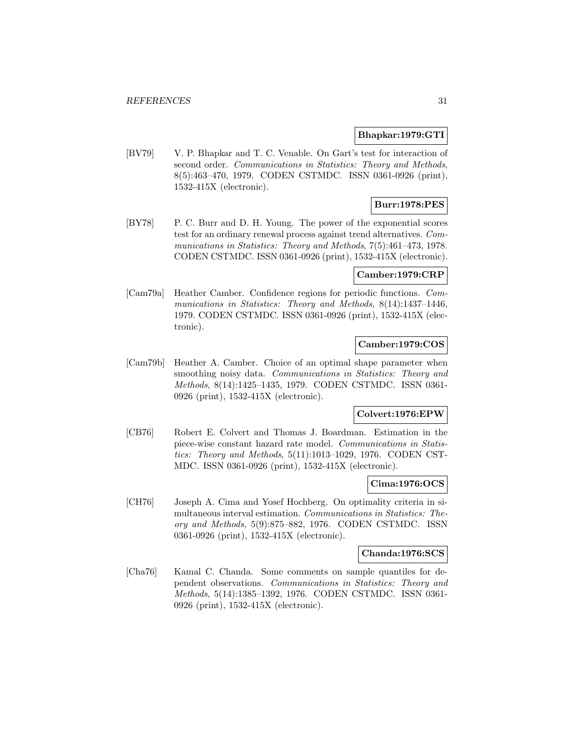#### **Bhapkar:1979:GTI**

[BV79] V. P. Bhapkar and T. C. Venable. On Gart's test for interaction of second order. Communications in Statistics: Theory and Methods, 8(5):463–470, 1979. CODEN CSTMDC. ISSN 0361-0926 (print), 1532-415X (electronic).

# **Burr:1978:PES**

[BY78] P. C. Burr and D. H. Young. The power of the exponential scores test for an ordinary renewal process against trend alternatives. Communications in Statistics: Theory and Methods, 7(5):461–473, 1978. CODEN CSTMDC. ISSN 0361-0926 (print), 1532-415X (electronic).

# **Camber:1979:CRP**

[Cam79a] Heather Camber. Confidence regions for periodic functions. Communications in Statistics: Theory and Methods, 8(14):1437-1446, 1979. CODEN CSTMDC. ISSN 0361-0926 (print), 1532-415X (electronic).

# **Camber:1979:COS**

[Cam79b] Heather A. Camber. Choice of an optimal shape parameter when smoothing noisy data. Communications in Statistics: Theory and Methods, 8(14):1425–1435, 1979. CODEN CSTMDC. ISSN 0361- 0926 (print), 1532-415X (electronic).

## **Colvert:1976:EPW**

[CB76] Robert E. Colvert and Thomas J. Boardman. Estimation in the piece-wise constant hazard rate model. Communications in Statistics: Theory and Methods, 5(11):1013–1029, 1976. CODEN CST-MDC. ISSN 0361-0926 (print), 1532-415X (electronic).

#### **Cima:1976:OCS**

[CH76] Joseph A. Cima and Yosef Hochberg. On optimality criteria in simultaneous interval estimation. Communications in Statistics: Theory and Methods, 5(9):875–882, 1976. CODEN CSTMDC. ISSN 0361-0926 (print), 1532-415X (electronic).

#### **Chanda:1976:SCS**

[Cha76] Kamal C. Chanda. Some comments on sample quantiles for dependent observations. Communications in Statistics: Theory and Methods, 5(14):1385–1392, 1976. CODEN CSTMDC. ISSN 0361- 0926 (print), 1532-415X (electronic).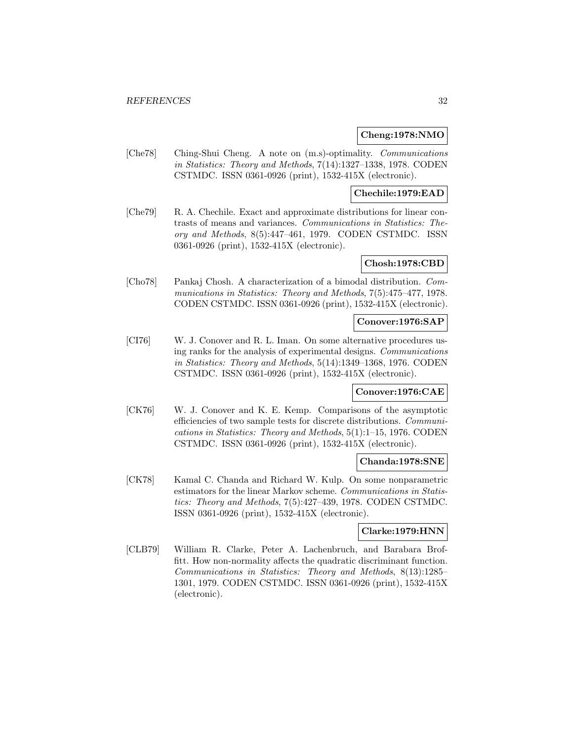#### **Cheng:1978:NMO**

[Che78] Ching-Shui Cheng. A note on (m.s)-optimality. Communications in Statistics: Theory and Methods, 7(14):1327–1338, 1978. CODEN CSTMDC. ISSN 0361-0926 (print), 1532-415X (electronic).

## **Chechile:1979:EAD**

[Che79] R. A. Chechile. Exact and approximate distributions for linear contrasts of means and variances. Communications in Statistics: Theory and Methods, 8(5):447–461, 1979. CODEN CSTMDC. ISSN 0361-0926 (print), 1532-415X (electronic).

#### **Chosh:1978:CBD**

[Cho78] Pankaj Chosh. A characterization of a bimodal distribution. Communications in Statistics: Theory and Methods, 7(5):475–477, 1978. CODEN CSTMDC. ISSN 0361-0926 (print), 1532-415X (electronic).

#### **Conover:1976:SAP**

[CI76] W. J. Conover and R. L. Iman. On some alternative procedures using ranks for the analysis of experimental designs. Communications in Statistics: Theory and Methods, 5(14):1349–1368, 1976. CODEN CSTMDC. ISSN 0361-0926 (print), 1532-415X (electronic).

#### **Conover:1976:CAE**

[CK76] W. J. Conover and K. E. Kemp. Comparisons of the asymptotic efficiencies of two sample tests for discrete distributions. Communications in Statistics: Theory and Methods, 5(1):1–15, 1976. CODEN CSTMDC. ISSN 0361-0926 (print), 1532-415X (electronic).

# **Chanda:1978:SNE**

[CK78] Kamal C. Chanda and Richard W. Kulp. On some nonparametric estimators for the linear Markov scheme. Communications in Statistics: Theory and Methods, 7(5):427–439, 1978. CODEN CSTMDC. ISSN 0361-0926 (print), 1532-415X (electronic).

#### **Clarke:1979:HNN**

[CLB79] William R. Clarke, Peter A. Lachenbruch, and Barabara Broffitt. How non-normality affects the quadratic discriminant function. Communications in Statistics: Theory and Methods, 8(13):1285– 1301, 1979. CODEN CSTMDC. ISSN 0361-0926 (print), 1532-415X (electronic).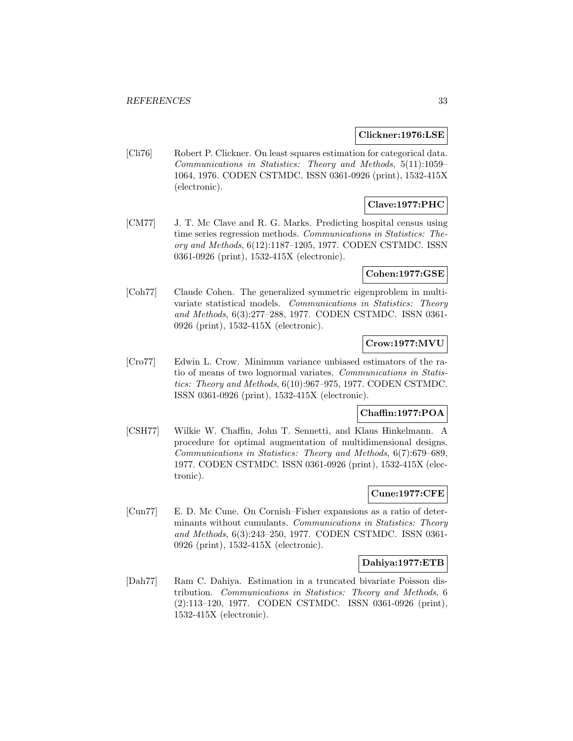#### **Clickner:1976:LSE**

[Cli76] Robert P. Clickner. On least squares estimation for categorical data. Communications in Statistics: Theory and Methods, 5(11):1059– 1064, 1976. CODEN CSTMDC. ISSN 0361-0926 (print), 1532-415X (electronic).

# **Clave:1977:PHC**

[CM77] J. T. Mc Clave and R. G. Marks. Predicting hospital census using time series regression methods. Communications in Statistics: Theory and Methods, 6(12):1187–1205, 1977. CODEN CSTMDC. ISSN 0361-0926 (print), 1532-415X (electronic).

## **Cohen:1977:GSE**

[Coh77] Claude Cohen. The generalized symmetric eigenproblem in multivariate statistical models. Communications in Statistics: Theory and Methods, 6(3):277–288, 1977. CODEN CSTMDC. ISSN 0361- 0926 (print), 1532-415X (electronic).

# **Crow:1977:MVU**

[Cro77] Edwin L. Crow. Minimum variance unbiased estimators of the ratio of means of two lognormal variates. Communications in Statistics: Theory and Methods, 6(10):967–975, 1977. CODEN CSTMDC. ISSN 0361-0926 (print), 1532-415X (electronic).

# **Chaffin:1977:POA**

[CSH77] Wilkie W. Chaffin, John T. Sennetti, and Klaus Hinkelmann. A procedure for optimal augmentation of multidimensional designs. Communications in Statistics: Theory and Methods, 6(7):679–689, 1977. CODEN CSTMDC. ISSN 0361-0926 (print), 1532-415X (electronic).

# **Cune:1977:CFE**

[Cun77] E. D. Mc Cune. On Cornish–Fisher expansions as a ratio of determinants without cumulants. Communications in Statistics: Theory and Methods, 6(3):243–250, 1977. CODEN CSTMDC. ISSN 0361- 0926 (print), 1532-415X (electronic).

## **Dahiya:1977:ETB**

[Dah77] Ram C. Dahiya. Estimation in a truncated bivariate Poisson distribution. Communications in Statistics: Theory and Methods, 6 (2):113–120, 1977. CODEN CSTMDC. ISSN 0361-0926 (print), 1532-415X (electronic).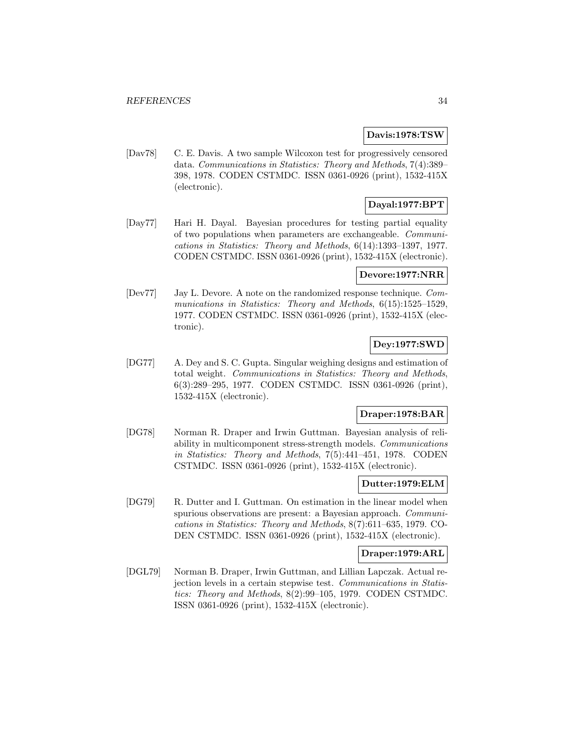# **Davis:1978:TSW**

[Dav78] C. E. Davis. A two sample Wilcoxon test for progressively censored data. Communications in Statistics: Theory and Methods, 7(4):389– 398, 1978. CODEN CSTMDC. ISSN 0361-0926 (print), 1532-415X (electronic).

# **Dayal:1977:BPT**

[Day77] Hari H. Dayal. Bayesian procedures for testing partial equality of two populations when parameters are exchangeable. Communications in Statistics: Theory and Methods, 6(14):1393–1397, 1977. CODEN CSTMDC. ISSN 0361-0926 (print), 1532-415X (electronic).

# **Devore:1977:NRR**

[Dev77] Jay L. Devore. A note on the randomized response technique. Communications in Statistics: Theory and Methods,  $6(15):1525-1529$ , 1977. CODEN CSTMDC. ISSN 0361-0926 (print), 1532-415X (electronic).

# **Dey:1977:SWD**

[DG77] A. Dey and S. C. Gupta. Singular weighing designs and estimation of total weight. Communications in Statistics: Theory and Methods, 6(3):289–295, 1977. CODEN CSTMDC. ISSN 0361-0926 (print), 1532-415X (electronic).

# **Draper:1978:BAR**

[DG78] Norman R. Draper and Irwin Guttman. Bayesian analysis of reliability in multicomponent stress-strength models. Communications in Statistics: Theory and Methods, 7(5):441–451, 1978. CODEN CSTMDC. ISSN 0361-0926 (print), 1532-415X (electronic).

# **Dutter:1979:ELM**

[DG79] R. Dutter and I. Guttman. On estimation in the linear model when spurious observations are present: a Bayesian approach. Communications in Statistics: Theory and Methods, 8(7):611–635, 1979. CO-DEN CSTMDC. ISSN 0361-0926 (print), 1532-415X (electronic).

# **Draper:1979:ARL**

[DGL79] Norman B. Draper, Irwin Guttman, and Lillian Lapczak. Actual rejection levels in a certain stepwise test. Communications in Statistics: Theory and Methods, 8(2):99–105, 1979. CODEN CSTMDC. ISSN 0361-0926 (print), 1532-415X (electronic).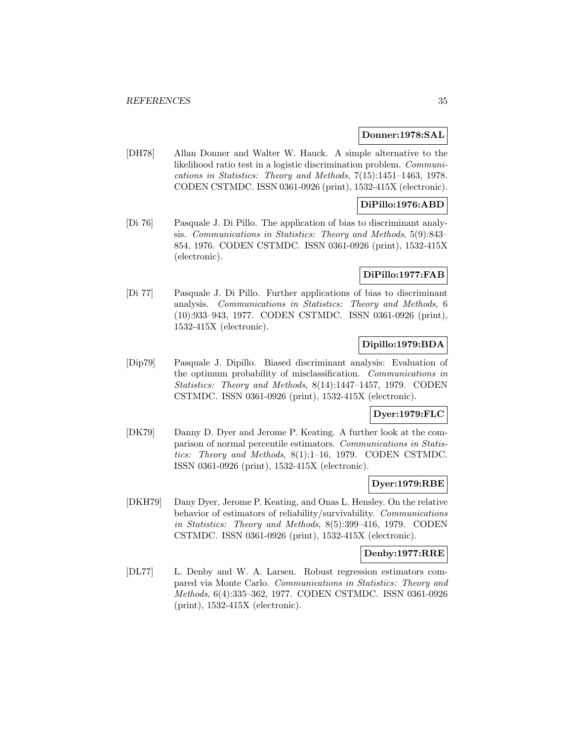## **Donner:1978:SAL**

[DH78] Allan Donner and Walter W. Hauck. A simple alternative to the likelihood ratio test in a logistic discrimination problem. Communications in Statistics: Theory and Methods, 7(15):1451–1463, 1978. CODEN CSTMDC. ISSN 0361-0926 (print), 1532-415X (electronic).

# **DiPillo:1976:ABD**

[Di 76] Pasquale J. Di Pillo. The application of bias to discriminant analysis. Communications in Statistics: Theory and Methods, 5(9):843– 854, 1976. CODEN CSTMDC. ISSN 0361-0926 (print), 1532-415X (electronic).

#### **DiPillo:1977:FAB**

[Di 77] Pasquale J. Di Pillo. Further applications of bias to discriminant analysis. Communications in Statistics: Theory and Methods, 6 (10):933–943, 1977. CODEN CSTMDC. ISSN 0361-0926 (print), 1532-415X (electronic).

# **Dipillo:1979:BDA**

[Dip79] Pasquale J. Dipillo. Biased discriminant analysis: Evaluation of the optimum probability of misclassification. Communications in Statistics: Theory and Methods, 8(14):1447–1457, 1979. CODEN CSTMDC. ISSN 0361-0926 (print), 1532-415X (electronic).

## **Dyer:1979:FLC**

[DK79] Danny D. Dyer and Jerome P. Keating. A further look at the comparison of normal percentile estimators. Communications in Statistics: Theory and Methods, 8(1):1–16, 1979. CODEN CSTMDC. ISSN 0361-0926 (print), 1532-415X (electronic).

# **Dyer:1979:RBE**

[DKH79] Dany Dyer, Jerome P. Keating, and Onas L. Hensley. On the relative behavior of estimators of reliability/survivability. Communications in Statistics: Theory and Methods, 8(5):399–416, 1979. CODEN CSTMDC. ISSN 0361-0926 (print), 1532-415X (electronic).

#### **Denby:1977:RRE**

[DL77] L. Denby and W. A. Larsen. Robust regression estimators compared via Monte Carlo. Communications in Statistics: Theory and Methods, 6(4):335–362, 1977. CODEN CSTMDC. ISSN 0361-0926 (print), 1532-415X (electronic).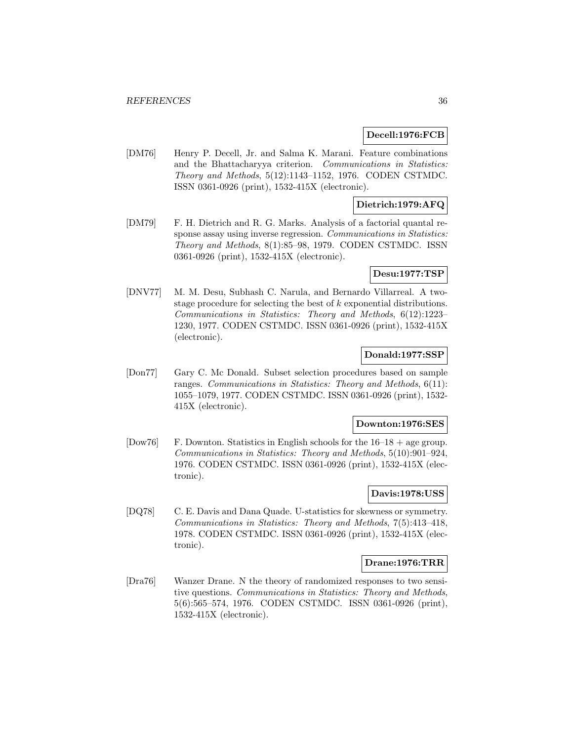## **Decell:1976:FCB**

[DM76] Henry P. Decell, Jr. and Salma K. Marani. Feature combinations and the Bhattacharyya criterion. Communications in Statistics: Theory and Methods, 5(12):1143–1152, 1976. CODEN CSTMDC. ISSN 0361-0926 (print), 1532-415X (electronic).

# **Dietrich:1979:AFQ**

[DM79] F. H. Dietrich and R. G. Marks. Analysis of a factorial quantal response assay using inverse regression. Communications in Statistics: Theory and Methods, 8(1):85–98, 1979. CODEN CSTMDC. ISSN 0361-0926 (print), 1532-415X (electronic).

## **Desu:1977:TSP**

[DNV77] M. M. Desu, Subhash C. Narula, and Bernardo Villarreal. A twostage procedure for selecting the best of  $k$  exponential distributions. Communications in Statistics: Theory and Methods, 6(12):1223– 1230, 1977. CODEN CSTMDC. ISSN 0361-0926 (print), 1532-415X (electronic).

# **Donald:1977:SSP**

[Don77] Gary C. Mc Donald. Subset selection procedures based on sample ranges. Communications in Statistics: Theory and Methods, 6(11): 1055–1079, 1977. CODEN CSTMDC. ISSN 0361-0926 (print), 1532- 415X (electronic).

#### **Downton:1976:SES**

[Dow76] F. Downton. Statistics in English schools for the  $16-18 +$  age group. Communications in Statistics: Theory and Methods, 5(10):901–924, 1976. CODEN CSTMDC. ISSN 0361-0926 (print), 1532-415X (electronic).

# **Davis:1978:USS**

[DQ78] C. E. Davis and Dana Quade. U-statistics for skewness or symmetry. Communications in Statistics: Theory and Methods, 7(5):413–418, 1978. CODEN CSTMDC. ISSN 0361-0926 (print), 1532-415X (electronic).

# **Drane:1976:TRR**

[Dra76] Wanzer Drane. N the theory of randomized responses to two sensitive questions. Communications in Statistics: Theory and Methods, 5(6):565–574, 1976. CODEN CSTMDC. ISSN 0361-0926 (print), 1532-415X (electronic).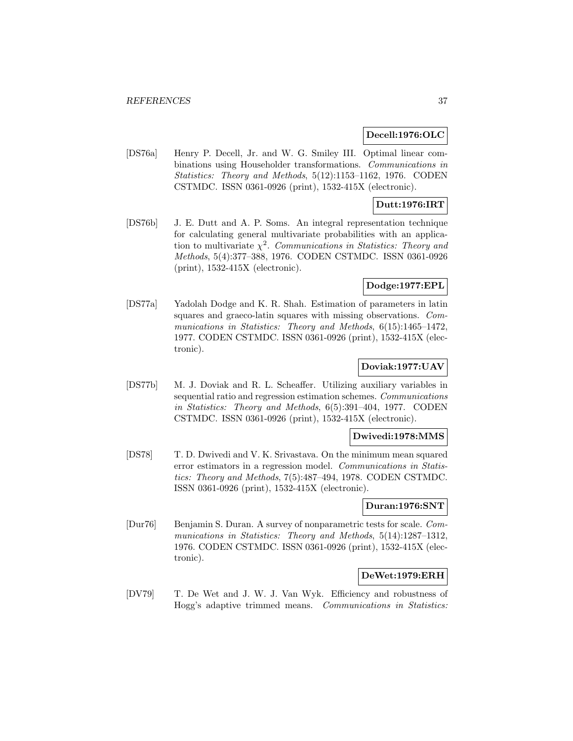### **Decell:1976:OLC**

[DS76a] Henry P. Decell, Jr. and W. G. Smiley III. Optimal linear combinations using Householder transformations. Communications in Statistics: Theory and Methods, 5(12):1153–1162, 1976. CODEN CSTMDC. ISSN 0361-0926 (print), 1532-415X (electronic).

# **Dutt:1976:IRT**

[DS76b] J. E. Dutt and A. P. Soms. An integral representation technique for calculating general multivariate probabilities with an application to multivariate  $\chi^2$ . Communications in Statistics: Theory and Methods, 5(4):377–388, 1976. CODEN CSTMDC. ISSN 0361-0926 (print), 1532-415X (electronic).

## **Dodge:1977:EPL**

[DS77a] Yadolah Dodge and K. R. Shah. Estimation of parameters in latin squares and graeco-latin squares with missing observations. Communications in Statistics: Theory and Methods, 6(15):1465-1472, 1977. CODEN CSTMDC. ISSN 0361-0926 (print), 1532-415X (electronic).

## **Doviak:1977:UAV**

[DS77b] M. J. Doviak and R. L. Scheaffer. Utilizing auxiliary variables in sequential ratio and regression estimation schemes. Communications in Statistics: Theory and Methods, 6(5):391–404, 1977. CODEN CSTMDC. ISSN 0361-0926 (print), 1532-415X (electronic).

## **Dwivedi:1978:MMS**

[DS78] T. D. Dwivedi and V. K. Srivastava. On the minimum mean squared error estimators in a regression model. Communications in Statistics: Theory and Methods, 7(5):487–494, 1978. CODEN CSTMDC. ISSN 0361-0926 (print), 1532-415X (electronic).

### **Duran:1976:SNT**

[Dur76] Benjamin S. Duran. A survey of nonparametric tests for scale. Communications in Statistics: Theory and Methods, 5(14):1287-1312, 1976. CODEN CSTMDC. ISSN 0361-0926 (print), 1532-415X (electronic).

## **DeWet:1979:ERH**

[DV79] T. De Wet and J. W. J. Van Wyk. Efficiency and robustness of Hogg's adaptive trimmed means. Communications in Statistics: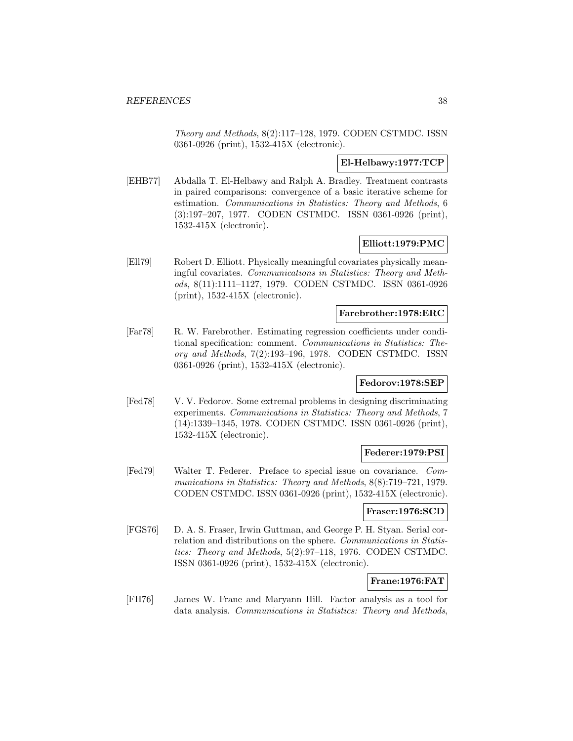Theory and Methods, 8(2):117–128, 1979. CODEN CSTMDC. ISSN 0361-0926 (print), 1532-415X (electronic).

## **El-Helbawy:1977:TCP**

[EHB77] Abdalla T. El-Helbawy and Ralph A. Bradley. Treatment contrasts in paired comparisons: convergence of a basic iterative scheme for estimation. Communications in Statistics: Theory and Methods, 6 (3):197–207, 1977. CODEN CSTMDC. ISSN 0361-0926 (print), 1532-415X (electronic).

#### **Elliott:1979:PMC**

[Ell79] Robert D. Elliott. Physically meaningful covariates physically meaningful covariates. Communications in Statistics: Theory and Methods, 8(11):1111–1127, 1979. CODEN CSTMDC. ISSN 0361-0926 (print), 1532-415X (electronic).

### **Farebrother:1978:ERC**

[Far78] R. W. Farebrother. Estimating regression coefficients under conditional specification: comment. Communications in Statistics: Theory and Methods, 7(2):193–196, 1978. CODEN CSTMDC. ISSN 0361-0926 (print), 1532-415X (electronic).

### **Fedorov:1978:SEP**

[Fed78] V. V. Fedorov. Some extremal problems in designing discriminating experiments. Communications in Statistics: Theory and Methods, 7 (14):1339–1345, 1978. CODEN CSTMDC. ISSN 0361-0926 (print), 1532-415X (electronic).

## **Federer:1979:PSI**

[Fed79] Walter T. Federer. Preface to special issue on covariance. Communications in Statistics: Theory and Methods, 8(8):719–721, 1979. CODEN CSTMDC. ISSN 0361-0926 (print), 1532-415X (electronic).

#### **Fraser:1976:SCD**

[FGS76] D. A. S. Fraser, Irwin Guttman, and George P. H. Styan. Serial correlation and distributions on the sphere. Communications in Statistics: Theory and Methods, 5(2):97–118, 1976. CODEN CSTMDC. ISSN 0361-0926 (print), 1532-415X (electronic).

## **Frane:1976:FAT**

[FH76] James W. Frane and Maryann Hill. Factor analysis as a tool for data analysis. Communications in Statistics: Theory and Methods,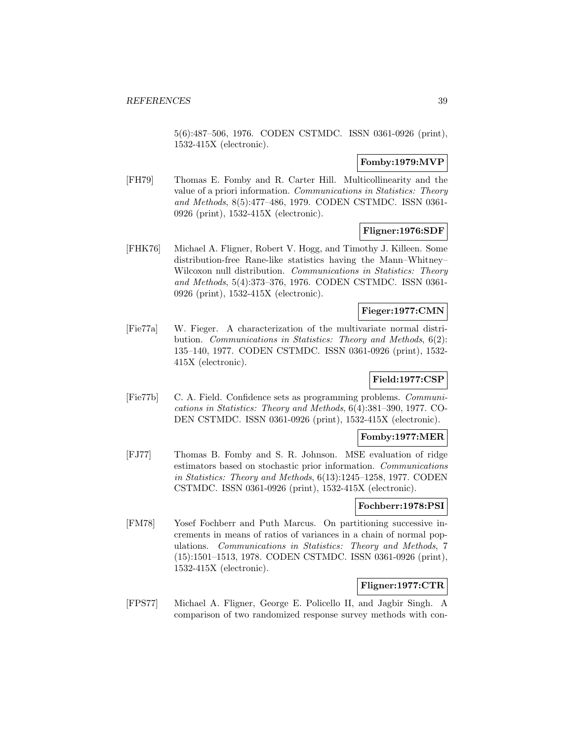5(6):487–506, 1976. CODEN CSTMDC. ISSN 0361-0926 (print), 1532-415X (electronic).

### **Fomby:1979:MVP**

[FH79] Thomas E. Fomby and R. Carter Hill. Multicollinearity and the value of a priori information. Communications in Statistics: Theory and Methods, 8(5):477–486, 1979. CODEN CSTMDC. ISSN 0361- 0926 (print), 1532-415X (electronic).

# **Fligner:1976:SDF**

[FHK76] Michael A. Fligner, Robert V. Hogg, and Timothy J. Killeen. Some distribution-free Rane-like statistics having the Mann–Whitney– Wilcoxon null distribution. Communications in Statistics: Theory and Methods, 5(4):373–376, 1976. CODEN CSTMDC. ISSN 0361- 0926 (print), 1532-415X (electronic).

### **Fieger:1977:CMN**

[Fie77a] W. Fieger. A characterization of the multivariate normal distribution. Communications in Statistics: Theory and Methods, 6(2): 135–140, 1977. CODEN CSTMDC. ISSN 0361-0926 (print), 1532- 415X (electronic).

## **Field:1977:CSP**

[Fie77b] C. A. Field. Confidence sets as programming problems. Communications in Statistics: Theory and Methods, 6(4):381–390, 1977. CO-DEN CSTMDC. ISSN 0361-0926 (print), 1532-415X (electronic).

### **Fomby:1977:MER**

[FJ77] Thomas B. Fomby and S. R. Johnson. MSE evaluation of ridge estimators based on stochastic prior information. Communications in Statistics: Theory and Methods, 6(13):1245–1258, 1977. CODEN CSTMDC. ISSN 0361-0926 (print), 1532-415X (electronic).

#### **Fochberr:1978:PSI**

[FM78] Yosef Fochberr and Puth Marcus. On partitioning successive increments in means of ratios of variances in a chain of normal populations. Communications in Statistics: Theory and Methods, 7 (15):1501–1513, 1978. CODEN CSTMDC. ISSN 0361-0926 (print), 1532-415X (electronic).

# **Fligner:1977:CTR**

[FPS77] Michael A. Fligner, George E. Policello II, and Jagbir Singh. A comparison of two randomized response survey methods with con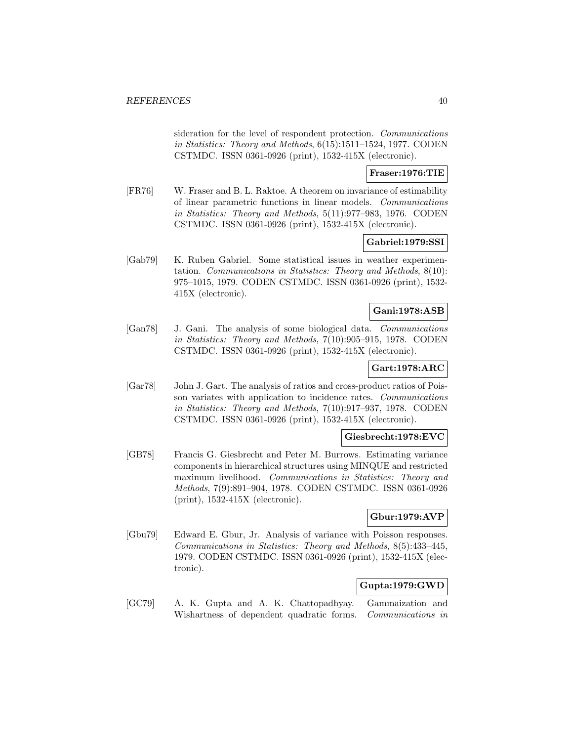sideration for the level of respondent protection. Communications in Statistics: Theory and Methods, 6(15):1511–1524, 1977. CODEN CSTMDC. ISSN 0361-0926 (print), 1532-415X (electronic).

### **Fraser:1976:TIE**

[FR76] W. Fraser and B. L. Raktoe. A theorem on invariance of estimability of linear parametric functions in linear models. Communications in Statistics: Theory and Methods, 5(11):977–983, 1976. CODEN CSTMDC. ISSN 0361-0926 (print), 1532-415X (electronic).

# **Gabriel:1979:SSI**

[Gab79] K. Ruben Gabriel. Some statistical issues in weather experimentation. Communications in Statistics: Theory and Methods, 8(10): 975–1015, 1979. CODEN CSTMDC. ISSN 0361-0926 (print), 1532- 415X (electronic).

## **Gani:1978:ASB**

[Gan78] J. Gani. The analysis of some biological data. Communications in Statistics: Theory and Methods, 7(10):905–915, 1978. CODEN CSTMDC. ISSN 0361-0926 (print), 1532-415X (electronic).

# **Gart:1978:ARC**

[Gar78] John J. Gart. The analysis of ratios and cross-product ratios of Poisson variates with application to incidence rates. Communications in Statistics: Theory and Methods, 7(10):917–937, 1978. CODEN CSTMDC. ISSN 0361-0926 (print), 1532-415X (electronic).

## **Giesbrecht:1978:EVC**

[GB78] Francis G. Giesbrecht and Peter M. Burrows. Estimating variance components in hierarchical structures using MINQUE and restricted maximum livelihood. Communications in Statistics: Theory and Methods, 7(9):891–904, 1978. CODEN CSTMDC. ISSN 0361-0926 (print), 1532-415X (electronic).

# **Gbur:1979:AVP**

[Gbu79] Edward E. Gbur, Jr. Analysis of variance with Poisson responses. Communications in Statistics: Theory and Methods, 8(5):433–445, 1979. CODEN CSTMDC. ISSN 0361-0926 (print), 1532-415X (electronic).

# **Gupta:1979:GWD**

[GC79] A. K. Gupta and A. K. Chattopadhyay. Gammaization and Wishartness of dependent quadratic forms. Communications in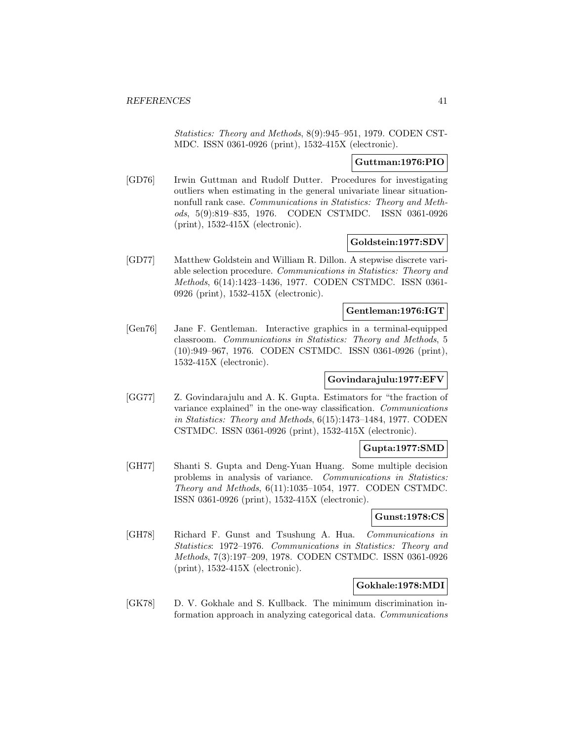Statistics: Theory and Methods, 8(9):945–951, 1979. CODEN CST-MDC. ISSN 0361-0926 (print), 1532-415X (electronic).

## **Guttman:1976:PIO**

[GD76] Irwin Guttman and Rudolf Dutter. Procedures for investigating outliers when estimating in the general univariate linear situationnonfull rank case. Communications in Statistics: Theory and Methods, 5(9):819–835, 1976. CODEN CSTMDC. ISSN 0361-0926 (print), 1532-415X (electronic).

## **Goldstein:1977:SDV**

[GD77] Matthew Goldstein and William R. Dillon. A stepwise discrete variable selection procedure. Communications in Statistics: Theory and Methods, 6(14):1423–1436, 1977. CODEN CSTMDC. ISSN 0361- 0926 (print), 1532-415X (electronic).

## **Gentleman:1976:IGT**

[Gen76] Jane F. Gentleman. Interactive graphics in a terminal-equipped classroom. Communications in Statistics: Theory and Methods, 5 (10):949–967, 1976. CODEN CSTMDC. ISSN 0361-0926 (print), 1532-415X (electronic).

## **Govindarajulu:1977:EFV**

[GG77] Z. Govindarajulu and A. K. Gupta. Estimators for "the fraction of variance explained" in the one-way classification. Communications in Statistics: Theory and Methods, 6(15):1473–1484, 1977. CODEN CSTMDC. ISSN 0361-0926 (print), 1532-415X (electronic).

## **Gupta:1977:SMD**

[GH77] Shanti S. Gupta and Deng-Yuan Huang. Some multiple decision problems in analysis of variance. Communications in Statistics: Theory and Methods, 6(11):1035–1054, 1977. CODEN CSTMDC. ISSN 0361-0926 (print), 1532-415X (electronic).

## **Gunst:1978:CS**

[GH78] Richard F. Gunst and Tsushung A. Hua. Communications in Statistics: 1972–1976. Communications in Statistics: Theory and Methods, 7(3):197–209, 1978. CODEN CSTMDC. ISSN 0361-0926 (print), 1532-415X (electronic).

## **Gokhale:1978:MDI**

[GK78] D. V. Gokhale and S. Kullback. The minimum discrimination information approach in analyzing categorical data. Communications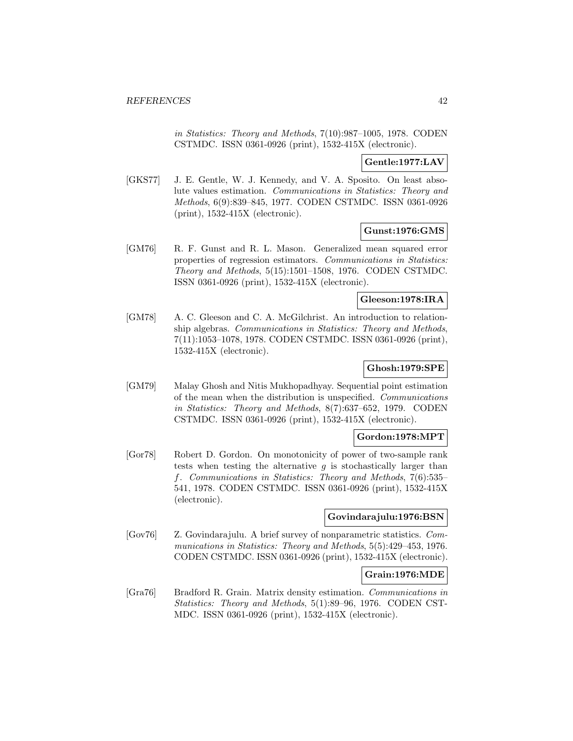in Statistics: Theory and Methods, 7(10):987–1005, 1978. CODEN CSTMDC. ISSN 0361-0926 (print), 1532-415X (electronic).

## **Gentle:1977:LAV**

[GKS77] J. E. Gentle, W. J. Kennedy, and V. A. Sposito. On least absolute values estimation. Communications in Statistics: Theory and Methods, 6(9):839–845, 1977. CODEN CSTMDC. ISSN 0361-0926 (print), 1532-415X (electronic).

## **Gunst:1976:GMS**

[GM76] R. F. Gunst and R. L. Mason. Generalized mean squared error properties of regression estimators. Communications in Statistics: Theory and Methods, 5(15):1501–1508, 1976. CODEN CSTMDC. ISSN 0361-0926 (print), 1532-415X (electronic).

## **Gleeson:1978:IRA**

[GM78] A. C. Gleeson and C. A. McGilchrist. An introduction to relationship algebras. Communications in Statistics: Theory and Methods, 7(11):1053–1078, 1978. CODEN CSTMDC. ISSN 0361-0926 (print), 1532-415X (electronic).

# **Ghosh:1979:SPE**

[GM79] Malay Ghosh and Nitis Mukhopadhyay. Sequential point estimation of the mean when the distribution is unspecified. Communications in Statistics: Theory and Methods, 8(7):637–652, 1979. CODEN CSTMDC. ISSN 0361-0926 (print), 1532-415X (electronic).

## **Gordon:1978:MPT**

[Gor78] Robert D. Gordon. On monotonicity of power of two-sample rank tests when testing the alternative  $g$  is stochastically larger than f. Communications in Statistics: Theory and Methods, 7(6):535– 541, 1978. CODEN CSTMDC. ISSN 0361-0926 (print), 1532-415X (electronic).

## **Govindarajulu:1976:BSN**

[Gov76] Z. Govindarajulu. A brief survey of nonparametric statistics. Communications in Statistics: Theory and Methods, 5(5):429–453, 1976. CODEN CSTMDC. ISSN 0361-0926 (print), 1532-415X (electronic).

## **Grain:1976:MDE**

[Gra76] Bradford R. Grain. Matrix density estimation. Communications in Statistics: Theory and Methods, 5(1):89–96, 1976. CODEN CST-MDC. ISSN 0361-0926 (print), 1532-415X (electronic).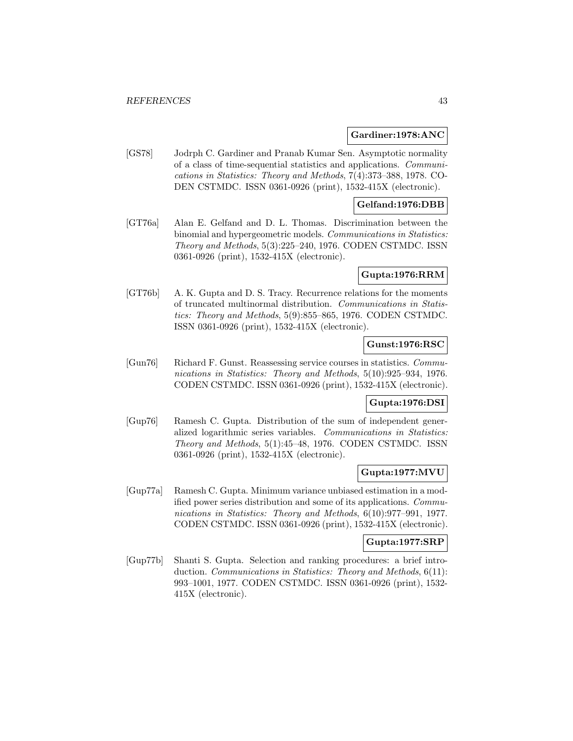## **Gardiner:1978:ANC**

[GS78] Jodrph C. Gardiner and Pranab Kumar Sen. Asymptotic normality of a class of time-sequential statistics and applications. Communications in Statistics: Theory and Methods, 7(4):373–388, 1978. CO-DEN CSTMDC. ISSN 0361-0926 (print), 1532-415X (electronic).

## **Gelfand:1976:DBB**

[GT76a] Alan E. Gelfand and D. L. Thomas. Discrimination between the binomial and hypergeometric models. Communications in Statistics: Theory and Methods, 5(3):225–240, 1976. CODEN CSTMDC. ISSN 0361-0926 (print), 1532-415X (electronic).

#### **Gupta:1976:RRM**

[GT76b] A. K. Gupta and D. S. Tracy. Recurrence relations for the moments of truncated multinormal distribution. Communications in Statistics: Theory and Methods, 5(9):855–865, 1976. CODEN CSTMDC. ISSN 0361-0926 (print), 1532-415X (electronic).

# **Gunst:1976:RSC**

[Gun76] Richard F. Gunst. Reassessing service courses in statistics. Communications in Statistics: Theory and Methods, 5(10):925–934, 1976. CODEN CSTMDC. ISSN 0361-0926 (print), 1532-415X (electronic).

## **Gupta:1976:DSI**

[Gup76] Ramesh C. Gupta. Distribution of the sum of independent generalized logarithmic series variables. Communications in Statistics: Theory and Methods, 5(1):45–48, 1976. CODEN CSTMDC. ISSN 0361-0926 (print), 1532-415X (electronic).

## **Gupta:1977:MVU**

[Gup77a] Ramesh C. Gupta. Minimum variance unbiased estimation in a modified power series distribution and some of its applications. Communications in Statistics: Theory and Methods, 6(10):977–991, 1977. CODEN CSTMDC. ISSN 0361-0926 (print), 1532-415X (electronic).

### **Gupta:1977:SRP**

[Gup77b] Shanti S. Gupta. Selection and ranking procedures: a brief introduction. Communications in Statistics: Theory and Methods, 6(11): 993–1001, 1977. CODEN CSTMDC. ISSN 0361-0926 (print), 1532- 415X (electronic).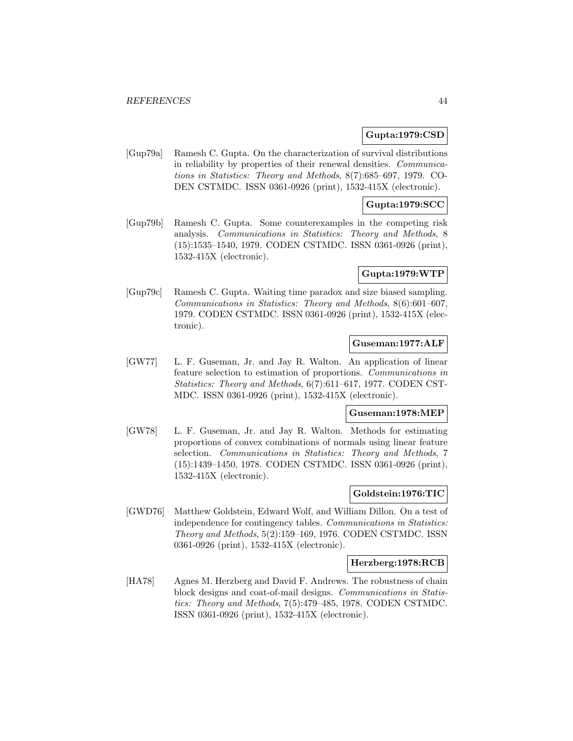## **Gupta:1979:CSD**

[Gup79a] Ramesh C. Gupta. On the characterization of survival distributions in reliability by properties of their renewal densities. Communications in Statistics: Theory and Methods, 8(7):685–697, 1979. CO-DEN CSTMDC. ISSN 0361-0926 (print), 1532-415X (electronic).

## **Gupta:1979:SCC**

[Gup79b] Ramesh C. Gupta. Some counterexamples in the competing risk analysis. Communications in Statistics: Theory and Methods, 8 (15):1535–1540, 1979. CODEN CSTMDC. ISSN 0361-0926 (print), 1532-415X (electronic).

### **Gupta:1979:WTP**

[Gup79c] Ramesh C. Gupta. Waiting time paradox and size biased sampling. Communications in Statistics: Theory and Methods, 8(6):601–607, 1979. CODEN CSTMDC. ISSN 0361-0926 (print), 1532-415X (electronic).

## **Guseman:1977:ALF**

[GW77] L. F. Guseman, Jr. and Jay R. Walton. An application of linear feature selection to estimation of proportions. Communications in Statistics: Theory and Methods, 6(7):611–617, 1977. CODEN CST-MDC. ISSN 0361-0926 (print), 1532-415X (electronic).

## **Guseman:1978:MEP**

[GW78] L. F. Guseman, Jr. and Jay R. Walton. Methods for estimating proportions of convex combinations of normals using linear feature selection. Communications in Statistics: Theory and Methods, 7 (15):1439–1450, 1978. CODEN CSTMDC. ISSN 0361-0926 (print), 1532-415X (electronic).

## **Goldstein:1976:TIC**

[GWD76] Matthew Goldstein, Edward Wolf, and William Dillon. On a test of independence for contingency tables. Communications in Statistics: Theory and Methods, 5(2):159–169, 1976. CODEN CSTMDC. ISSN 0361-0926 (print), 1532-415X (electronic).

#### **Herzberg:1978:RCB**

[HA78] Agnes M. Herzberg and David F. Andrews. The robustness of chain block designs and coat-of-mail designs. Communications in Statistics: Theory and Methods, 7(5):479–485, 1978. CODEN CSTMDC. ISSN 0361-0926 (print), 1532-415X (electronic).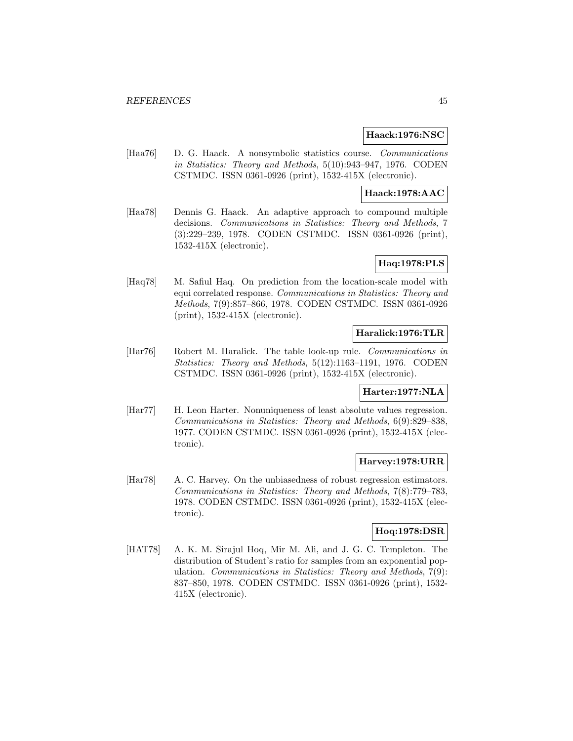### **Haack:1976:NSC**

[Haa76] D. G. Haack. A nonsymbolic statistics course. Communications in Statistics: Theory and Methods, 5(10):943–947, 1976. CODEN CSTMDC. ISSN 0361-0926 (print), 1532-415X (electronic).

# **Haack:1978:AAC**

[Haa78] Dennis G. Haack. An adaptive approach to compound multiple decisions. Communications in Statistics: Theory and Methods, 7 (3):229–239, 1978. CODEN CSTMDC. ISSN 0361-0926 (print), 1532-415X (electronic).

# **Haq:1978:PLS**

[Haq78] M. Safiul Haq. On prediction from the location-scale model with equi correlated response. Communications in Statistics: Theory and Methods, 7(9):857–866, 1978. CODEN CSTMDC. ISSN 0361-0926 (print), 1532-415X (electronic).

## **Haralick:1976:TLR**

[Har76] Robert M. Haralick. The table look-up rule. Communications in Statistics: Theory and Methods, 5(12):1163–1191, 1976. CODEN CSTMDC. ISSN 0361-0926 (print), 1532-415X (electronic).

## **Harter:1977:NLA**

[Har77] H. Leon Harter. Nonuniqueness of least absolute values regression. Communications in Statistics: Theory and Methods, 6(9):829–838, 1977. CODEN CSTMDC. ISSN 0361-0926 (print), 1532-415X (electronic).

## **Harvey:1978:URR**

[Har78] A. C. Harvey. On the unbiasedness of robust regression estimators. Communications in Statistics: Theory and Methods, 7(8):779–783, 1978. CODEN CSTMDC. ISSN 0361-0926 (print), 1532-415X (electronic).

## **Hoq:1978:DSR**

[HAT78] A. K. M. Sirajul Hoq, Mir M. Ali, and J. G. C. Templeton. The distribution of Student's ratio for samples from an exponential population. Communications in Statistics: Theory and Methods, 7(9): 837–850, 1978. CODEN CSTMDC. ISSN 0361-0926 (print), 1532- 415X (electronic).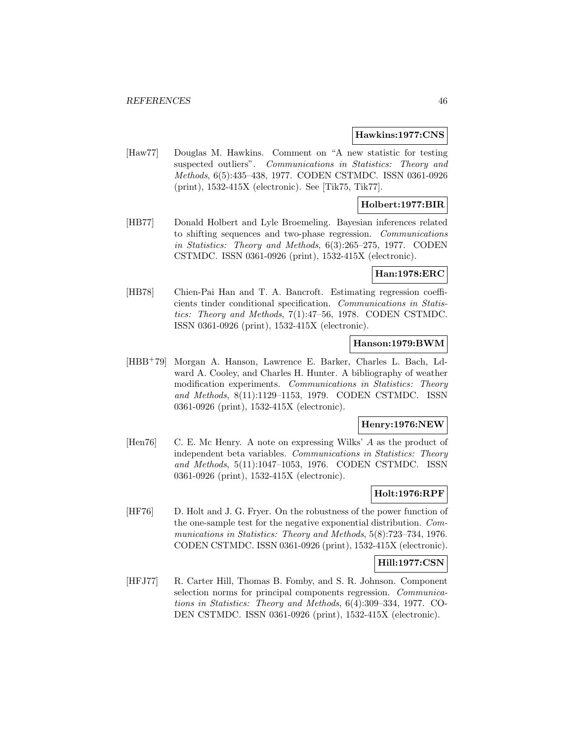#### **Hawkins:1977:CNS**

[Haw77] Douglas M. Hawkins. Comment on "A new statistic for testing suspected outliers". Communications in Statistics: Theory and Methods, 6(5):435–438, 1977. CODEN CSTMDC. ISSN 0361-0926 (print), 1532-415X (electronic). See [Tik75, Tik77].

## **Holbert:1977:BIR**

[HB77] Donald Holbert and Lyle Broemeling. Bayesian inferences related to shifting sequences and two-phase regression. Communications in Statistics: Theory and Methods, 6(3):265–275, 1977. CODEN CSTMDC. ISSN 0361-0926 (print), 1532-415X (electronic).

#### **Han:1978:ERC**

[HB78] Chien-Pai Han and T. A. Bancroft. Estimating regression coefficients tinder conditional specification. Communications in Statistics: Theory and Methods, 7(1):47–56, 1978. CODEN CSTMDC. ISSN 0361-0926 (print), 1532-415X (electronic).

## **Hanson:1979:BWM**

[HBB<sup>+</sup>79] Morgan A. Hanson, Lawrence E. Barker, Charles L. Bach, Ldward A. Cooley, and Charles H. Hunter. A bibliography of weather modification experiments. Communications in Statistics: Theory and Methods, 8(11):1129–1153, 1979. CODEN CSTMDC. ISSN 0361-0926 (print), 1532-415X (electronic).

## **Henry:1976:NEW**

[Hen76] C. E. Mc Henry. A note on expressing Wilks' A as the product of independent beta variables. Communications in Statistics: Theory and Methods, 5(11):1047–1053, 1976. CODEN CSTMDC. ISSN 0361-0926 (print), 1532-415X (electronic).

# **Holt:1976:RPF**

[HF76] D. Holt and J. G. Fryer. On the robustness of the power function of the one-sample test for the negative exponential distribution. Communications in Statistics: Theory and Methods, 5(8):723–734, 1976. CODEN CSTMDC. ISSN 0361-0926 (print), 1532-415X (electronic).

# **Hill:1977:CSN**

[HFJ77] R. Carter Hill, Thomas B. Fomby, and S. R. Johnson. Component selection norms for principal components regression. *Communica*tions in Statistics: Theory and Methods, 6(4):309–334, 1977. CO-DEN CSTMDC. ISSN 0361-0926 (print), 1532-415X (electronic).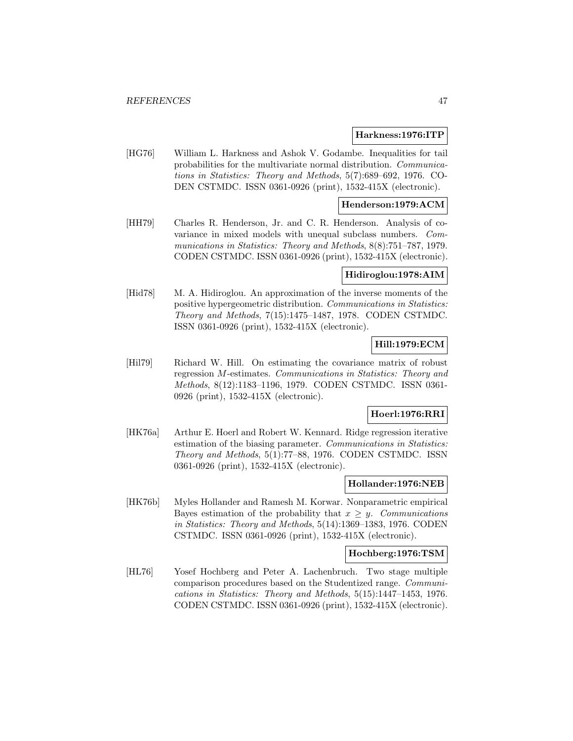### **Harkness:1976:ITP**

[HG76] William L. Harkness and Ashok V. Godambe. Inequalities for tail probabilities for the multivariate normal distribution. Communications in Statistics: Theory and Methods, 5(7):689–692, 1976. CO-DEN CSTMDC. ISSN 0361-0926 (print), 1532-415X (electronic).

## **Henderson:1979:ACM**

[HH79] Charles R. Henderson, Jr. and C. R. Henderson. Analysis of covariance in mixed models with unequal subclass numbers. Communications in Statistics: Theory and Methods, 8(8):751–787, 1979. CODEN CSTMDC. ISSN 0361-0926 (print), 1532-415X (electronic).

## **Hidiroglou:1978:AIM**

[Hid78] M. A. Hidiroglou. An approximation of the inverse moments of the positive hypergeometric distribution. Communications in Statistics: Theory and Methods, 7(15):1475–1487, 1978. CODEN CSTMDC. ISSN 0361-0926 (print), 1532-415X (electronic).

## **Hill:1979:ECM**

[Hil79] Richard W. Hill. On estimating the covariance matrix of robust regression M-estimates. Communications in Statistics: Theory and Methods, 8(12):1183–1196, 1979. CODEN CSTMDC. ISSN 0361- 0926 (print), 1532-415X (electronic).

#### **Hoerl:1976:RRI**

[HK76a] Arthur E. Hoerl and Robert W. Kennard. Ridge regression iterative estimation of the biasing parameter. Communications in Statistics: Theory and Methods, 5(1):77–88, 1976. CODEN CSTMDC. ISSN 0361-0926 (print), 1532-415X (electronic).

## **Hollander:1976:NEB**

[HK76b] Myles Hollander and Ramesh M. Korwar. Nonparametric empirical Bayes estimation of the probability that  $x \geq y$ . Communications in Statistics: Theory and Methods, 5(14):1369–1383, 1976. CODEN CSTMDC. ISSN 0361-0926 (print), 1532-415X (electronic).

### **Hochberg:1976:TSM**

[HL76] Yosef Hochberg and Peter A. Lachenbruch. Two stage multiple comparison procedures based on the Studentized range. Communications in Statistics: Theory and Methods, 5(15):1447–1453, 1976. CODEN CSTMDC. ISSN 0361-0926 (print), 1532-415X (electronic).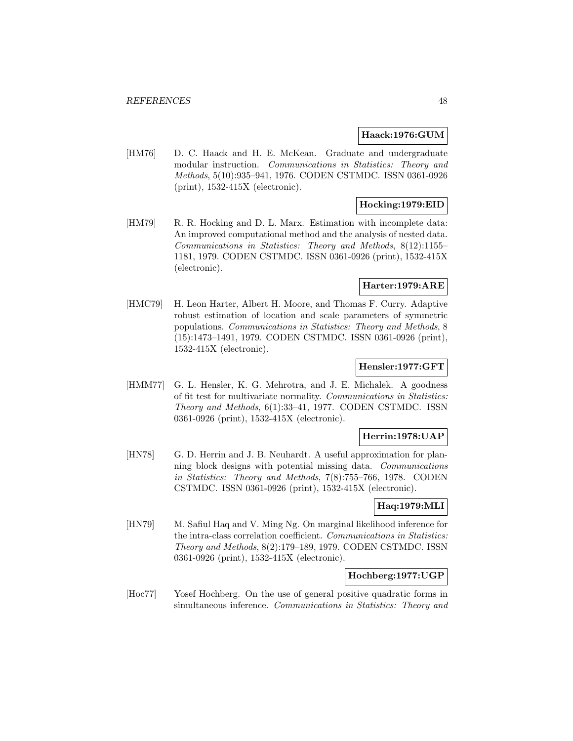## **Haack:1976:GUM**

[HM76] D. C. Haack and H. E. McKean. Graduate and undergraduate modular instruction. Communications in Statistics: Theory and Methods, 5(10):935–941, 1976. CODEN CSTMDC. ISSN 0361-0926 (print), 1532-415X (electronic).

# **Hocking:1979:EID**

[HM79] R. R. Hocking and D. L. Marx. Estimation with incomplete data: An improved computational method and the analysis of nested data. Communications in Statistics: Theory and Methods, 8(12):1155– 1181, 1979. CODEN CSTMDC. ISSN 0361-0926 (print), 1532-415X (electronic).

## **Harter:1979:ARE**

[HMC79] H. Leon Harter, Albert H. Moore, and Thomas F. Curry. Adaptive robust estimation of location and scale parameters of symmetric populations. Communications in Statistics: Theory and Methods, 8 (15):1473–1491, 1979. CODEN CSTMDC. ISSN 0361-0926 (print), 1532-415X (electronic).

## **Hensler:1977:GFT**

[HMM77] G. L. Hensler, K. G. Mehrotra, and J. E. Michalek. A goodness of fit test for multivariate normality. Communications in Statistics: Theory and Methods, 6(1):33–41, 1977. CODEN CSTMDC. ISSN 0361-0926 (print), 1532-415X (electronic).

# **Herrin:1978:UAP**

[HN78] G. D. Herrin and J. B. Neuhardt. A useful approximation for planning block designs with potential missing data. Communications in Statistics: Theory and Methods, 7(8):755–766, 1978. CODEN CSTMDC. ISSN 0361-0926 (print), 1532-415X (electronic).

# **Haq:1979:MLI**

[HN79] M. Safiul Haq and V. Ming Ng. On marginal likelihood inference for the intra-class correlation coefficient. Communications in Statistics: Theory and Methods, 8(2):179–189, 1979. CODEN CSTMDC. ISSN 0361-0926 (print), 1532-415X (electronic).

# **Hochberg:1977:UGP**

[Hoc77] Yosef Hochberg. On the use of general positive quadratic forms in simultaneous inference. Communications in Statistics: Theory and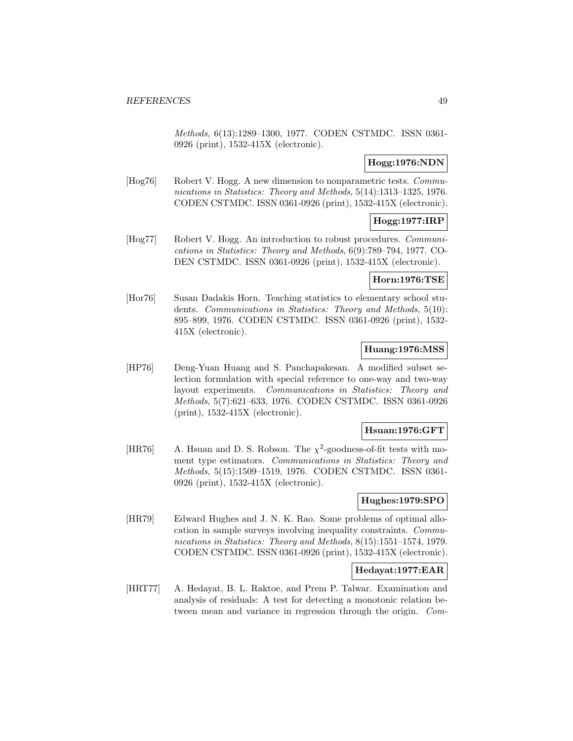Methods, 6(13):1289–1300, 1977. CODEN CSTMDC. ISSN 0361- 0926 (print), 1532-415X (electronic).

# **Hogg:1976:NDN**

[Hog76] Robert V. Hogg. A new dimension to nonparametric tests. Communications in Statistics: Theory and Methods, 5(14):1313–1325, 1976. CODEN CSTMDC. ISSN 0361-0926 (print), 1532-415X (electronic).

# **Hogg:1977:IRP**

[Hog77] Robert V. Hogg. An introduction to robust procedures. Communications in Statistics: Theory and Methods, 6(9):789–794, 1977. CO-DEN CSTMDC. ISSN 0361-0926 (print), 1532-415X (electronic).

## **Horn:1976:TSE**

[Hor76] Susan Dadakis Horn. Teaching statistics to elementary school students. Communications in Statistics: Theory and Methods, 5(10): 895–899, 1976. CODEN CSTMDC. ISSN 0361-0926 (print), 1532- 415X (electronic).

## **Huang:1976:MSS**

[HP76] Deng-Yuan Huang and S. Panchapakesan. A modified subset selection formulation with special reference to one-way and two-way layout experiments. Communications in Statistics: Theory and Methods, 5(7):621–633, 1976. CODEN CSTMDC. ISSN 0361-0926 (print), 1532-415X (electronic).

## **Hsuan:1976:GFT**

[HR76] A. Hsuan and D. S. Robson. The  $\chi^2$ -goodness-of-fit tests with moment type estimators. Communications in Statistics: Theory and Methods, 5(15):1509–1519, 1976. CODEN CSTMDC. ISSN 0361- 0926 (print), 1532-415X (electronic).

## **Hughes:1979:SPO**

[HR79] Edward Hughes and J. N. K. Rao. Some problems of optimal allocation in sample surveys involving inequality constraints. Communications in Statistics: Theory and Methods, 8(15):1551–1574, 1979. CODEN CSTMDC. ISSN 0361-0926 (print), 1532-415X (electronic).

## **Hedayat:1977:EAR**

[HRT77] A. Hedayat, B. L. Raktoe, and Prem P. Talwar. Examination and analysis of residuals: A test for detecting a monotonic relation between mean and variance in regression through the origin. Com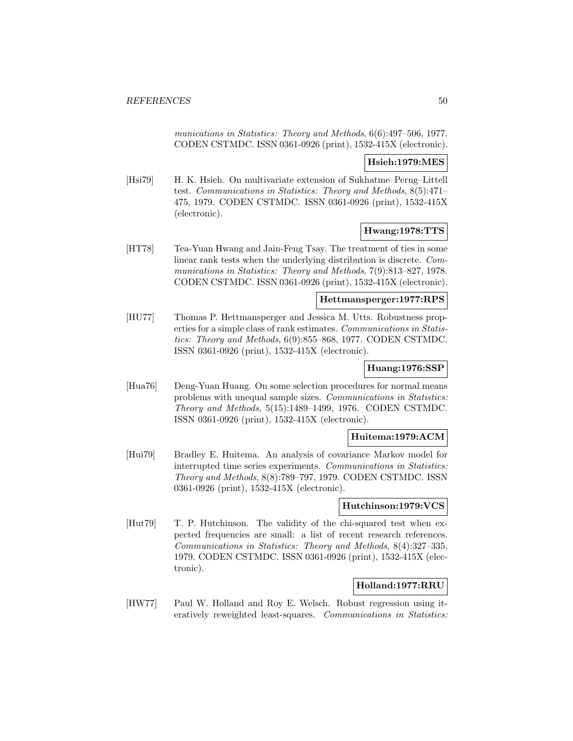munications in Statistics: Theory and Methods, 6(6):497–506, 1977. CODEN CSTMDC. ISSN 0361-0926 (print), 1532-415X (electronic).

# **Hsieh:1979:MES**

[Hsi79] H. K. Hsieh. On multivariate extension of Sukhatme–Perng–Littell test. Communications in Statistics: Theory and Methods, 8(5):471– 475, 1979. CODEN CSTMDC. ISSN 0361-0926 (print), 1532-415X (electronic).

# **Hwang:1978:TTS**

[HT78] Tea-Yuan Hwang and Jain-Feng Tsay. The treatment of ties in some linear rank tests when the underlying distribution is discrete. Communications in Statistics: Theory and Methods, 7(9):813–827, 1978. CODEN CSTMDC. ISSN 0361-0926 (print), 1532-415X (electronic).

## **Hettmansperger:1977:RPS**

[HU77] Thomas P. Hettmansperger and Jessica M. Utts. Robustness properties for a simple class of rank estimates. Communications in Statistics: Theory and Methods, 6(9):855–868, 1977. CODEN CSTMDC. ISSN 0361-0926 (print), 1532-415X (electronic).

# **Huang:1976:SSP**

[Hua76] Deng-Yuan Huang. On some selection procedures for normal means problems with unequal sample sizes. Communications in Statistics: Theory and Methods, 5(15):1489–1499, 1976. CODEN CSTMDC. ISSN 0361-0926 (print), 1532-415X (electronic).

## **Huitema:1979:ACM**

[Hui79] Bradley E. Huitema. An analysis of covariance Markov model for interrupted time series experiments. Communications in Statistics: Theory and Methods, 8(8):789–797, 1979. CODEN CSTMDC. ISSN 0361-0926 (print), 1532-415X (electronic).

#### **Hutchinson:1979:VCS**

[Hut79] T. P. Hutchinson. The validity of the chi-squared test when expected frequencies are small: a list of recent research references. Communications in Statistics: Theory and Methods, 8(4):327–335, 1979. CODEN CSTMDC. ISSN 0361-0926 (print), 1532-415X (electronic).

# **Holland:1977:RRU**

[HW77] Paul W. Holland and Roy E. Welsch. Robust regression using iteratively reweighted least-squares. Communications in Statistics: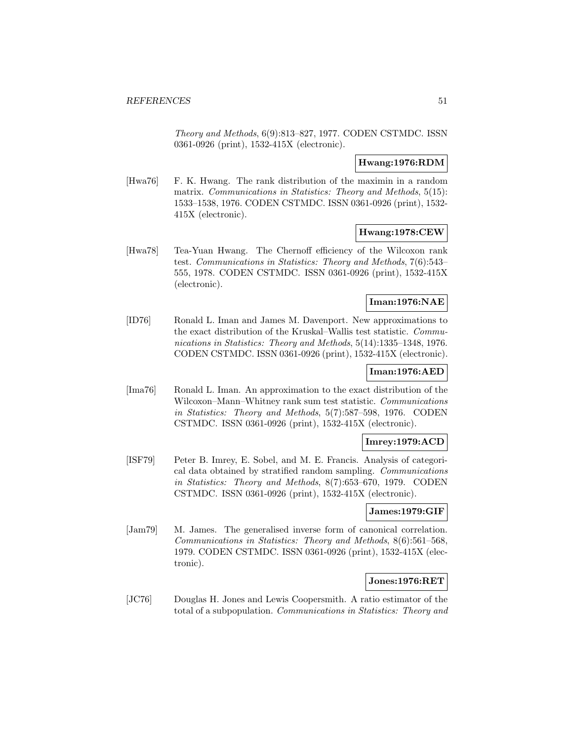Theory and Methods, 6(9):813–827, 1977. CODEN CSTMDC. ISSN 0361-0926 (print), 1532-415X (electronic).

## **Hwang:1976:RDM**

[Hwa76] F. K. Hwang. The rank distribution of the maximin in a random matrix. Communications in Statistics: Theory and Methods, 5(15): 1533–1538, 1976. CODEN CSTMDC. ISSN 0361-0926 (print), 1532- 415X (electronic).

## **Hwang:1978:CEW**

[Hwa78] Tea-Yuan Hwang. The Chernoff efficiency of the Wilcoxon rank test. Communications in Statistics: Theory and Methods, 7(6):543– 555, 1978. CODEN CSTMDC. ISSN 0361-0926 (print), 1532-415X (electronic).

## **Iman:1976:NAE**

[ID76] Ronald L. Iman and James M. Davenport. New approximations to the exact distribution of the Kruskal–Wallis test statistic. Communications in Statistics: Theory and Methods, 5(14):1335–1348, 1976. CODEN CSTMDC. ISSN 0361-0926 (print), 1532-415X (electronic).

# **Iman:1976:AED**

[Ima76] Ronald L. Iman. An approximation to the exact distribution of the Wilcoxon–Mann–Whitney rank sum test statistic. Communications in Statistics: Theory and Methods, 5(7):587–598, 1976. CODEN CSTMDC. ISSN 0361-0926 (print), 1532-415X (electronic).

# **Imrey:1979:ACD**

[ISF79] Peter B. Imrey, E. Sobel, and M. E. Francis. Analysis of categorical data obtained by stratified random sampling. Communications in Statistics: Theory and Methods, 8(7):653–670, 1979. CODEN CSTMDC. ISSN 0361-0926 (print), 1532-415X (electronic).

## **James:1979:GIF**

[Jam79] M. James. The generalised inverse form of canonical correlation. Communications in Statistics: Theory and Methods, 8(6):561–568, 1979. CODEN CSTMDC. ISSN 0361-0926 (print), 1532-415X (electronic).

# **Jones:1976:RET**

[JC76] Douglas H. Jones and Lewis Coopersmith. A ratio estimator of the total of a subpopulation. Communications in Statistics: Theory and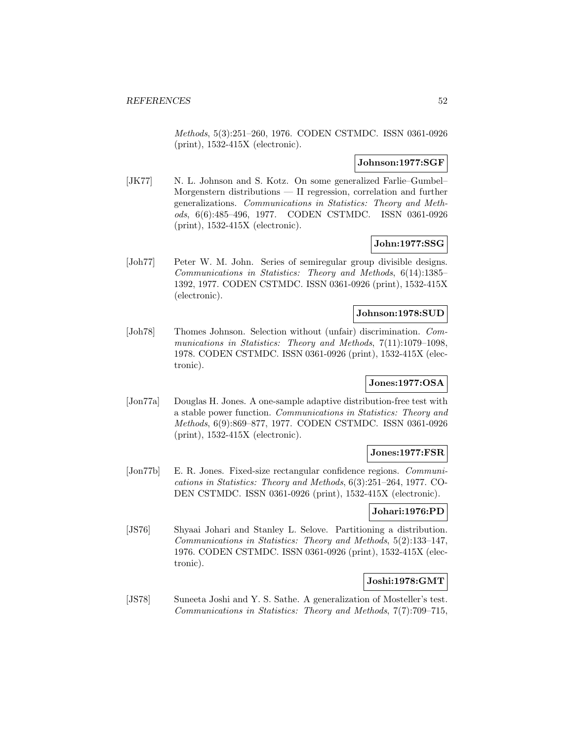Methods, 5(3):251–260, 1976. CODEN CSTMDC. ISSN 0361-0926 (print), 1532-415X (electronic).

## **Johnson:1977:SGF**

[JK77] N. L. Johnson and S. Kotz. On some generalized Farlie–Gumbel– Morgenstern distributions — II regression, correlation and further generalizations. Communications in Statistics: Theory and Methods, 6(6):485–496, 1977. CODEN CSTMDC. ISSN 0361-0926 (print), 1532-415X (electronic).

## **John:1977:SSG**

[Joh77] Peter W. M. John. Series of semiregular group divisible designs. Communications in Statistics: Theory and Methods, 6(14):1385– 1392, 1977. CODEN CSTMDC. ISSN 0361-0926 (print), 1532-415X (electronic).

## **Johnson:1978:SUD**

[Joh78] Thomes Johnson. Selection without (unfair) discrimination. Communications in Statistics: Theory and Methods, 7(11):1079-1098, 1978. CODEN CSTMDC. ISSN 0361-0926 (print), 1532-415X (electronic).

# **Jones:1977:OSA**

[Jon77a] Douglas H. Jones. A one-sample adaptive distribution-free test with a stable power function. Communications in Statistics: Theory and Methods, 6(9):869–877, 1977. CODEN CSTMDC. ISSN 0361-0926 (print), 1532-415X (electronic).

## **Jones:1977:FSR**

[Jon77b] E. R. Jones. Fixed-size rectangular confidence regions. Communications in Statistics: Theory and Methods, 6(3):251–264, 1977. CO-DEN CSTMDC. ISSN 0361-0926 (print), 1532-415X (electronic).

#### **Johari:1976:PD**

[JS76] Shyaai Johari and Stanley L. Selove. Partitioning a distribution. Communications in Statistics: Theory and Methods, 5(2):133–147, 1976. CODEN CSTMDC. ISSN 0361-0926 (print), 1532-415X (electronic).

# **Joshi:1978:GMT**

[JS78] Suneeta Joshi and Y. S. Sathe. A generalization of Mosteller's test. Communications in Statistics: Theory and Methods, 7(7):709–715,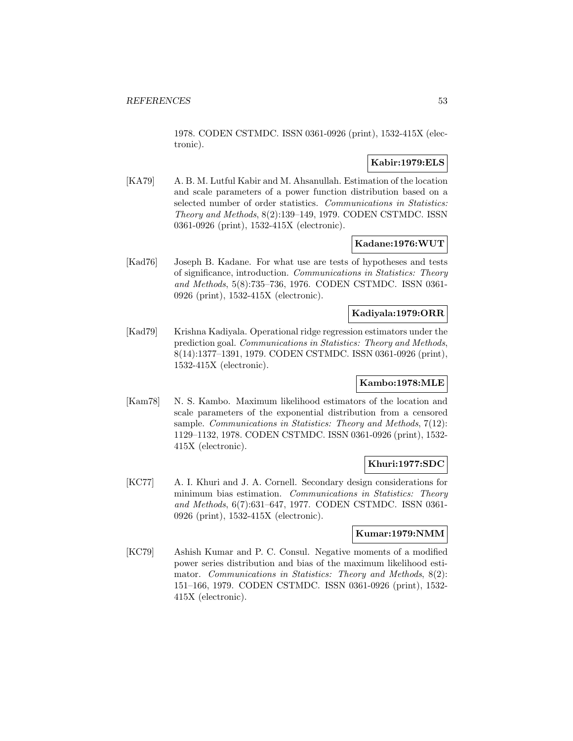1978. CODEN CSTMDC. ISSN 0361-0926 (print), 1532-415X (electronic).

# **Kabir:1979:ELS**

[KA79] A. B. M. Lutful Kabir and M. Ahsanullah. Estimation of the location and scale parameters of a power function distribution based on a selected number of order statistics. Communications in Statistics: Theory and Methods, 8(2):139–149, 1979. CODEN CSTMDC. ISSN 0361-0926 (print), 1532-415X (electronic).

## **Kadane:1976:WUT**

[Kad76] Joseph B. Kadane. For what use are tests of hypotheses and tests of significance, introduction. Communications in Statistics: Theory and Methods, 5(8):735–736, 1976. CODEN CSTMDC. ISSN 0361- 0926 (print), 1532-415X (electronic).

## **Kadiyala:1979:ORR**

[Kad79] Krishna Kadiyala. Operational ridge regression estimators under the prediction goal. Communications in Statistics: Theory and Methods, 8(14):1377–1391, 1979. CODEN CSTMDC. ISSN 0361-0926 (print), 1532-415X (electronic).

#### **Kambo:1978:MLE**

[Kam78] N. S. Kambo. Maximum likelihood estimators of the location and scale parameters of the exponential distribution from a censored sample. Communications in Statistics: Theory and Methods, 7(12): 1129–1132, 1978. CODEN CSTMDC. ISSN 0361-0926 (print), 1532- 415X (electronic).

# **Khuri:1977:SDC**

[KC77] A. I. Khuri and J. A. Cornell. Secondary design considerations for minimum bias estimation. Communications in Statistics: Theory and Methods, 6(7):631–647, 1977. CODEN CSTMDC. ISSN 0361- 0926 (print), 1532-415X (electronic).

## **Kumar:1979:NMM**

[KC79] Ashish Kumar and P. C. Consul. Negative moments of a modified power series distribution and bias of the maximum likelihood estimator. Communications in Statistics: Theory and Methods, 8(2): 151–166, 1979. CODEN CSTMDC. ISSN 0361-0926 (print), 1532- 415X (electronic).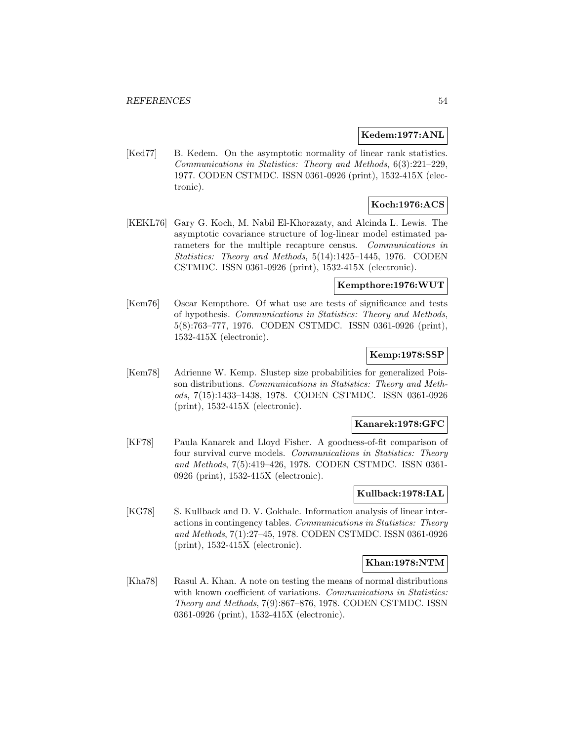## **Kedem:1977:ANL**

[Ked77] B. Kedem. On the asymptotic normality of linear rank statistics. Communications in Statistics: Theory and Methods, 6(3):221–229, 1977. CODEN CSTMDC. ISSN 0361-0926 (print), 1532-415X (electronic).

# **Koch:1976:ACS**

[KEKL76] Gary G. Koch, M. Nabil El-Khorazaty, and Alcinda L. Lewis. The asymptotic covariance structure of log-linear model estimated parameters for the multiple recapture census. Communications in Statistics: Theory and Methods, 5(14):1425–1445, 1976. CODEN CSTMDC. ISSN 0361-0926 (print), 1532-415X (electronic).

## **Kempthore:1976:WUT**

[Kem76] Oscar Kempthore. Of what use are tests of significance and tests of hypothesis. Communications in Statistics: Theory and Methods, 5(8):763–777, 1976. CODEN CSTMDC. ISSN 0361-0926 (print), 1532-415X (electronic).

## **Kemp:1978:SSP**

[Kem78] Adrienne W. Kemp. Slustep size probabilities for generalized Poisson distributions. Communications in Statistics: Theory and Methods, 7(15):1433–1438, 1978. CODEN CSTMDC. ISSN 0361-0926 (print), 1532-415X (electronic).

## **Kanarek:1978:GFC**

[KF78] Paula Kanarek and Lloyd Fisher. A goodness-of-fit comparison of four survival curve models. Communications in Statistics: Theory and Methods, 7(5):419–426, 1978. CODEN CSTMDC. ISSN 0361- 0926 (print), 1532-415X (electronic).

# **Kullback:1978:IAL**

[KG78] S. Kullback and D. V. Gokhale. Information analysis of linear interactions in contingency tables. Communications in Statistics: Theory and Methods, 7(1):27–45, 1978. CODEN CSTMDC. ISSN 0361-0926 (print), 1532-415X (electronic).

## **Khan:1978:NTM**

[Kha78] Rasul A. Khan. A note on testing the means of normal distributions with known coefficient of variations. Communications in Statistics: Theory and Methods, 7(9):867–876, 1978. CODEN CSTMDC. ISSN 0361-0926 (print), 1532-415X (electronic).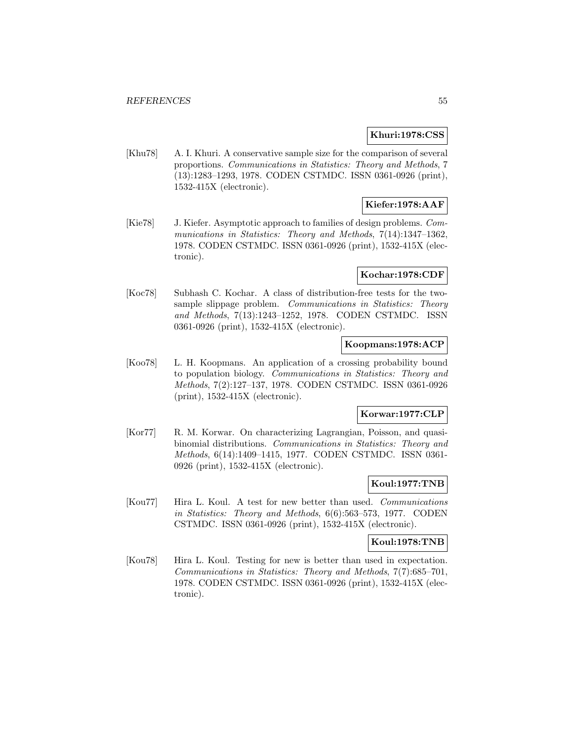## **Khuri:1978:CSS**

[Khu78] A. I. Khuri. A conservative sample size for the comparison of several proportions. Communications in Statistics: Theory and Methods, 7 (13):1283–1293, 1978. CODEN CSTMDC. ISSN 0361-0926 (print), 1532-415X (electronic).

# **Kiefer:1978:AAF**

[Kie78] J. Kiefer. Asymptotic approach to families of design problems. Communications in Statistics: Theory and Methods, 7(14):1347-1362, 1978. CODEN CSTMDC. ISSN 0361-0926 (print), 1532-415X (electronic).

## **Kochar:1978:CDF**

[Koc78] Subhash C. Kochar. A class of distribution-free tests for the twosample slippage problem. Communications in Statistics: Theory and Methods, 7(13):1243–1252, 1978. CODEN CSTMDC. ISSN 0361-0926 (print), 1532-415X (electronic).

# **Koopmans:1978:ACP**

[Koo78] L. H. Koopmans. An application of a crossing probability bound to population biology. Communications in Statistics: Theory and Methods, 7(2):127–137, 1978. CODEN CSTMDC. ISSN 0361-0926 (print), 1532-415X (electronic).

## **Korwar:1977:CLP**

[Kor77] R. M. Korwar. On characterizing Lagrangian, Poisson, and quasibinomial distributions. Communications in Statistics: Theory and Methods, 6(14):1409–1415, 1977. CODEN CSTMDC. ISSN 0361- 0926 (print), 1532-415X (electronic).

## **Koul:1977:TNB**

[Kou77] Hira L. Koul. A test for new better than used. Communications in Statistics: Theory and Methods, 6(6):563–573, 1977. CODEN CSTMDC. ISSN 0361-0926 (print), 1532-415X (electronic).

## **Koul:1978:TNB**

[Kou78] Hira L. Koul. Testing for new is better than used in expectation. Communications in Statistics: Theory and Methods, 7(7):685–701, 1978. CODEN CSTMDC. ISSN 0361-0926 (print), 1532-415X (electronic).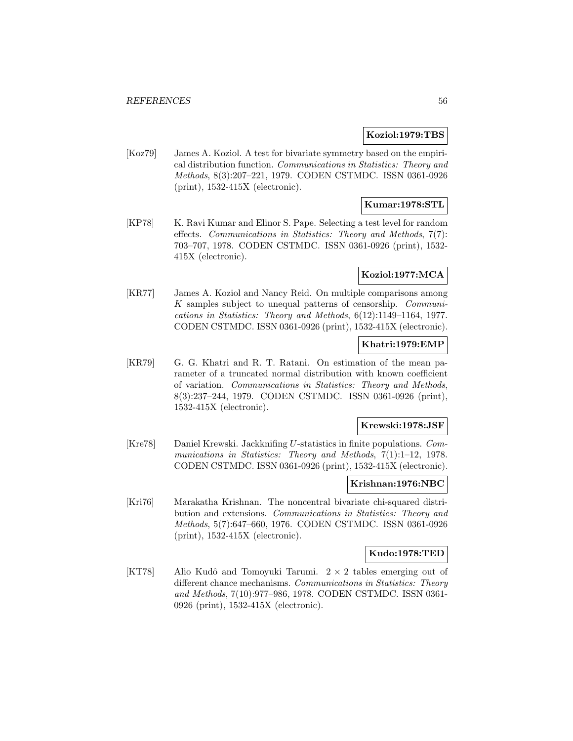### **Koziol:1979:TBS**

[Koz79] James A. Koziol. A test for bivariate symmetry based on the empirical distribution function. Communications in Statistics: Theory and Methods, 8(3):207–221, 1979. CODEN CSTMDC. ISSN 0361-0926 (print), 1532-415X (electronic).

# **Kumar:1978:STL**

[KP78] K. Ravi Kumar and Elinor S. Pape. Selecting a test level for random effects. Communications in Statistics: Theory and Methods, 7(7): 703–707, 1978. CODEN CSTMDC. ISSN 0361-0926 (print), 1532- 415X (electronic).

## **Koziol:1977:MCA**

[KR77] James A. Koziol and Nancy Reid. On multiple comparisons among K samples subject to unequal patterns of censorship. Communications in Statistics: Theory and Methods, 6(12):1149–1164, 1977. CODEN CSTMDC. ISSN 0361-0926 (print), 1532-415X (electronic).

## **Khatri:1979:EMP**

[KR79] G. G. Khatri and R. T. Ratani. On estimation of the mean parameter of a truncated normal distribution with known coefficient of variation. Communications in Statistics: Theory and Methods, 8(3):237–244, 1979. CODEN CSTMDC. ISSN 0361-0926 (print), 1532-415X (electronic).

#### **Krewski:1978:JSF**

[Kre78] Daniel Krewski. Jackknifing U-statistics in finite populations. Communications in Statistics: Theory and Methods, 7(1):1–12, 1978. CODEN CSTMDC. ISSN 0361-0926 (print), 1532-415X (electronic).

### **Krishnan:1976:NBC**

[Kri76] Marakatha Krishnan. The noncentral bivariate chi-squared distribution and extensions. Communications in Statistics: Theory and Methods, 5(7):647–660, 1976. CODEN CSTMDC. ISSN 0361-0926 (print), 1532-415X (electronic).

## **Kudo:1978:TED**

[KT78] Alio Kudô and Tomoyuki Tarumi.  $2 \times 2$  tables emerging out of different chance mechanisms. Communications in Statistics: Theory and Methods, 7(10):977–986, 1978. CODEN CSTMDC. ISSN 0361- 0926 (print), 1532-415X (electronic).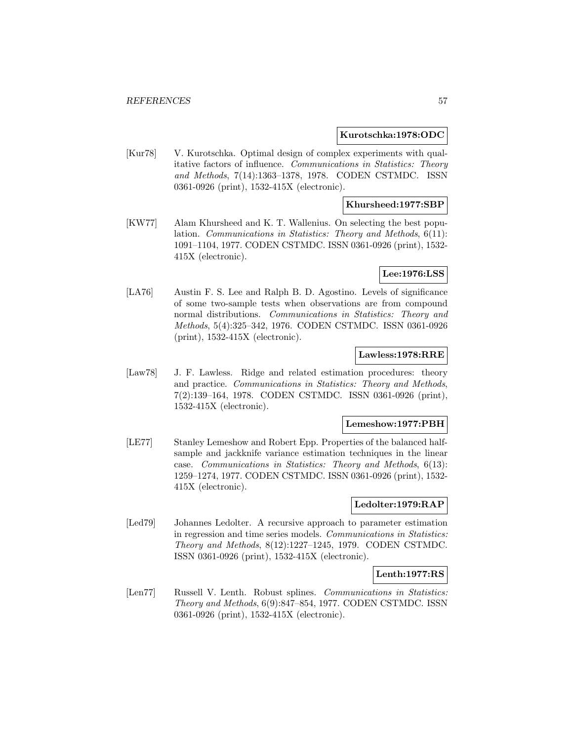### **Kurotschka:1978:ODC**

[Kur78] V. Kurotschka. Optimal design of complex experiments with qualitative factors of influence. Communications in Statistics: Theory and Methods, 7(14):1363–1378, 1978. CODEN CSTMDC. ISSN 0361-0926 (print), 1532-415X (electronic).

### **Khursheed:1977:SBP**

[KW77] Alam Khursheed and K. T. Wallenius. On selecting the best population. Communications in Statistics: Theory and Methods, 6(11): 1091–1104, 1977. CODEN CSTMDC. ISSN 0361-0926 (print), 1532- 415X (electronic).

## **Lee:1976:LSS**

[LA76] Austin F. S. Lee and Ralph B. D. Agostino. Levels of significance of some two-sample tests when observations are from compound normal distributions. Communications in Statistics: Theory and Methods, 5(4):325–342, 1976. CODEN CSTMDC. ISSN 0361-0926 (print), 1532-415X (electronic).

#### **Lawless:1978:RRE**

[Law78] J. F. Lawless. Ridge and related estimation procedures: theory and practice. Communications in Statistics: Theory and Methods, 7(2):139–164, 1978. CODEN CSTMDC. ISSN 0361-0926 (print), 1532-415X (electronic).

#### **Lemeshow:1977:PBH**

[LE77] Stanley Lemeshow and Robert Epp. Properties of the balanced halfsample and jackknife variance estimation techniques in the linear case. Communications in Statistics: Theory and Methods, 6(13): 1259–1274, 1977. CODEN CSTMDC. ISSN 0361-0926 (print), 1532- 415X (electronic).

### **Ledolter:1979:RAP**

[Led79] Johannes Ledolter. A recursive approach to parameter estimation in regression and time series models. Communications in Statistics: Theory and Methods, 8(12):1227–1245, 1979. CODEN CSTMDC. ISSN 0361-0926 (print), 1532-415X (electronic).

## **Lenth:1977:RS**

[Len77] Russell V. Lenth. Robust splines. Communications in Statistics: Theory and Methods, 6(9):847–854, 1977. CODEN CSTMDC. ISSN 0361-0926 (print), 1532-415X (electronic).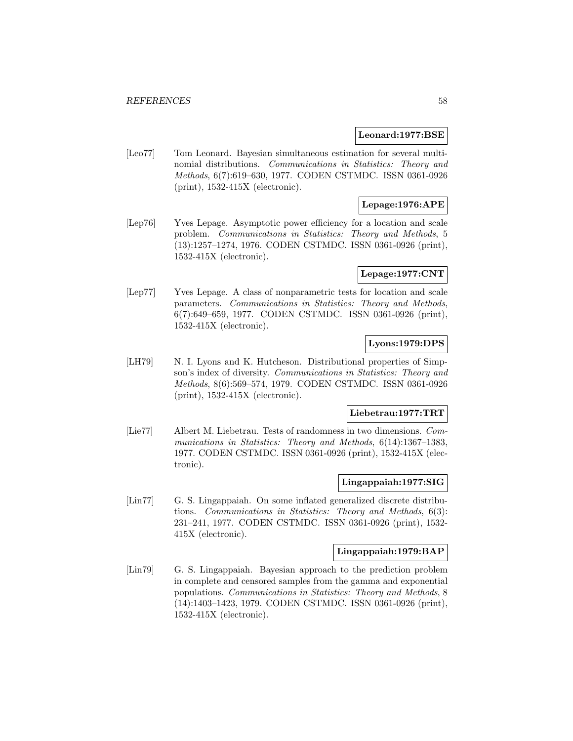#### **Leonard:1977:BSE**

[Leo77] Tom Leonard. Bayesian simultaneous estimation for several multinomial distributions. Communications in Statistics: Theory and Methods, 6(7):619–630, 1977. CODEN CSTMDC. ISSN 0361-0926 (print), 1532-415X (electronic).

# **Lepage:1976:APE**

[Lep76] Yves Lepage. Asymptotic power efficiency for a location and scale problem. Communications in Statistics: Theory and Methods, 5 (13):1257–1274, 1976. CODEN CSTMDC. ISSN 0361-0926 (print), 1532-415X (electronic).

## **Lepage:1977:CNT**

[Lep77] Yves Lepage. A class of nonparametric tests for location and scale parameters. Communications in Statistics: Theory and Methods, 6(7):649–659, 1977. CODEN CSTMDC. ISSN 0361-0926 (print), 1532-415X (electronic).

# **Lyons:1979:DPS**

[LH79] N. I. Lyons and K. Hutcheson. Distributional properties of Simpson's index of diversity. Communications in Statistics: Theory and Methods, 8(6):569–574, 1979. CODEN CSTMDC. ISSN 0361-0926 (print), 1532-415X (electronic).

## **Liebetrau:1977:TRT**

[Lie77] Albert M. Liebetrau. Tests of randomness in two dimensions. Communications in Statistics: Theory and Methods, 6(14):1367-1383, 1977. CODEN CSTMDC. ISSN 0361-0926 (print), 1532-415X (electronic).

## **Lingappaiah:1977:SIG**

[Lin77] G. S. Lingappaiah. On some inflated generalized discrete distributions. Communications in Statistics: Theory and Methods, 6(3): 231–241, 1977. CODEN CSTMDC. ISSN 0361-0926 (print), 1532- 415X (electronic).

#### **Lingappaiah:1979:BAP**

[Lin79] G. S. Lingappaiah. Bayesian approach to the prediction problem in complete and censored samples from the gamma and exponential populations. Communications in Statistics: Theory and Methods, 8 (14):1403–1423, 1979. CODEN CSTMDC. ISSN 0361-0926 (print), 1532-415X (electronic).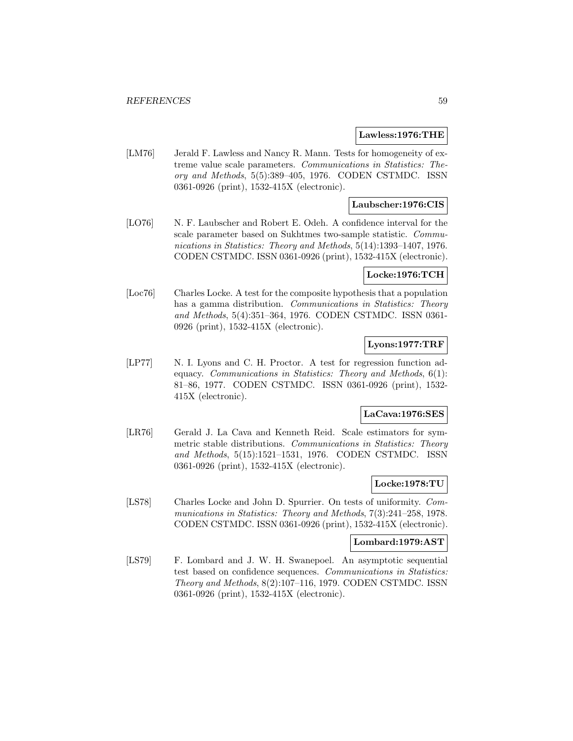### **Lawless:1976:THE**

[LM76] Jerald F. Lawless and Nancy R. Mann. Tests for homogeneity of extreme value scale parameters. Communications in Statistics: Theory and Methods, 5(5):389–405, 1976. CODEN CSTMDC. ISSN 0361-0926 (print), 1532-415X (electronic).

## **Laubscher:1976:CIS**

[LO76] N. F. Laubscher and Robert E. Odeh. A confidence interval for the scale parameter based on Sukhtmes two-sample statistic. Communications in Statistics: Theory and Methods, 5(14):1393–1407, 1976. CODEN CSTMDC. ISSN 0361-0926 (print), 1532-415X (electronic).

# **Locke:1976:TCH**

[Loc76] Charles Locke. A test for the composite hypothesis that a population has a gamma distribution. Communications in Statistics: Theory and Methods, 5(4):351–364, 1976. CODEN CSTMDC. ISSN 0361- 0926 (print), 1532-415X (electronic).

# **Lyons:1977:TRF**

[LP77] N. I. Lyons and C. H. Proctor. A test for regression function adequacy. Communications in Statistics: Theory and Methods, 6(1): 81–86, 1977. CODEN CSTMDC. ISSN 0361-0926 (print), 1532- 415X (electronic).

## **LaCava:1976:SES**

[LR76] Gerald J. La Cava and Kenneth Reid. Scale estimators for symmetric stable distributions. Communications in Statistics: Theory and Methods, 5(15):1521–1531, 1976. CODEN CSTMDC. ISSN 0361-0926 (print), 1532-415X (electronic).

## **Locke:1978:TU**

[LS78] Charles Locke and John D. Spurrier. On tests of uniformity. Communications in Statistics: Theory and Methods, 7(3):241–258, 1978. CODEN CSTMDC. ISSN 0361-0926 (print), 1532-415X (electronic).

## **Lombard:1979:AST**

[LS79] F. Lombard and J. W. H. Swanepoel. An asymptotic sequential test based on confidence sequences. Communications in Statistics: Theory and Methods, 8(2):107–116, 1979. CODEN CSTMDC. ISSN 0361-0926 (print), 1532-415X (electronic).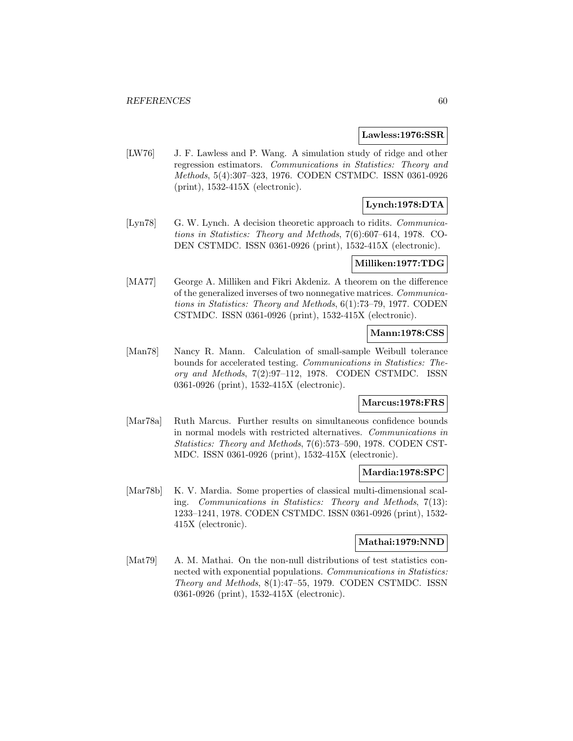#### **Lawless:1976:SSR**

[LW76] J. F. Lawless and P. Wang. A simulation study of ridge and other regression estimators. Communications in Statistics: Theory and Methods, 5(4):307–323, 1976. CODEN CSTMDC. ISSN 0361-0926 (print), 1532-415X (electronic).

# **Lynch:1978:DTA**

[Lyn78] G. W. Lynch. A decision theoretic approach to ridits. *Communica*tions in Statistics: Theory and Methods, 7(6):607–614, 1978. CO-DEN CSTMDC. ISSN 0361-0926 (print), 1532-415X (electronic).

## **Milliken:1977:TDG**

[MA77] George A. Milliken and Fikri Akdeniz. A theorem on the difference of the generalized inverses of two nonnegative matrices. Communications in Statistics: Theory and Methods, 6(1):73–79, 1977. CODEN CSTMDC. ISSN 0361-0926 (print), 1532-415X (electronic).

## **Mann:1978:CSS**

[Man78] Nancy R. Mann. Calculation of small-sample Weibull tolerance bounds for accelerated testing. Communications in Statistics: Theory and Methods, 7(2):97–112, 1978. CODEN CSTMDC. ISSN 0361-0926 (print), 1532-415X (electronic).

## **Marcus:1978:FRS**

[Mar78a] Ruth Marcus. Further results on simultaneous confidence bounds in normal models with restricted alternatives. Communications in Statistics: Theory and Methods, 7(6):573–590, 1978. CODEN CST-MDC. ISSN 0361-0926 (print), 1532-415X (electronic).

## **Mardia:1978:SPC**

[Mar78b] K. V. Mardia. Some properties of classical multi-dimensional scaling. Communications in Statistics: Theory and Methods, 7(13): 1233–1241, 1978. CODEN CSTMDC. ISSN 0361-0926 (print), 1532- 415X (electronic).

## **Mathai:1979:NND**

[Mat79] A. M. Mathai. On the non-null distributions of test statistics connected with exponential populations. Communications in Statistics: Theory and Methods, 8(1):47–55, 1979. CODEN CSTMDC. ISSN 0361-0926 (print), 1532-415X (electronic).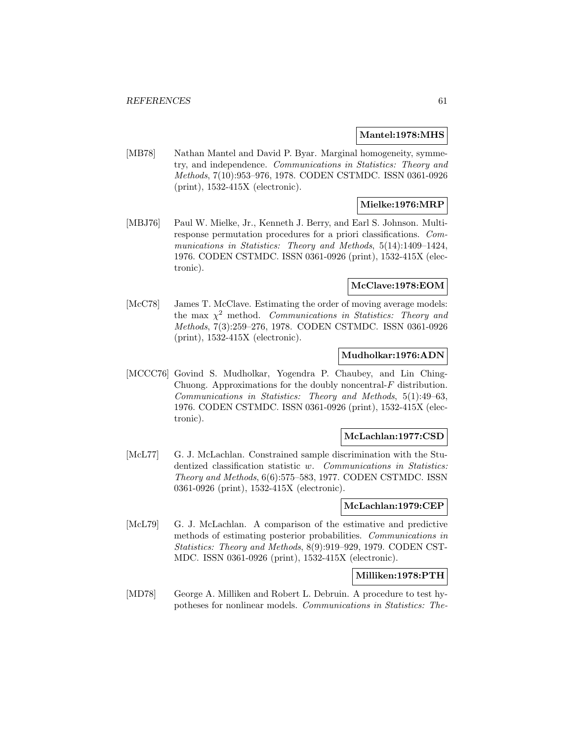#### **Mantel:1978:MHS**

[MB78] Nathan Mantel and David P. Byar. Marginal homogeneity, symmetry, and independence. Communications in Statistics: Theory and Methods, 7(10):953–976, 1978. CODEN CSTMDC. ISSN 0361-0926 (print), 1532-415X (electronic).

# **Mielke:1976:MRP**

[MBJ76] Paul W. Mielke, Jr., Kenneth J. Berry, and Earl S. Johnson. Multiresponse permutation procedures for a priori classifications. Communications in Statistics: Theory and Methods, 5(14):1409-1424, 1976. CODEN CSTMDC. ISSN 0361-0926 (print), 1532-415X (electronic).

## **McClave:1978:EOM**

[McC78] James T. McClave. Estimating the order of moving average models: the max  $\chi^2$  method. Communications in Statistics: Theory and Methods, 7(3):259–276, 1978. CODEN CSTMDC. ISSN 0361-0926 (print), 1532-415X (electronic).

## **Mudholkar:1976:ADN**

[MCCC76] Govind S. Mudholkar, Yogendra P. Chaubey, and Lin Ching-Chuong. Approximations for the doubly noncentral- $F$  distribution. Communications in Statistics: Theory and Methods, 5(1):49–63, 1976. CODEN CSTMDC. ISSN 0361-0926 (print), 1532-415X (electronic).

## **McLachlan:1977:CSD**

[McL77] G. J. McLachlan. Constrained sample discrimination with the Studentized classification statistic w. Communications in Statistics: Theory and Methods, 6(6):575–583, 1977. CODEN CSTMDC. ISSN 0361-0926 (print), 1532-415X (electronic).

### **McLachlan:1979:CEP**

[McL79] G. J. McLachlan. A comparison of the estimative and predictive methods of estimating posterior probabilities. Communications in Statistics: Theory and Methods, 8(9):919–929, 1979. CODEN CST-MDC. ISSN 0361-0926 (print), 1532-415X (electronic).

# **Milliken:1978:PTH**

[MD78] George A. Milliken and Robert L. Debruin. A procedure to test hypotheses for nonlinear models. Communications in Statistics: The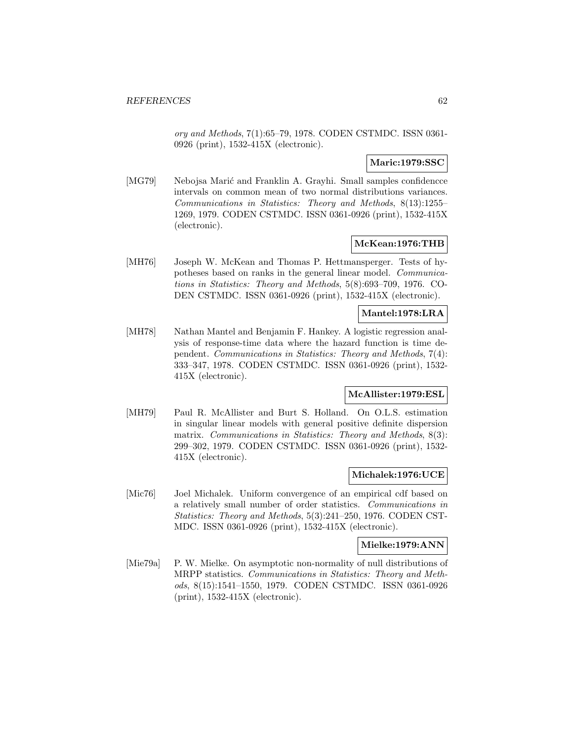ory and Methods, 7(1):65–79, 1978. CODEN CSTMDC. ISSN 0361- 0926 (print), 1532-415X (electronic).

## **Maric:1979:SSC**

[MG79] Nebojsa Marić and Franklin A. Grayhi. Small samples confidence intervals on common mean of two normal distributions variances. Communications in Statistics: Theory and Methods, 8(13):1255– 1269, 1979. CODEN CSTMDC. ISSN 0361-0926 (print), 1532-415X (electronic).

## **McKean:1976:THB**

[MH76] Joseph W. McKean and Thomas P. Hettmansperger. Tests of hypotheses based on ranks in the general linear model. Communications in Statistics: Theory and Methods, 5(8):693–709, 1976. CO-DEN CSTMDC. ISSN 0361-0926 (print), 1532-415X (electronic).

## **Mantel:1978:LRA**

[MH78] Nathan Mantel and Benjamin F. Hankey. A logistic regression analysis of response-time data where the hazard function is time dependent. Communications in Statistics: Theory and Methods, 7(4): 333–347, 1978. CODEN CSTMDC. ISSN 0361-0926 (print), 1532- 415X (electronic).

## **McAllister:1979:ESL**

[MH79] Paul R. McAllister and Burt S. Holland. On O.L.S. estimation in singular linear models with general positive definite dispersion matrix. Communications in Statistics: Theory and Methods, 8(3): 299–302, 1979. CODEN CSTMDC. ISSN 0361-0926 (print), 1532- 415X (electronic).

## **Michalek:1976:UCE**

[Mic76] Joel Michalek. Uniform convergence of an empirical cdf based on a relatively small number of order statistics. Communications in Statistics: Theory and Methods, 5(3):241–250, 1976. CODEN CST-MDC. ISSN 0361-0926 (print), 1532-415X (electronic).

### **Mielke:1979:ANN**

[Mie79a] P. W. Mielke. On asymptotic non-normality of null distributions of MRPP statistics. Communications in Statistics: Theory and Methods, 8(15):1541–1550, 1979. CODEN CSTMDC. ISSN 0361-0926 (print), 1532-415X (electronic).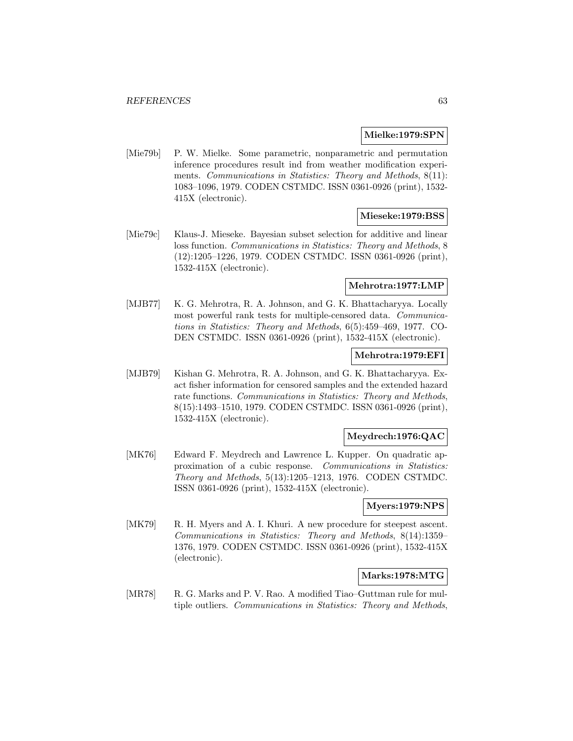#### **Mielke:1979:SPN**

[Mie79b] P. W. Mielke. Some parametric, nonparametric and permutation inference procedures result ind from weather modification experiments. Communications in Statistics: Theory and Methods, 8(11): 1083–1096, 1979. CODEN CSTMDC. ISSN 0361-0926 (print), 1532- 415X (electronic).

### **Mieseke:1979:BSS**

[Mie79c] Klaus-J. Mieseke. Bayesian subset selection for additive and linear loss function. Communications in Statistics: Theory and Methods, 8 (12):1205–1226, 1979. CODEN CSTMDC. ISSN 0361-0926 (print), 1532-415X (electronic).

#### **Mehrotra:1977:LMP**

[MJB77] K. G. Mehrotra, R. A. Johnson, and G. K. Bhattacharyya. Locally most powerful rank tests for multiple-censored data. Communications in Statistics: Theory and Methods, 6(5):459–469, 1977. CO-DEN CSTMDC. ISSN 0361-0926 (print), 1532-415X (electronic).

## **Mehrotra:1979:EFI**

[MJB79] Kishan G. Mehrotra, R. A. Johnson, and G. K. Bhattacharyya. Exact fisher information for censored samples and the extended hazard rate functions. Communications in Statistics: Theory and Methods, 8(15):1493–1510, 1979. CODEN CSTMDC. ISSN 0361-0926 (print), 1532-415X (electronic).

## **Meydrech:1976:QAC**

[MK76] Edward F. Meydrech and Lawrence L. Kupper. On quadratic approximation of a cubic response. Communications in Statistics: Theory and Methods, 5(13):1205–1213, 1976. CODEN CSTMDC. ISSN 0361-0926 (print), 1532-415X (electronic).

### **Myers:1979:NPS**

[MK79] R. H. Myers and A. I. Khuri. A new procedure for steepest ascent. Communications in Statistics: Theory and Methods, 8(14):1359– 1376, 1979. CODEN CSTMDC. ISSN 0361-0926 (print), 1532-415X (electronic).

### **Marks:1978:MTG**

[MR78] R. G. Marks and P. V. Rao. A modified Tiao–Guttman rule for multiple outliers. Communications in Statistics: Theory and Methods,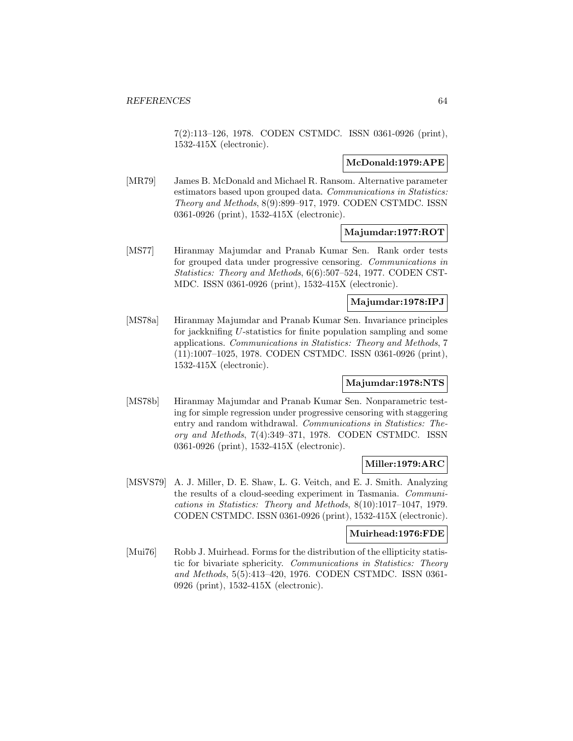7(2):113–126, 1978. CODEN CSTMDC. ISSN 0361-0926 (print), 1532-415X (electronic).

## **McDonald:1979:APE**

[MR79] James B. McDonald and Michael R. Ransom. Alternative parameter estimators based upon grouped data. Communications in Statistics: Theory and Methods, 8(9):899–917, 1979. CODEN CSTMDC. ISSN 0361-0926 (print), 1532-415X (electronic).

## **Majumdar:1977:ROT**

[MS77] Hiranmay Majumdar and Pranab Kumar Sen. Rank order tests for grouped data under progressive censoring. Communications in Statistics: Theory and Methods, 6(6):507–524, 1977. CODEN CST-MDC. ISSN 0361-0926 (print), 1532-415X (electronic).

## **Majumdar:1978:IPJ**

[MS78a] Hiranmay Majumdar and Pranab Kumar Sen. Invariance principles for jackknifing U-statistics for finite population sampling and some applications. Communications in Statistics: Theory and Methods, 7 (11):1007–1025, 1978. CODEN CSTMDC. ISSN 0361-0926 (print), 1532-415X (electronic).

## **Majumdar:1978:NTS**

[MS78b] Hiranmay Majumdar and Pranab Kumar Sen. Nonparametric testing for simple regression under progressive censoring with staggering entry and random withdrawal. Communications in Statistics: Theory and Methods, 7(4):349–371, 1978. CODEN CSTMDC. ISSN 0361-0926 (print), 1532-415X (electronic).

# **Miller:1979:ARC**

[MSVS79] A. J. Miller, D. E. Shaw, L. G. Veitch, and E. J. Smith. Analyzing the results of a cloud-seeding experiment in Tasmania. Communications in Statistics: Theory and Methods, 8(10):1017–1047, 1979. CODEN CSTMDC. ISSN 0361-0926 (print), 1532-415X (electronic).

## **Muirhead:1976:FDE**

[Mui76] Robb J. Muirhead. Forms for the distribution of the ellipticity statistic for bivariate sphericity. Communications in Statistics: Theory and Methods, 5(5):413–420, 1976. CODEN CSTMDC. ISSN 0361- 0926 (print), 1532-415X (electronic).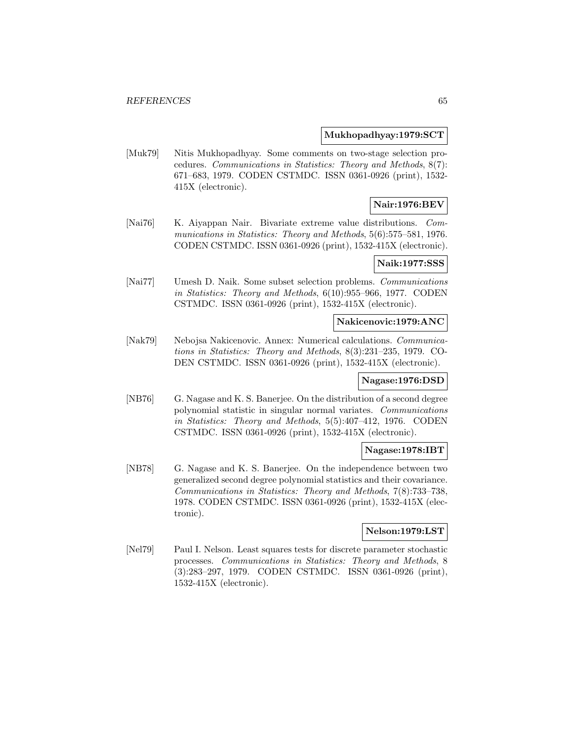#### **Mukhopadhyay:1979:SCT**

[Muk79] Nitis Mukhopadhyay. Some comments on two-stage selection procedures. Communications in Statistics: Theory and Methods, 8(7): 671–683, 1979. CODEN CSTMDC. ISSN 0361-0926 (print), 1532- 415X (electronic).

# **Nair:1976:BEV**

[Nai76] K. Aiyappan Nair. Bivariate extreme value distributions. Communications in Statistics: Theory and Methods, 5(6):575–581, 1976. CODEN CSTMDC. ISSN 0361-0926 (print), 1532-415X (electronic).

#### **Naik:1977:SSS**

[Nai77] Umesh D. Naik. Some subset selection problems. Communications in Statistics: Theory and Methods, 6(10):955–966, 1977. CODEN CSTMDC. ISSN 0361-0926 (print), 1532-415X (electronic).

### **Nakicenovic:1979:ANC**

[Nak79] Nebojsa Nakicenovic. Annex: Numerical calculations. Communications in Statistics: Theory and Methods, 8(3):231–235, 1979. CO-DEN CSTMDC. ISSN 0361-0926 (print), 1532-415X (electronic).

#### **Nagase:1976:DSD**

[NB76] G. Nagase and K. S. Banerjee. On the distribution of a second degree polynomial statistic in singular normal variates. Communications in Statistics: Theory and Methods, 5(5):407–412, 1976. CODEN CSTMDC. ISSN 0361-0926 (print), 1532-415X (electronic).

## **Nagase:1978:IBT**

[NB78] G. Nagase and K. S. Banerjee. On the independence between two generalized second degree polynomial statistics and their covariance. Communications in Statistics: Theory and Methods, 7(8):733–738, 1978. CODEN CSTMDC. ISSN 0361-0926 (print), 1532-415X (electronic).

## **Nelson:1979:LST**

[Nel79] Paul I. Nelson. Least squares tests for discrete parameter stochastic processes. Communications in Statistics: Theory and Methods, 8 (3):283–297, 1979. CODEN CSTMDC. ISSN 0361-0926 (print), 1532-415X (electronic).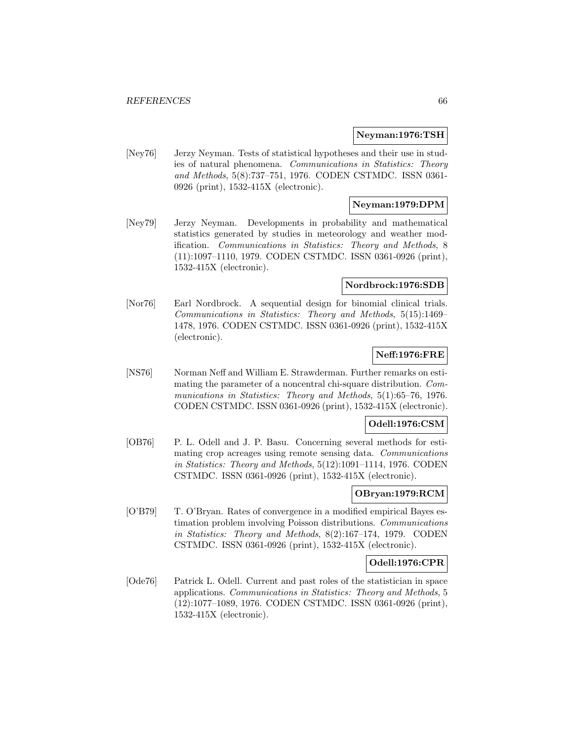### **Neyman:1976:TSH**

[Ney76] Jerzy Neyman. Tests of statistical hypotheses and their use in studies of natural phenomena. Communications in Statistics: Theory and Methods, 5(8):737–751, 1976. CODEN CSTMDC. ISSN 0361- 0926 (print), 1532-415X (electronic).

# **Neyman:1979:DPM**

[Ney79] Jerzy Neyman. Developments in probability and mathematical statistics generated by studies in meteorology and weather modification. Communications in Statistics: Theory and Methods, 8 (11):1097–1110, 1979. CODEN CSTMDC. ISSN 0361-0926 (print), 1532-415X (electronic).

## **Nordbrock:1976:SDB**

[Nor76] Earl Nordbrock. A sequential design for binomial clinical trials. Communications in Statistics: Theory and Methods, 5(15):1469– 1478, 1976. CODEN CSTMDC. ISSN 0361-0926 (print), 1532-415X (electronic).

# **Neff:1976:FRE**

[NS76] Norman Neff and William E. Strawderman. Further remarks on estimating the parameter of a noncentral chi-square distribution. Communications in Statistics: Theory and Methods, 5(1):65–76, 1976. CODEN CSTMDC. ISSN 0361-0926 (print), 1532-415X (electronic).

# **Odell:1976:CSM**

[OB76] P. L. Odell and J. P. Basu. Concerning several methods for estimating crop acreages using remote sensing data. Communications in Statistics: Theory and Methods, 5(12):1091–1114, 1976. CODEN CSTMDC. ISSN 0361-0926 (print), 1532-415X (electronic).

# **OBryan:1979:RCM**

[O'B79] T. O'Bryan. Rates of convergence in a modified empirical Bayes estimation problem involving Poisson distributions. Communications in Statistics: Theory and Methods, 8(2):167–174, 1979. CODEN CSTMDC. ISSN 0361-0926 (print), 1532-415X (electronic).

# **Odell:1976:CPR**

[Ode76] Patrick L. Odell. Current and past roles of the statistician in space applications. Communications in Statistics: Theory and Methods, 5 (12):1077–1089, 1976. CODEN CSTMDC. ISSN 0361-0926 (print), 1532-415X (electronic).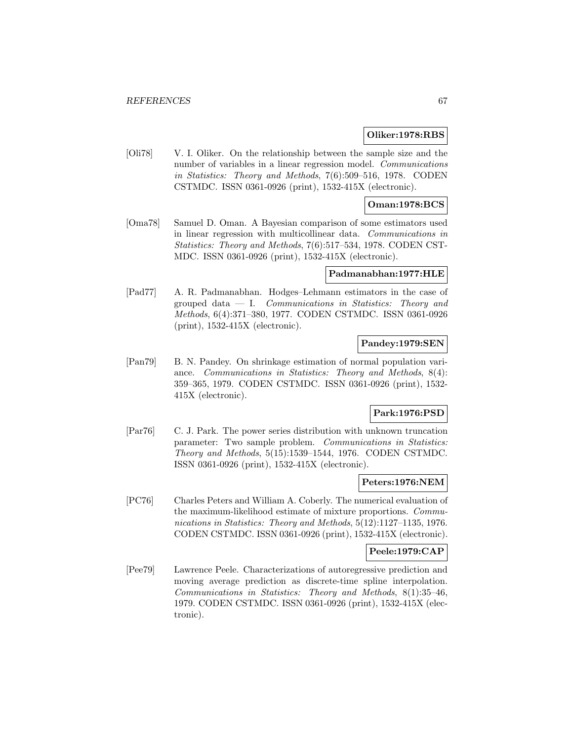## **Oliker:1978:RBS**

[Oli78] V. I. Oliker. On the relationship between the sample size and the number of variables in a linear regression model. Communications in Statistics: Theory and Methods, 7(6):509–516, 1978. CODEN CSTMDC. ISSN 0361-0926 (print), 1532-415X (electronic).

## **Oman:1978:BCS**

[Oma78] Samuel D. Oman. A Bayesian comparison of some estimators used in linear regression with multicollinear data. Communications in Statistics: Theory and Methods, 7(6):517–534, 1978. CODEN CST-MDC. ISSN 0361-0926 (print), 1532-415X (electronic).

#### **Padmanabhan:1977:HLE**

[Pad77] A. R. Padmanabhan. Hodges–Lehmann estimators in the case of grouped data  $-$  I. Communications in Statistics: Theory and Methods, 6(4):371–380, 1977. CODEN CSTMDC. ISSN 0361-0926 (print), 1532-415X (electronic).

## **Pandey:1979:SEN**

[Pan79] B. N. Pandey. On shrinkage estimation of normal population variance. Communications in Statistics: Theory and Methods, 8(4): 359–365, 1979. CODEN CSTMDC. ISSN 0361-0926 (print), 1532- 415X (electronic).

## **Park:1976:PSD**

[Par76] C. J. Park. The power series distribution with unknown truncation parameter: Two sample problem. Communications in Statistics: Theory and Methods, 5(15):1539–1544, 1976. CODEN CSTMDC. ISSN 0361-0926 (print), 1532-415X (electronic).

## **Peters:1976:NEM**

[PC76] Charles Peters and William A. Coberly. The numerical evaluation of the maximum-likelihood estimate of mixture proportions. Communications in Statistics: Theory and Methods, 5(12):1127–1135, 1976. CODEN CSTMDC. ISSN 0361-0926 (print), 1532-415X (electronic).

## **Peele:1979:CAP**

[Pee79] Lawrence Peele. Characterizations of autoregressive prediction and moving average prediction as discrete-time spline interpolation. Communications in Statistics: Theory and Methods, 8(1):35–46, 1979. CODEN CSTMDC. ISSN 0361-0926 (print), 1532-415X (electronic).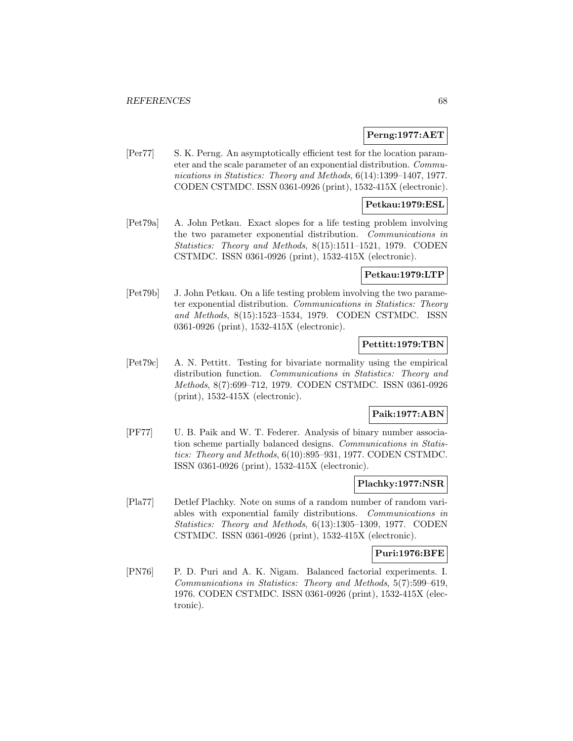## **Perng:1977:AET**

[Per77] S. K. Perng. An asymptotically efficient test for the location parameter and the scale parameter of an exponential distribution. Communications in Statistics: Theory and Methods, 6(14):1399–1407, 1977. CODEN CSTMDC. ISSN 0361-0926 (print), 1532-415X (electronic).

## **Petkau:1979:ESL**

[Pet79a] A. John Petkau. Exact slopes for a life testing problem involving the two parameter exponential distribution. Communications in Statistics: Theory and Methods, 8(15):1511–1521, 1979. CODEN CSTMDC. ISSN 0361-0926 (print), 1532-415X (electronic).

## **Petkau:1979:LTP**

[Pet79b] J. John Petkau. On a life testing problem involving the two parameter exponential distribution. Communications in Statistics: Theory and Methods, 8(15):1523–1534, 1979. CODEN CSTMDC. ISSN 0361-0926 (print), 1532-415X (electronic).

## **Pettitt:1979:TBN**

[Pet79c] A. N. Pettitt. Testing for bivariate normality using the empirical distribution function. Communications in Statistics: Theory and Methods, 8(7):699–712, 1979. CODEN CSTMDC. ISSN 0361-0926 (print), 1532-415X (electronic).

## **Paik:1977:ABN**

[PF77] U. B. Paik and W. T. Federer. Analysis of binary number association scheme partially balanced designs. Communications in Statistics: Theory and Methods, 6(10):895–931, 1977. CODEN CSTMDC. ISSN 0361-0926 (print), 1532-415X (electronic).

## **Plachky:1977:NSR**

[Pla77] Detlef Plachky. Note on sums of a random number of random variables with exponential family distributions. Communications in Statistics: Theory and Methods, 6(13):1305–1309, 1977. CODEN CSTMDC. ISSN 0361-0926 (print), 1532-415X (electronic).

## **Puri:1976:BFE**

[PN76] P. D. Puri and A. K. Nigam. Balanced factorial experiments. I. Communications in Statistics: Theory and Methods, 5(7):599–619, 1976. CODEN CSTMDC. ISSN 0361-0926 (print), 1532-415X (electronic).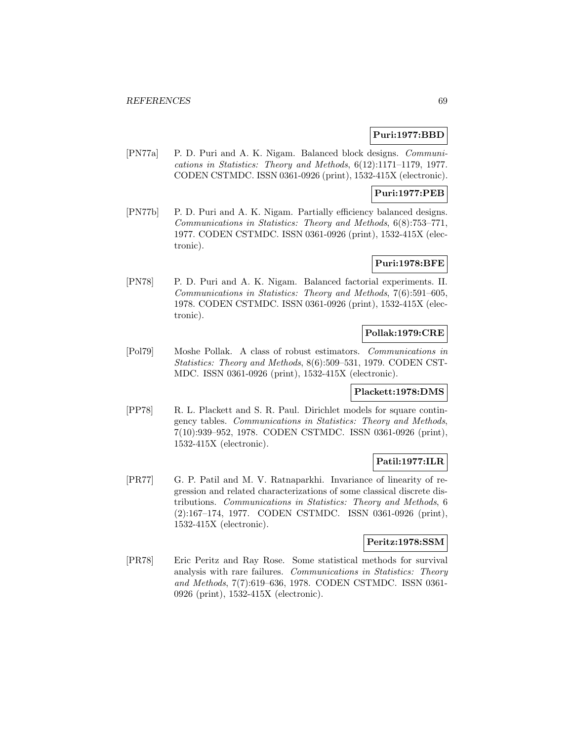## **Puri:1977:BBD**

[PN77a] P. D. Puri and A. K. Nigam. Balanced block designs. Communications in Statistics: Theory and Methods, 6(12):1171–1179, 1977. CODEN CSTMDC. ISSN 0361-0926 (print), 1532-415X (electronic).

# **Puri:1977:PEB**

[PN77b] P. D. Puri and A. K. Nigam. Partially efficiency balanced designs. Communications in Statistics: Theory and Methods, 6(8):753–771, 1977. CODEN CSTMDC. ISSN 0361-0926 (print), 1532-415X (electronic).

## **Puri:1978:BFE**

[PN78] P. D. Puri and A. K. Nigam. Balanced factorial experiments. II. Communications in Statistics: Theory and Methods, 7(6):591–605, 1978. CODEN CSTMDC. ISSN 0361-0926 (print), 1532-415X (electronic).

## **Pollak:1979:CRE**

[Pol79] Moshe Pollak. A class of robust estimators. Communications in Statistics: Theory and Methods, 8(6):509–531, 1979. CODEN CST-MDC. ISSN 0361-0926 (print), 1532-415X (electronic).

#### **Plackett:1978:DMS**

[PP78] R. L. Plackett and S. R. Paul. Dirichlet models for square contingency tables. Communications in Statistics: Theory and Methods, 7(10):939–952, 1978. CODEN CSTMDC. ISSN 0361-0926 (print), 1532-415X (electronic).

# **Patil:1977:ILR**

[PR77] G. P. Patil and M. V. Ratnaparkhi. Invariance of linearity of regression and related characterizations of some classical discrete distributions. Communications in Statistics: Theory and Methods, 6 (2):167–174, 1977. CODEN CSTMDC. ISSN 0361-0926 (print), 1532-415X (electronic).

## **Peritz:1978:SSM**

[PR78] Eric Peritz and Ray Rose. Some statistical methods for survival analysis with rare failures. Communications in Statistics: Theory and Methods, 7(7):619–636, 1978. CODEN CSTMDC. ISSN 0361- 0926 (print), 1532-415X (electronic).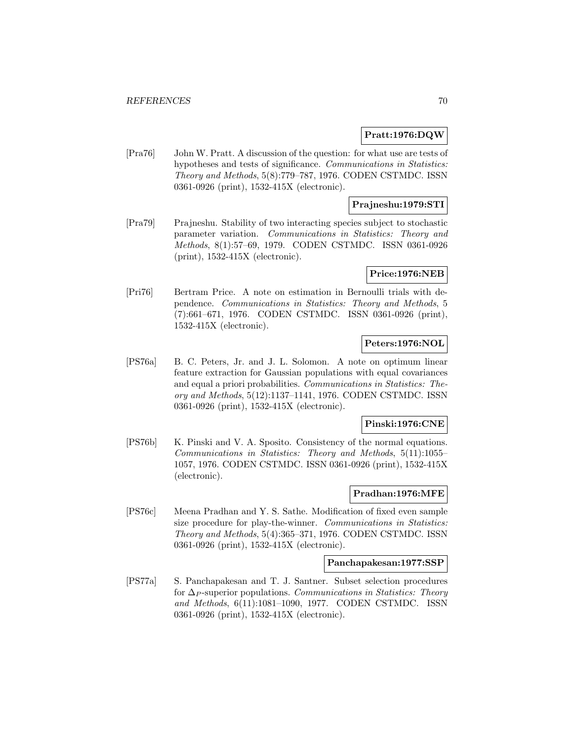## **Pratt:1976:DQW**

[Pra76] John W. Pratt. A discussion of the question: for what use are tests of hypotheses and tests of significance. Communications in Statistics: Theory and Methods, 5(8):779–787, 1976. CODEN CSTMDC. ISSN 0361-0926 (print), 1532-415X (electronic).

## **Prajneshu:1979:STI**

[Pra79] Prajneshu. Stability of two interacting species subject to stochastic parameter variation. Communications in Statistics: Theory and Methods, 8(1):57–69, 1979. CODEN CSTMDC. ISSN 0361-0926 (print), 1532-415X (electronic).

## **Price:1976:NEB**

[Pri76] Bertram Price. A note on estimation in Bernoulli trials with dependence. Communications in Statistics: Theory and Methods, 5 (7):661–671, 1976. CODEN CSTMDC. ISSN 0361-0926 (print), 1532-415X (electronic).

## **Peters:1976:NOL**

[PS76a] B. C. Peters, Jr. and J. L. Solomon. A note on optimum linear feature extraction for Gaussian populations with equal covariances and equal a priori probabilities. Communications in Statistics: Theory and Methods, 5(12):1137–1141, 1976. CODEN CSTMDC. ISSN 0361-0926 (print), 1532-415X (electronic).

# **Pinski:1976:CNE**

[PS76b] K. Pinski and V. A. Sposito. Consistency of the normal equations. Communications in Statistics: Theory and Methods, 5(11):1055– 1057, 1976. CODEN CSTMDC. ISSN 0361-0926 (print), 1532-415X (electronic).

## **Pradhan:1976:MFE**

[PS76c] Meena Pradhan and Y. S. Sathe. Modification of fixed even sample size procedure for play-the-winner. Communications in Statistics: Theory and Methods, 5(4):365–371, 1976. CODEN CSTMDC. ISSN 0361-0926 (print), 1532-415X (electronic).

## **Panchapakesan:1977:SSP**

[PS77a] S. Panchapakesan and T. J. Santner. Subset selection procedures for  $\Delta_P$ -superior populations. Communications in Statistics: Theory and Methods, 6(11):1081–1090, 1977. CODEN CSTMDC. ISSN 0361-0926 (print), 1532-415X (electronic).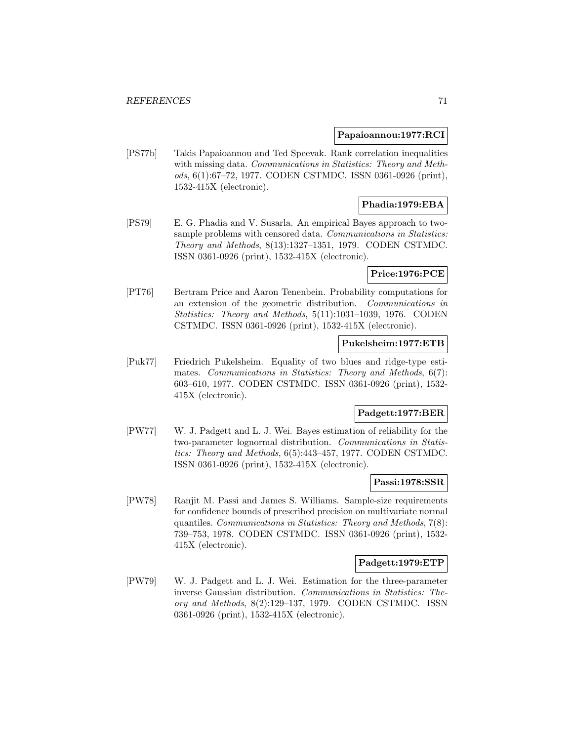### **Papaioannou:1977:RCI**

[PS77b] Takis Papaioannou and Ted Speevak. Rank correlation inequalities with missing data. Communications in Statistics: Theory and Methods, 6(1):67–72, 1977. CODEN CSTMDC. ISSN 0361-0926 (print), 1532-415X (electronic).

## **Phadia:1979:EBA**

[PS79] E. G. Phadia and V. Susarla. An empirical Bayes approach to twosample problems with censored data. Communications in Statistics: Theory and Methods, 8(13):1327–1351, 1979. CODEN CSTMDC. ISSN 0361-0926 (print), 1532-415X (electronic).

## **Price:1976:PCE**

[PT76] Bertram Price and Aaron Tenenbein. Probability computations for an extension of the geometric distribution. Communications in Statistics: Theory and Methods, 5(11):1031–1039, 1976. CODEN CSTMDC. ISSN 0361-0926 (print), 1532-415X (electronic).

## **Pukelsheim:1977:ETB**

[Puk77] Friedrich Pukelsheim. Equality of two blues and ridge-type estimates. Communications in Statistics: Theory and Methods, 6(7): 603–610, 1977. CODEN CSTMDC. ISSN 0361-0926 (print), 1532- 415X (electronic).

## **Padgett:1977:BER**

[PW77] W. J. Padgett and L. J. Wei. Bayes estimation of reliability for the two-parameter lognormal distribution. Communications in Statistics: Theory and Methods, 6(5):443–457, 1977. CODEN CSTMDC. ISSN 0361-0926 (print), 1532-415X (electronic).

### **Passi:1978:SSR**

[PW78] Ranjit M. Passi and James S. Williams. Sample-size requirements for confidence bounds of prescribed precision on multivariate normal quantiles. Communications in Statistics: Theory and Methods, 7(8): 739–753, 1978. CODEN CSTMDC. ISSN 0361-0926 (print), 1532- 415X (electronic).

#### **Padgett:1979:ETP**

[PW79] W. J. Padgett and L. J. Wei. Estimation for the three-parameter inverse Gaussian distribution. Communications in Statistics: Theory and Methods, 8(2):129–137, 1979. CODEN CSTMDC. ISSN 0361-0926 (print), 1532-415X (electronic).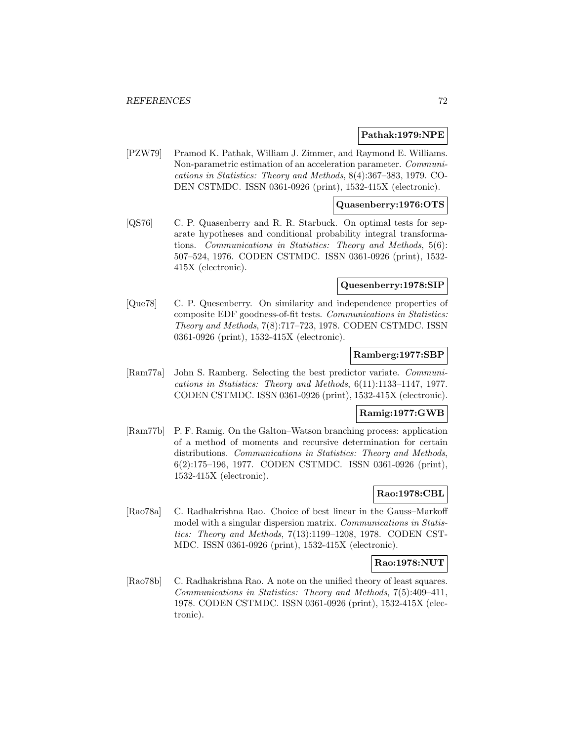## **Pathak:1979:NPE**

[PZW79] Pramod K. Pathak, William J. Zimmer, and Raymond E. Williams. Non-parametric estimation of an acceleration parameter. Communications in Statistics: Theory and Methods, 8(4):367–383, 1979. CO-DEN CSTMDC. ISSN 0361-0926 (print), 1532-415X (electronic).

## **Quasenberry:1976:OTS**

[QS76] C. P. Quasenberry and R. R. Starbuck. On optimal tests for separate hypotheses and conditional probability integral transformations. Communications in Statistics: Theory and Methods, 5(6): 507–524, 1976. CODEN CSTMDC. ISSN 0361-0926 (print), 1532- 415X (electronic).

#### **Quesenberry:1978:SIP**

[Que78] C. P. Quesenberry. On similarity and independence properties of composite EDF goodness-of-fit tests. Communications in Statistics: Theory and Methods, 7(8):717–723, 1978. CODEN CSTMDC. ISSN 0361-0926 (print), 1532-415X (electronic).

#### **Ramberg:1977:SBP**

[Ram77a] John S. Ramberg. Selecting the best predictor variate. Communications in Statistics: Theory and Methods, 6(11):1133–1147, 1977. CODEN CSTMDC. ISSN 0361-0926 (print), 1532-415X (electronic).

### **Ramig:1977:GWB**

[Ram77b] P. F. Ramig. On the Galton–Watson branching process: application of a method of moments and recursive determination for certain distributions. Communications in Statistics: Theory and Methods, 6(2):175–196, 1977. CODEN CSTMDC. ISSN 0361-0926 (print), 1532-415X (electronic).

# **Rao:1978:CBL**

[Rao78a] C. Radhakrishna Rao. Choice of best linear in the Gauss–Markoff model with a singular dispersion matrix. Communications in Statistics: Theory and Methods, 7(13):1199–1208, 1978. CODEN CST-MDC. ISSN 0361-0926 (print), 1532-415X (electronic).

## **Rao:1978:NUT**

[Rao78b] C. Radhakrishna Rao. A note on the unified theory of least squares. Communications in Statistics: Theory and Methods, 7(5):409–411, 1978. CODEN CSTMDC. ISSN 0361-0926 (print), 1532-415X (electronic).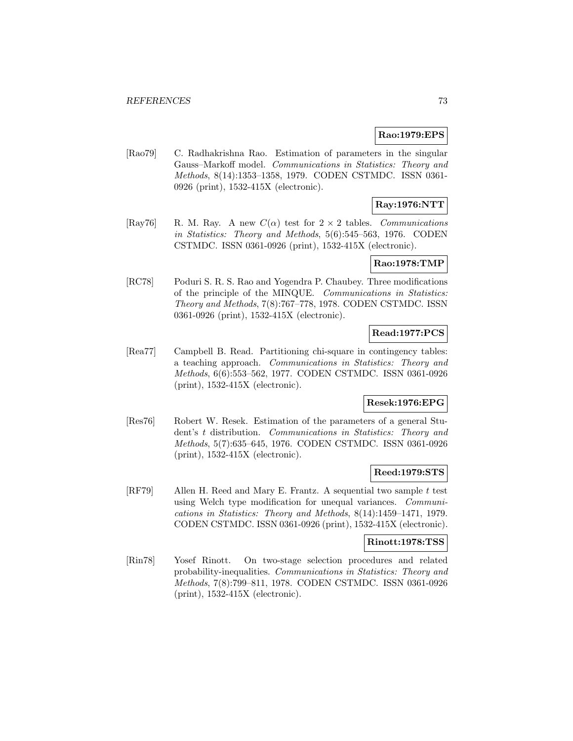### **Rao:1979:EPS**

[Rao79] C. Radhakrishna Rao. Estimation of parameters in the singular Gauss–Markoff model. Communications in Statistics: Theory and Methods, 8(14):1353–1358, 1979. CODEN CSTMDC. ISSN 0361- 0926 (print), 1532-415X (electronic).

# **Ray:1976:NTT**

[Ray76] R. M. Ray. A new  $C(\alpha)$  test for  $2 \times 2$  tables. Communications in Statistics: Theory and Methods, 5(6):545–563, 1976. CODEN CSTMDC. ISSN 0361-0926 (print), 1532-415X (electronic).

### **Rao:1978:TMP**

[RC78] Poduri S. R. S. Rao and Yogendra P. Chaubey. Three modifications of the principle of the MINQUE. Communications in Statistics: Theory and Methods, 7(8):767–778, 1978. CODEN CSTMDC. ISSN 0361-0926 (print), 1532-415X (electronic).

## **Read:1977:PCS**

[Rea77] Campbell B. Read. Partitioning chi-square in contingency tables: a teaching approach. Communications in Statistics: Theory and Methods, 6(6):553–562, 1977. CODEN CSTMDC. ISSN 0361-0926 (print), 1532-415X (electronic).

## **Resek:1976:EPG**

[Res76] Robert W. Resek. Estimation of the parameters of a general Student's t distribution. Communications in Statistics: Theory and Methods, 5(7):635–645, 1976. CODEN CSTMDC. ISSN 0361-0926 (print), 1532-415X (electronic).

### **Reed:1979:STS**

[RF79] Allen H. Reed and Mary E. Frantz. A sequential two sample t test using Welch type modification for unequal variances. Communications in Statistics: Theory and Methods, 8(14):1459–1471, 1979. CODEN CSTMDC. ISSN 0361-0926 (print), 1532-415X (electronic).

### **Rinott:1978:TSS**

[Rin78] Yosef Rinott. On two-stage selection procedures and related probability-inequalities. Communications in Statistics: Theory and Methods, 7(8):799–811, 1978. CODEN CSTMDC. ISSN 0361-0926 (print), 1532-415X (electronic).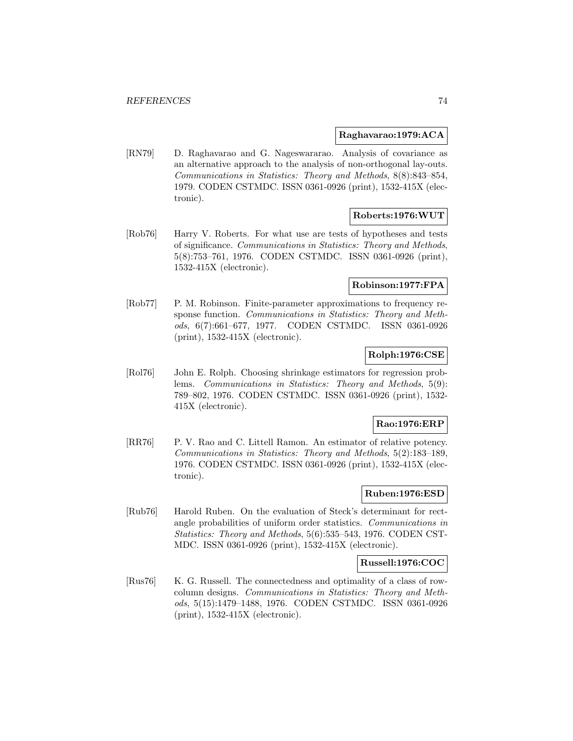#### **Raghavarao:1979:ACA**

[RN79] D. Raghavarao and G. Nageswararao. Analysis of covariance as an alternative approach to the analysis of non-orthogonal lay-outs. Communications in Statistics: Theory and Methods, 8(8):843–854, 1979. CODEN CSTMDC. ISSN 0361-0926 (print), 1532-415X (electronic).

## **Roberts:1976:WUT**

[Rob76] Harry V. Roberts. For what use are tests of hypotheses and tests of significance. Communications in Statistics: Theory and Methods, 5(8):753–761, 1976. CODEN CSTMDC. ISSN 0361-0926 (print), 1532-415X (electronic).

### **Robinson:1977:FPA**

[Rob77] P. M. Robinson. Finite-parameter approximations to frequency response function. Communications in Statistics: Theory and Methods, 6(7):661–677, 1977. CODEN CSTMDC. ISSN 0361-0926 (print), 1532-415X (electronic).

## **Rolph:1976:CSE**

[Rol76] John E. Rolph. Choosing shrinkage estimators for regression problems. Communications in Statistics: Theory and Methods, 5(9): 789–802, 1976. CODEN CSTMDC. ISSN 0361-0926 (print), 1532- 415X (electronic).

### **Rao:1976:ERP**

[RR76] P. V. Rao and C. Littell Ramon. An estimator of relative potency. Communications in Statistics: Theory and Methods, 5(2):183–189, 1976. CODEN CSTMDC. ISSN 0361-0926 (print), 1532-415X (electronic).

### **Ruben:1976:ESD**

[Rub76] Harold Ruben. On the evaluation of Steck's determinant for rectangle probabilities of uniform order statistics. Communications in Statistics: Theory and Methods, 5(6):535–543, 1976. CODEN CST-MDC. ISSN 0361-0926 (print), 1532-415X (electronic).

### **Russell:1976:COC**

[Rus76] K. G. Russell. The connectedness and optimality of a class of rowcolumn designs. Communications in Statistics: Theory and Methods, 5(15):1479–1488, 1976. CODEN CSTMDC. ISSN 0361-0926 (print), 1532-415X (electronic).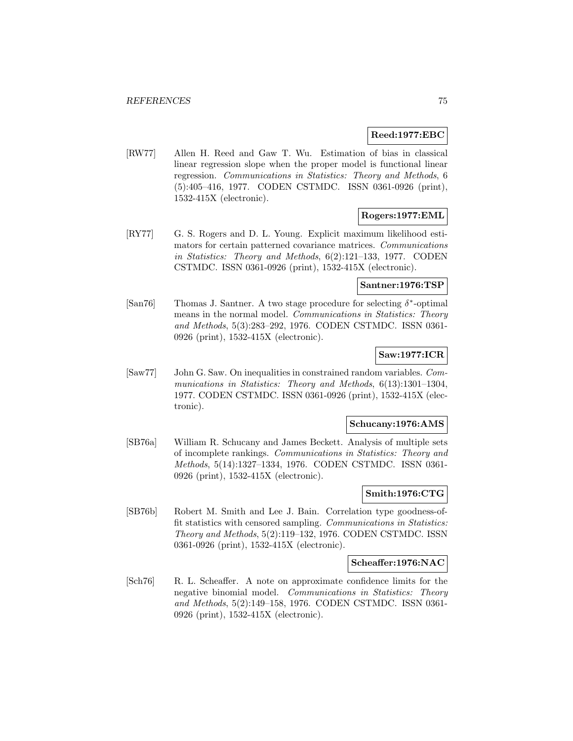#### **Reed:1977:EBC**

[RW77] Allen H. Reed and Gaw T. Wu. Estimation of bias in classical linear regression slope when the proper model is functional linear regression. Communications in Statistics: Theory and Methods, 6 (5):405–416, 1977. CODEN CSTMDC. ISSN 0361-0926 (print), 1532-415X (electronic).

## **Rogers:1977:EML**

[RY77] G. S. Rogers and D. L. Young. Explicit maximum likelihood estimators for certain patterned covariance matrices. Communications in Statistics: Theory and Methods, 6(2):121–133, 1977. CODEN CSTMDC. ISSN 0361-0926 (print), 1532-415X (electronic).

#### **Santner:1976:TSP**

[San76] Thomas J. Santner. A two stage procedure for selecting  $\delta^*$ -optimal means in the normal model. Communications in Statistics: Theory and Methods, 5(3):283–292, 1976. CODEN CSTMDC. ISSN 0361- 0926 (print), 1532-415X (electronic).

## **Saw:1977:ICR**

[Saw77] John G. Saw. On inequalities in constrained random variables. Communications in Statistics: Theory and Methods, 6(13):1301-1304, 1977. CODEN CSTMDC. ISSN 0361-0926 (print), 1532-415X (electronic).

### **Schucany:1976:AMS**

[SB76a] William R. Schucany and James Beckett. Analysis of multiple sets of incomplete rankings. Communications in Statistics: Theory and Methods, 5(14):1327–1334, 1976. CODEN CSTMDC. ISSN 0361- 0926 (print), 1532-415X (electronic).

## **Smith:1976:CTG**

[SB76b] Robert M. Smith and Lee J. Bain. Correlation type goodness-offit statistics with censored sampling. Communications in Statistics: Theory and Methods, 5(2):119–132, 1976. CODEN CSTMDC. ISSN 0361-0926 (print), 1532-415X (electronic).

### **Scheaffer:1976:NAC**

[Sch76] R. L. Scheaffer. A note on approximate confidence limits for the negative binomial model. Communications in Statistics: Theory and Methods, 5(2):149–158, 1976. CODEN CSTMDC. ISSN 0361- 0926 (print), 1532-415X (electronic).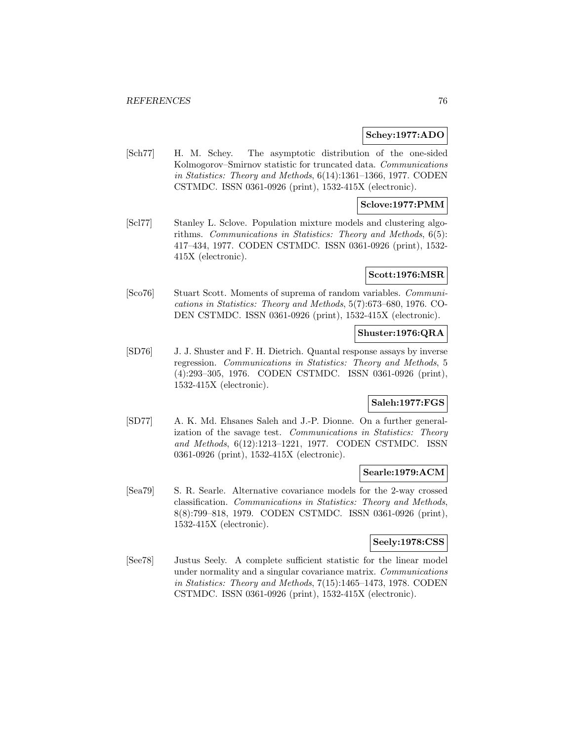#### **Schey:1977:ADO**

[Sch77] H. M. Schey. The asymptotic distribution of the one-sided Kolmogorov–Smirnov statistic for truncated data. Communications in Statistics: Theory and Methods, 6(14):1361–1366, 1977. CODEN CSTMDC. ISSN 0361-0926 (print), 1532-415X (electronic).

### **Sclove:1977:PMM**

[Scl77] Stanley L. Sclove. Population mixture models and clustering algorithms. Communications in Statistics: Theory and Methods, 6(5): 417–434, 1977. CODEN CSTMDC. ISSN 0361-0926 (print), 1532- 415X (electronic).

### **Scott:1976:MSR**

[Sco76] Stuart Scott. Moments of suprema of random variables. Communications in Statistics: Theory and Methods, 5(7):673–680, 1976. CO-DEN CSTMDC. ISSN 0361-0926 (print), 1532-415X (electronic).

#### **Shuster:1976:QRA**

[SD76] J. J. Shuster and F. H. Dietrich. Quantal response assays by inverse regression. Communications in Statistics: Theory and Methods, 5 (4):293–305, 1976. CODEN CSTMDC. ISSN 0361-0926 (print), 1532-415X (electronic).

## **Saleh:1977:FGS**

[SD77] A. K. Md. Ehsanes Saleh and J.-P. Dionne. On a further generalization of the savage test. Communications in Statistics: Theory and Methods, 6(12):1213–1221, 1977. CODEN CSTMDC. ISSN 0361-0926 (print), 1532-415X (electronic).

#### **Searle:1979:ACM**

[Sea79] S. R. Searle. Alternative covariance models for the 2-way crossed classification. Communications in Statistics: Theory and Methods, 8(8):799–818, 1979. CODEN CSTMDC. ISSN 0361-0926 (print), 1532-415X (electronic).

### **Seely:1978:CSS**

[See78] Justus Seely. A complete sufficient statistic for the linear model under normality and a singular covariance matrix. Communications in Statistics: Theory and Methods, 7(15):1465–1473, 1978. CODEN CSTMDC. ISSN 0361-0926 (print), 1532-415X (electronic).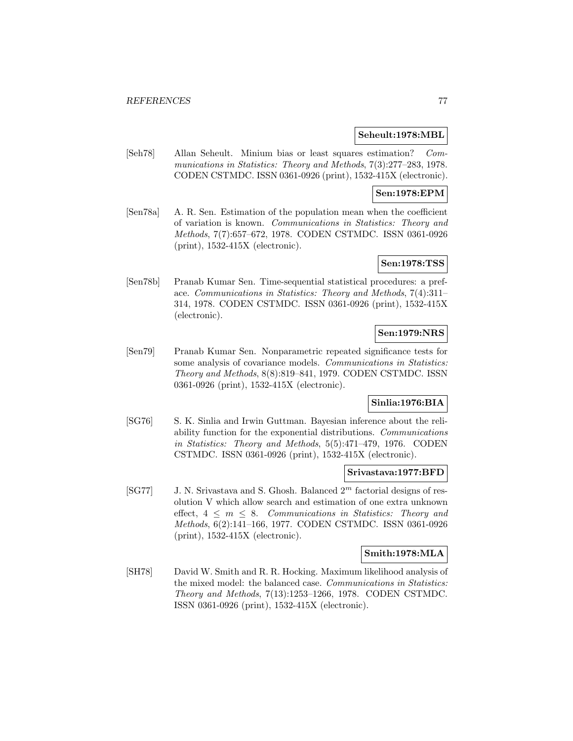#### **Seheult:1978:MBL**

[Seh78] Allan Seheult. Minium bias or least squares estimation? Communications in Statistics: Theory and Methods, 7(3):277–283, 1978. CODEN CSTMDC. ISSN 0361-0926 (print), 1532-415X (electronic).

## **Sen:1978:EPM**

[Sen78a] A. R. Sen. Estimation of the population mean when the coefficient of variation is known. Communications in Statistics: Theory and Methods, 7(7):657–672, 1978. CODEN CSTMDC. ISSN 0361-0926 (print), 1532-415X (electronic).

## **Sen:1978:TSS**

[Sen78b] Pranab Kumar Sen. Time-sequential statistical procedures: a preface. Communications in Statistics: Theory and Methods, 7(4):311– 314, 1978. CODEN CSTMDC. ISSN 0361-0926 (print), 1532-415X (electronic).

# **Sen:1979:NRS**

[Sen79] Pranab Kumar Sen. Nonparametric repeated significance tests for some analysis of covariance models. Communications in Statistics: Theory and Methods, 8(8):819–841, 1979. CODEN CSTMDC. ISSN 0361-0926 (print), 1532-415X (electronic).

## **Sinlia:1976:BIA**

[SG76] S. K. Sinlia and Irwin Guttman. Bayesian inference about the reliability function for the exponential distributions. Communications in Statistics: Theory and Methods, 5(5):471–479, 1976. CODEN CSTMDC. ISSN 0361-0926 (print), 1532-415X (electronic).

### **Srivastava:1977:BFD**

 $[SG77]$  J. N. Srivastava and S. Ghosh. Balanced  $2<sup>m</sup>$  factorial designs of resolution V which allow search and estimation of one extra unknown effect,  $4 \leq m \leq 8$ . Communications in Statistics: Theory and Methods, 6(2):141–166, 1977. CODEN CSTMDC. ISSN 0361-0926 (print), 1532-415X (electronic).

### **Smith:1978:MLA**

[SH78] David W. Smith and R. R. Hocking. Maximum likelihood analysis of the mixed model: the balanced case. Communications in Statistics: Theory and Methods, 7(13):1253–1266, 1978. CODEN CSTMDC. ISSN 0361-0926 (print), 1532-415X (electronic).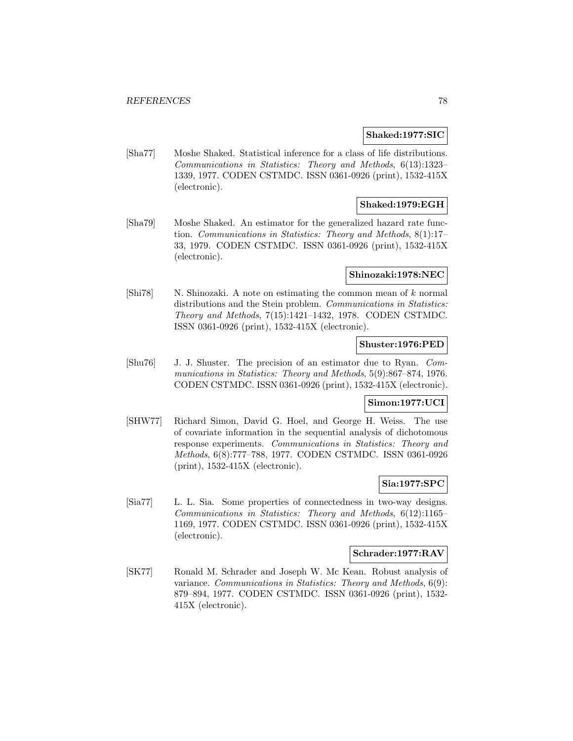#### **Shaked:1977:SIC**

[Sha77] Moshe Shaked. Statistical inference for a class of life distributions. Communications in Statistics: Theory and Methods, 6(13):1323– 1339, 1977. CODEN CSTMDC. ISSN 0361-0926 (print), 1532-415X (electronic).

## **Shaked:1979:EGH**

[Sha79] Moshe Shaked. An estimator for the generalized hazard rate function. Communications in Statistics: Theory and Methods, 8(1):17– 33, 1979. CODEN CSTMDC. ISSN 0361-0926 (print), 1532-415X (electronic).

### **Shinozaki:1978:NEC**

 $[\text{Shi78}]$  N. Shinozaki. A note on estimating the common mean of k normal distributions and the Stein problem. Communications in Statistics: Theory and Methods, 7(15):1421–1432, 1978. CODEN CSTMDC. ISSN 0361-0926 (print), 1532-415X (electronic).

### **Shuster:1976:PED**

[Shu76] J. J. Shuster. The precision of an estimator due to Ryan. Communications in Statistics: Theory and Methods, 5(9):867–874, 1976. CODEN CSTMDC. ISSN 0361-0926 (print), 1532-415X (electronic).

## **Simon:1977:UCI**

[SHW77] Richard Simon, David G. Hoel, and George H. Weiss. The use of covariate information in the sequential analysis of dichotomous response experiments. Communications in Statistics: Theory and Methods, 6(8):777–788, 1977. CODEN CSTMDC. ISSN 0361-0926 (print), 1532-415X (electronic).

### **Sia:1977:SPC**

[Sia77] L. L. Sia. Some properties of connectedness in two-way designs. Communications in Statistics: Theory and Methods, 6(12):1165– 1169, 1977. CODEN CSTMDC. ISSN 0361-0926 (print), 1532-415X (electronic).

### **Schrader:1977:RAV**

[SK77] Ronald M. Schrader and Joseph W. Mc Kean. Robust analysis of variance. Communications in Statistics: Theory and Methods, 6(9): 879–894, 1977. CODEN CSTMDC. ISSN 0361-0926 (print), 1532- 415X (electronic).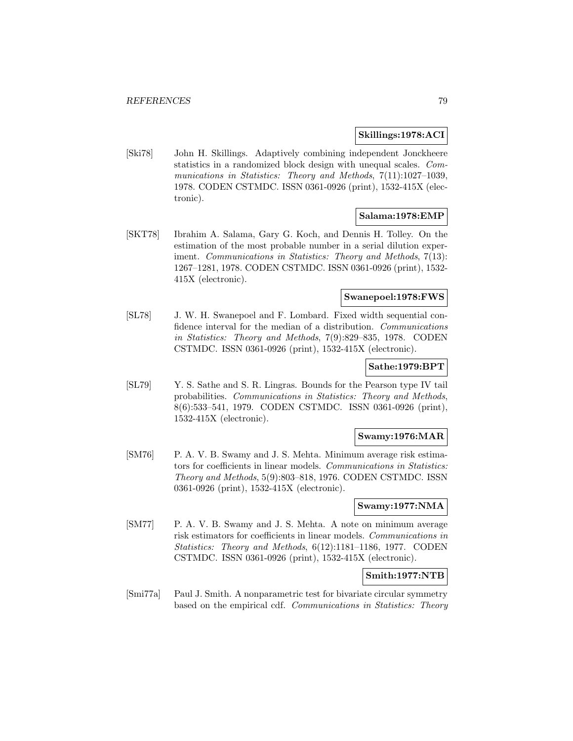#### **Skillings:1978:ACI**

[Ski78] John H. Skillings. Adaptively combining independent Jonckheere statistics in a randomized block design with unequal scales. Communications in Statistics: Theory and Methods, 7(11):1027-1039, 1978. CODEN CSTMDC. ISSN 0361-0926 (print), 1532-415X (electronic).

## **Salama:1978:EMP**

[SKT78] Ibrahim A. Salama, Gary G. Koch, and Dennis H. Tolley. On the estimation of the most probable number in a serial dilution experiment. Communications in Statistics: Theory and Methods, 7(13): 1267–1281, 1978. CODEN CSTMDC. ISSN 0361-0926 (print), 1532- 415X (electronic).

### **Swanepoel:1978:FWS**

[SL78] J. W. H. Swanepoel and F. Lombard. Fixed width sequential confidence interval for the median of a distribution. Communications in Statistics: Theory and Methods, 7(9):829–835, 1978. CODEN CSTMDC. ISSN 0361-0926 (print), 1532-415X (electronic).

### **Sathe:1979:BPT**

[SL79] Y. S. Sathe and S. R. Lingras. Bounds for the Pearson type IV tail probabilities. Communications in Statistics: Theory and Methods, 8(6):533–541, 1979. CODEN CSTMDC. ISSN 0361-0926 (print), 1532-415X (electronic).

#### **Swamy:1976:MAR**

[SM76] P. A. V. B. Swamy and J. S. Mehta. Minimum average risk estimators for coefficients in linear models. Communications in Statistics: Theory and Methods, 5(9):803–818, 1976. CODEN CSTMDC. ISSN 0361-0926 (print), 1532-415X (electronic).

### **Swamy:1977:NMA**

[SM77] P. A. V. B. Swamy and J. S. Mehta. A note on minimum average risk estimators for coefficients in linear models. Communications in Statistics: Theory and Methods, 6(12):1181–1186, 1977. CODEN CSTMDC. ISSN 0361-0926 (print), 1532-415X (electronic).

## **Smith:1977:NTB**

[Smi77a] Paul J. Smith. A nonparametric test for bivariate circular symmetry based on the empirical cdf. Communications in Statistics: Theory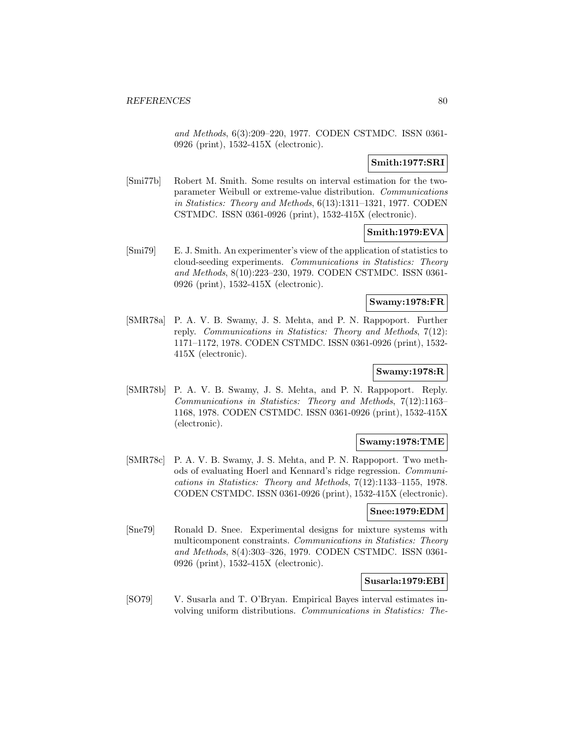and Methods, 6(3):209–220, 1977. CODEN CSTMDC. ISSN 0361- 0926 (print), 1532-415X (electronic).

## **Smith:1977:SRI**

[Smi77b] Robert M. Smith. Some results on interval estimation for the twoparameter Weibull or extreme-value distribution. Communications in Statistics: Theory and Methods, 6(13):1311–1321, 1977. CODEN CSTMDC. ISSN 0361-0926 (print), 1532-415X (electronic).

## **Smith:1979:EVA**

[Smi79] E. J. Smith. An experimenter's view of the application of statistics to cloud-seeding experiments. Communications in Statistics: Theory and Methods, 8(10):223–230, 1979. CODEN CSTMDC. ISSN 0361- 0926 (print), 1532-415X (electronic).

### **Swamy:1978:FR**

[SMR78a] P. A. V. B. Swamy, J. S. Mehta, and P. N. Rappoport. Further reply. Communications in Statistics: Theory and Methods, 7(12): 1171–1172, 1978. CODEN CSTMDC. ISSN 0361-0926 (print), 1532- 415X (electronic).

## **Swamy:1978:R**

[SMR78b] P. A. V. B. Swamy, J. S. Mehta, and P. N. Rappoport. Reply. Communications in Statistics: Theory and Methods, 7(12):1163– 1168, 1978. CODEN CSTMDC. ISSN 0361-0926 (print), 1532-415X (electronic).

### **Swamy:1978:TME**

[SMR78c] P. A. V. B. Swamy, J. S. Mehta, and P. N. Rappoport. Two methods of evaluating Hoerl and Kennard's ridge regression. Communications in Statistics: Theory and Methods, 7(12):1133–1155, 1978. CODEN CSTMDC. ISSN 0361-0926 (print), 1532-415X (electronic).

#### **Snee:1979:EDM**

[Sne79] Ronald D. Snee. Experimental designs for mixture systems with multicomponent constraints. Communications in Statistics: Theory and Methods, 8(4):303–326, 1979. CODEN CSTMDC. ISSN 0361- 0926 (print), 1532-415X (electronic).

### **Susarla:1979:EBI**

[SO79] V. Susarla and T. O'Bryan. Empirical Bayes interval estimates involving uniform distributions. Communications in Statistics: The-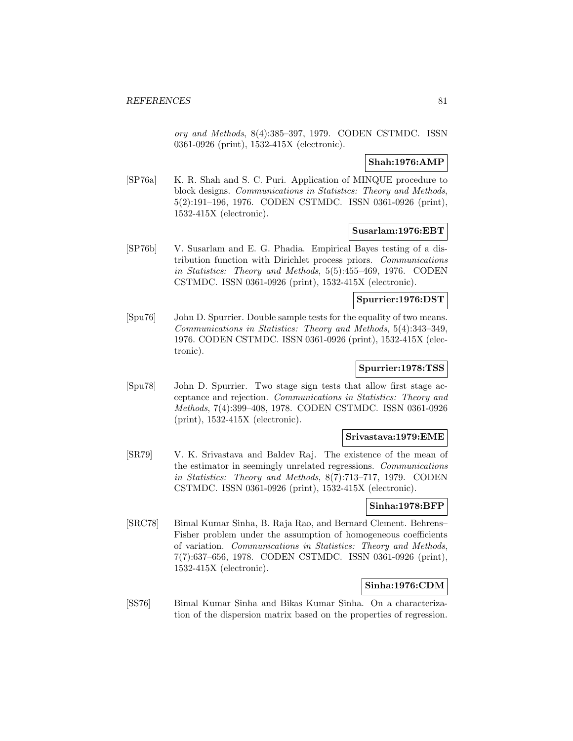ory and Methods, 8(4):385–397, 1979. CODEN CSTMDC. ISSN 0361-0926 (print), 1532-415X (electronic).

## **Shah:1976:AMP**

[SP76a] K. R. Shah and S. C. Puri. Application of MINQUE procedure to block designs. Communications in Statistics: Theory and Methods, 5(2):191–196, 1976. CODEN CSTMDC. ISSN 0361-0926 (print), 1532-415X (electronic).

# **Susarlam:1976:EBT**

[SP76b] V. Susarlam and E. G. Phadia. Empirical Bayes testing of a distribution function with Dirichlet process priors. Communications in Statistics: Theory and Methods, 5(5):455–469, 1976. CODEN CSTMDC. ISSN 0361-0926 (print), 1532-415X (electronic).

#### **Spurrier:1976:DST**

[Spu76] John D. Spurrier. Double sample tests for the equality of two means. Communications in Statistics: Theory and Methods, 5(4):343–349, 1976. CODEN CSTMDC. ISSN 0361-0926 (print), 1532-415X (electronic).

### **Spurrier:1978:TSS**

[Spu78] John D. Spurrier. Two stage sign tests that allow first stage acceptance and rejection. Communications in Statistics: Theory and Methods, 7(4):399–408, 1978. CODEN CSTMDC. ISSN 0361-0926 (print), 1532-415X (electronic).

#### **Srivastava:1979:EME**

[SR79] V. K. Srivastava and Baldev Raj. The existence of the mean of the estimator in seemingly unrelated regressions. Communications in Statistics: Theory and Methods, 8(7):713–717, 1979. CODEN CSTMDC. ISSN 0361-0926 (print), 1532-415X (electronic).

#### **Sinha:1978:BFP**

[SRC78] Bimal Kumar Sinha, B. Raja Rao, and Bernard Clement. Behrens– Fisher problem under the assumption of homogeneous coefficients of variation. Communications in Statistics: Theory and Methods, 7(7):637–656, 1978. CODEN CSTMDC. ISSN 0361-0926 (print), 1532-415X (electronic).

## **Sinha:1976:CDM**

[SS76] Bimal Kumar Sinha and Bikas Kumar Sinha. On a characterization of the dispersion matrix based on the properties of regression.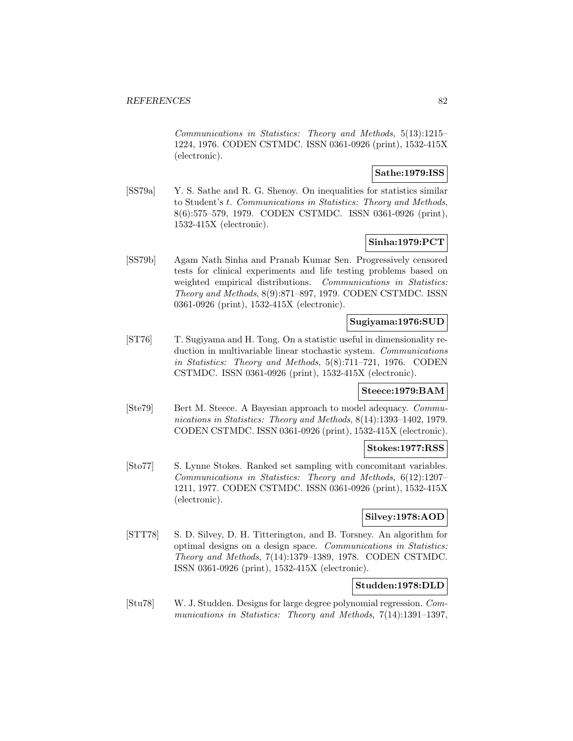Communications in Statistics: Theory and Methods, 5(13):1215– 1224, 1976. CODEN CSTMDC. ISSN 0361-0926 (print), 1532-415X (electronic).

## **Sathe:1979:ISS**

[SS79a] Y. S. Sathe and R. G. Shenoy. On inequalities for statistics similar to Student's t. Communications in Statistics: Theory and Methods, 8(6):575–579, 1979. CODEN CSTMDC. ISSN 0361-0926 (print), 1532-415X (electronic).

## **Sinha:1979:PCT**

[SS79b] Agam Nath Sinha and Pranab Kumar Sen. Progressively censored tests for clinical experiments and life testing problems based on weighted empirical distributions. Communications in Statistics: Theory and Methods, 8(9):871–897, 1979. CODEN CSTMDC. ISSN 0361-0926 (print), 1532-415X (electronic).

## **Sugiyama:1976:SUD**

[ST76] T. Sugiyama and H. Tong. On a statistic useful in dimensionality reduction in multivariable linear stochastic system. Communications in Statistics: Theory and Methods, 5(8):711–721, 1976. CODEN CSTMDC. ISSN 0361-0926 (print), 1532-415X (electronic).

## **Steece:1979:BAM**

[Ste79] Bert M. Steece. A Bayesian approach to model adequacy. Communications in Statistics: Theory and Methods, 8(14):1393–1402, 1979. CODEN CSTMDC. ISSN 0361-0926 (print), 1532-415X (electronic).

### **Stokes:1977:RSS**

[Sto77] S. Lynne Stokes. Ranked set sampling with concomitant variables. Communications in Statistics: Theory and Methods, 6(12):1207– 1211, 1977. CODEN CSTMDC. ISSN 0361-0926 (print), 1532-415X (electronic).

## **Silvey:1978:AOD**

[STT78] S. D. Silvey, D. H. Titterington, and B. Torsney. An algorithm for optimal designs on a design space. Communications in Statistics: Theory and Methods, 7(14):1379–1389, 1978. CODEN CSTMDC. ISSN 0361-0926 (print), 1532-415X (electronic).

# **Studden:1978:DLD**

[Stu78] W. J. Studden. Designs for large degree polynomial regression. Communications in Statistics: Theory and Methods, 7(14):1391-1397,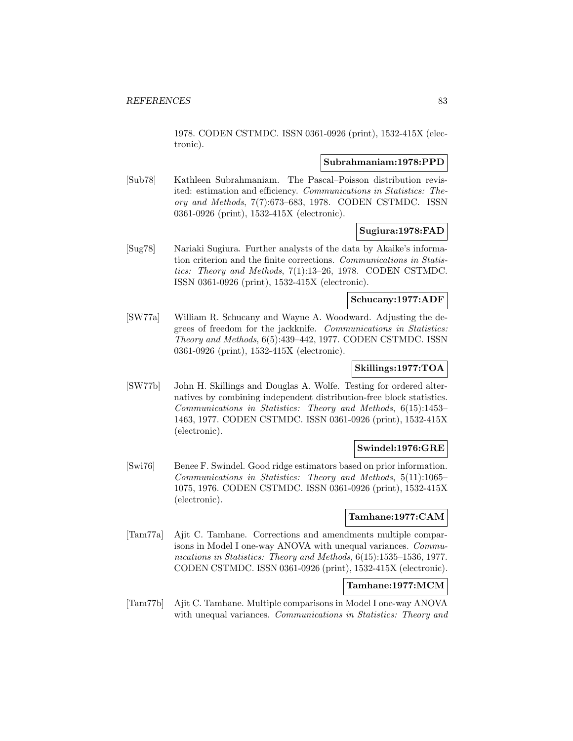1978. CODEN CSTMDC. ISSN 0361-0926 (print), 1532-415X (electronic).

#### **Subrahmaniam:1978:PPD**

[Sub78] Kathleen Subrahmaniam. The Pascal–Poisson distribution revisited: estimation and efficiency. Communications in Statistics: Theory and Methods, 7(7):673–683, 1978. CODEN CSTMDC. ISSN 0361-0926 (print), 1532-415X (electronic).

## **Sugiura:1978:FAD**

[Sug78] Nariaki Sugiura. Further analysts of the data by Akaike's information criterion and the finite corrections. Communications in Statistics: Theory and Methods, 7(1):13–26, 1978. CODEN CSTMDC. ISSN 0361-0926 (print), 1532-415X (electronic).

### **Schucany:1977:ADF**

[SW77a] William R. Schucany and Wayne A. Woodward. Adjusting the degrees of freedom for the jackknife. Communications in Statistics: Theory and Methods, 6(5):439–442, 1977. CODEN CSTMDC. ISSN 0361-0926 (print), 1532-415X (electronic).

## **Skillings:1977:TOA**

[SW77b] John H. Skillings and Douglas A. Wolfe. Testing for ordered alternatives by combining independent distribution-free block statistics. Communications in Statistics: Theory and Methods, 6(15):1453– 1463, 1977. CODEN CSTMDC. ISSN 0361-0926 (print), 1532-415X (electronic).

### **Swindel:1976:GRE**

[Swi76] Benee F. Swindel. Good ridge estimators based on prior information. Communications in Statistics: Theory and Methods, 5(11):1065– 1075, 1976. CODEN CSTMDC. ISSN 0361-0926 (print), 1532-415X (electronic).

### **Tamhane:1977:CAM**

[Tam77a] Ajit C. Tamhane. Corrections and amendments multiple comparisons in Model I one-way ANOVA with unequal variances. Communications in Statistics: Theory and Methods, 6(15):1535–1536, 1977. CODEN CSTMDC. ISSN 0361-0926 (print), 1532-415X (electronic).

## **Tamhane:1977:MCM**

[Tam77b] Ajit C. Tamhane. Multiple comparisons in Model I one-way ANOVA with unequal variances. *Communications in Statistics: Theory and*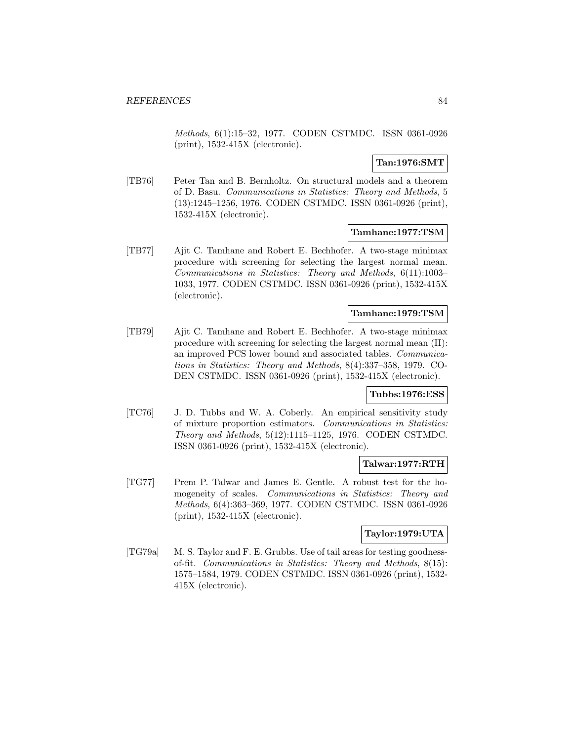Methods, 6(1):15–32, 1977. CODEN CSTMDC. ISSN 0361-0926 (print), 1532-415X (electronic).

## **Tan:1976:SMT**

[TB76] Peter Tan and B. Bernholtz. On structural models and a theorem of D. Basu. Communications in Statistics: Theory and Methods, 5 (13):1245–1256, 1976. CODEN CSTMDC. ISSN 0361-0926 (print), 1532-415X (electronic).

### **Tamhane:1977:TSM**

[TB77] Ajit C. Tamhane and Robert E. Bechhofer. A two-stage minimax procedure with screening for selecting the largest normal mean. Communications in Statistics: Theory and Methods, 6(11):1003– 1033, 1977. CODEN CSTMDC. ISSN 0361-0926 (print), 1532-415X (electronic).

### **Tamhane:1979:TSM**

[TB79] Ajit C. Tamhane and Robert E. Bechhofer. A two-stage minimax procedure with screening for selecting the largest normal mean (II): an improved PCS lower bound and associated tables. Communications in Statistics: Theory and Methods, 8(4):337–358, 1979. CO-DEN CSTMDC. ISSN 0361-0926 (print), 1532-415X (electronic).

### **Tubbs:1976:ESS**

[TC76] J. D. Tubbs and W. A. Coberly. An empirical sensitivity study of mixture proportion estimators. Communications in Statistics: Theory and Methods, 5(12):1115–1125, 1976. CODEN CSTMDC. ISSN 0361-0926 (print), 1532-415X (electronic).

### **Talwar:1977:RTH**

[TG77] Prem P. Talwar and James E. Gentle. A robust test for the homogeneity of scales. Communications in Statistics: Theory and Methods, 6(4):363–369, 1977. CODEN CSTMDC. ISSN 0361-0926 (print), 1532-415X (electronic).

### **Taylor:1979:UTA**

[TG79a] M. S. Taylor and F. E. Grubbs. Use of tail areas for testing goodnessof-fit. Communications in Statistics: Theory and Methods, 8(15): 1575–1584, 1979. CODEN CSTMDC. ISSN 0361-0926 (print), 1532- 415X (electronic).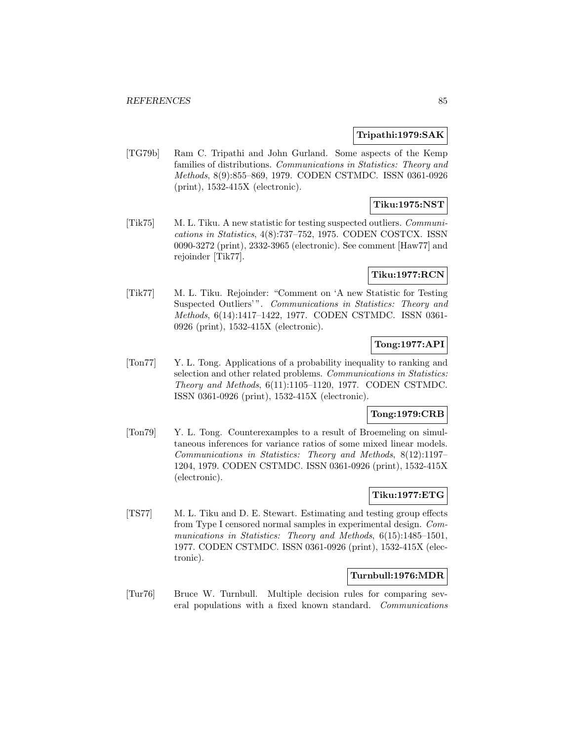### **Tripathi:1979:SAK**

[TG79b] Ram C. Tripathi and John Gurland. Some aspects of the Kemp families of distributions. Communications in Statistics: Theory and Methods, 8(9):855–869, 1979. CODEN CSTMDC. ISSN 0361-0926 (print), 1532-415X (electronic).

# **Tiku:1975:NST**

[Tik75] M. L. Tiku. A new statistic for testing suspected outliers. Communications in Statistics, 4(8):737–752, 1975. CODEN COSTCX. ISSN 0090-3272 (print), 2332-3965 (electronic). See comment [Haw77] and rejoinder [Tik77].

### **Tiku:1977:RCN**

[Tik77] M. L. Tiku. Rejoinder: "Comment on 'A new Statistic for Testing Suspected Outliers'". Communications in Statistics: Theory and Methods, 6(14):1417–1422, 1977. CODEN CSTMDC. ISSN 0361- 0926 (print), 1532-415X (electronic).

## **Tong:1977:API**

[Ton77] Y. L. Tong. Applications of a probability inequality to ranking and selection and other related problems. Communications in Statistics: Theory and Methods, 6(11):1105–1120, 1977. CODEN CSTMDC. ISSN 0361-0926 (print), 1532-415X (electronic).

## **Tong:1979:CRB**

[Ton79] Y. L. Tong. Counterexamples to a result of Broemeling on simultaneous inferences for variance ratios of some mixed linear models. Communications in Statistics: Theory and Methods, 8(12):1197– 1204, 1979. CODEN CSTMDC. ISSN 0361-0926 (print), 1532-415X (electronic).

## **Tiku:1977:ETG**

[TS77] M. L. Tiku and D. E. Stewart. Estimating and testing group effects from Type I censored normal samples in experimental design. Communications in Statistics: Theory and Methods, 6(15):1485-1501, 1977. CODEN CSTMDC. ISSN 0361-0926 (print), 1532-415X (electronic).

## **Turnbull:1976:MDR**

[Tur76] Bruce W. Turnbull. Multiple decision rules for comparing several populations with a fixed known standard. Communications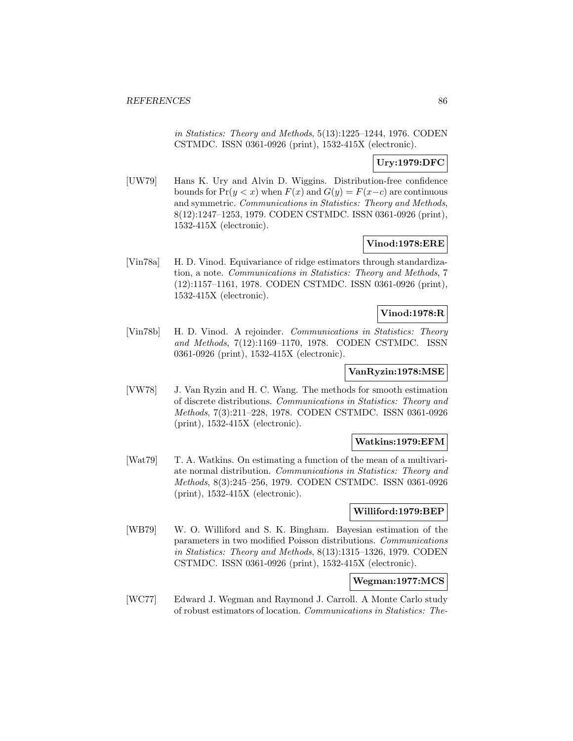in Statistics: Theory and Methods, 5(13):1225–1244, 1976. CODEN CSTMDC. ISSN 0361-0926 (print), 1532-415X (electronic).

## **Ury:1979:DFC**

[UW79] Hans K. Ury and Alvin D. Wiggins. Distribution-free confidence bounds for  $Pr(y < x)$  when  $F(x)$  and  $G(y) = F(x-c)$  are continuous and symmetric. Communications in Statistics: Theory and Methods, 8(12):1247–1253, 1979. CODEN CSTMDC. ISSN 0361-0926 (print), 1532-415X (electronic).

## **Vinod:1978:ERE**

[Vin78a] H. D. Vinod. Equivariance of ridge estimators through standardization, a note. Communications in Statistics: Theory and Methods, 7 (12):1157–1161, 1978. CODEN CSTMDC. ISSN 0361-0926 (print), 1532-415X (electronic).

### **Vinod:1978:R**

[Vin78b] H. D. Vinod. A rejoinder. Communications in Statistics: Theory and Methods, 7(12):1169–1170, 1978. CODEN CSTMDC. ISSN 0361-0926 (print), 1532-415X (electronic).

## **VanRyzin:1978:MSE**

[VW78] J. Van Ryzin and H. C. Wang. The methods for smooth estimation of discrete distributions. Communications in Statistics: Theory and Methods, 7(3):211–228, 1978. CODEN CSTMDC. ISSN 0361-0926 (print), 1532-415X (electronic).

### **Watkins:1979:EFM**

[Wat79] T. A. Watkins. On estimating a function of the mean of a multivariate normal distribution. Communications in Statistics: Theory and Methods, 8(3):245–256, 1979. CODEN CSTMDC. ISSN 0361-0926 (print), 1532-415X (electronic).

## **Williford:1979:BEP**

[WB79] W. O. Williford and S. K. Bingham. Bayesian estimation of the parameters in two modified Poisson distributions. Communications in Statistics: Theory and Methods, 8(13):1315–1326, 1979. CODEN CSTMDC. ISSN 0361-0926 (print), 1532-415X (electronic).

# **Wegman:1977:MCS**

[WC77] Edward J. Wegman and Raymond J. Carroll. A Monte Carlo study of robust estimators of location. Communications in Statistics: The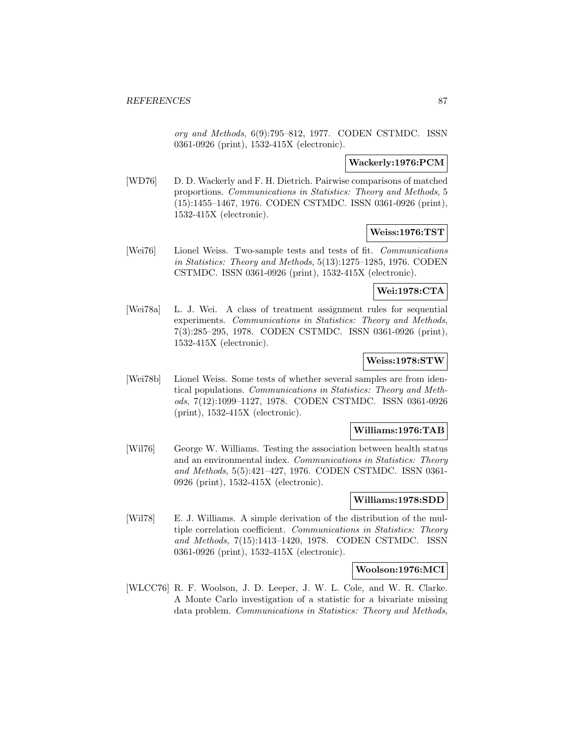ory and Methods, 6(9):795–812, 1977. CODEN CSTMDC. ISSN 0361-0926 (print), 1532-415X (electronic).

#### **Wackerly:1976:PCM**

[WD76] D. D. Wackerly and F. H. Dietrich. Pairwise comparisons of matched proportions. Communications in Statistics: Theory and Methods, 5 (15):1455–1467, 1976. CODEN CSTMDC. ISSN 0361-0926 (print), 1532-415X (electronic).

#### **Weiss:1976:TST**

[Wei76] Lionel Weiss. Two-sample tests and tests of fit. Communications in Statistics: Theory and Methods, 5(13):1275–1285, 1976. CODEN CSTMDC. ISSN 0361-0926 (print), 1532-415X (electronic).

### **Wei:1978:CTA**

[Wei78a] L. J. Wei. A class of treatment assignment rules for sequential experiments. Communications in Statistics: Theory and Methods, 7(3):285–295, 1978. CODEN CSTMDC. ISSN 0361-0926 (print), 1532-415X (electronic).

## **Weiss:1978:STW**

[Wei78b] Lionel Weiss. Some tests of whether several samples are from identical populations. Communications in Statistics: Theory and Methods, 7(12):1099–1127, 1978. CODEN CSTMDC. ISSN 0361-0926 (print), 1532-415X (electronic).

### **Williams:1976:TAB**

[Wil76] George W. Williams. Testing the association between health status and an environmental index. Communications in Statistics: Theory and Methods, 5(5):421–427, 1976. CODEN CSTMDC. ISSN 0361- 0926 (print), 1532-415X (electronic).

#### **Williams:1978:SDD**

[Wil78] E. J. Williams. A simple derivation of the distribution of the multiple correlation coefficient. Communications in Statistics: Theory and Methods, 7(15):1413–1420, 1978. CODEN CSTMDC. ISSN 0361-0926 (print), 1532-415X (electronic).

### **Woolson:1976:MCI**

[WLCC76] R. F. Woolson, J. D. Leeper, J. W. L. Cole, and W. R. Clarke. A Monte Carlo investigation of a statistic for a bivariate missing data problem. Communications in Statistics: Theory and Methods,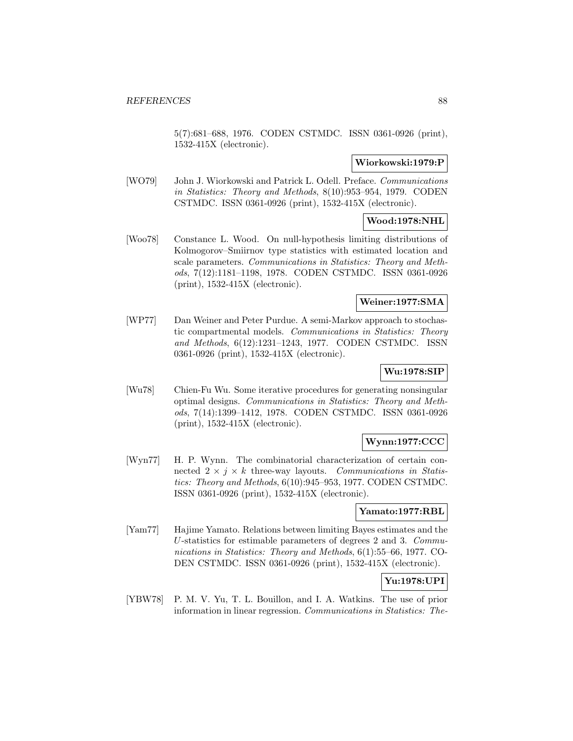5(7):681–688, 1976. CODEN CSTMDC. ISSN 0361-0926 (print), 1532-415X (electronic).

### **Wiorkowski:1979:P**

[WO79] John J. Wiorkowski and Patrick L. Odell. Preface. Communications in Statistics: Theory and Methods, 8(10):953–954, 1979. CODEN CSTMDC. ISSN 0361-0926 (print), 1532-415X (electronic).

## **Wood:1978:NHL**

[Woo78] Constance L. Wood. On null-hypothesis limiting distributions of Kolmogorov–Smiirnov type statistics with estimated location and scale parameters. Communications in Statistics: Theory and Methods, 7(12):1181–1198, 1978. CODEN CSTMDC. ISSN 0361-0926 (print), 1532-415X (electronic).

## **Weiner:1977:SMA**

[WP77] Dan Weiner and Peter Purdue. A semi-Markov approach to stochastic compartmental models. Communications in Statistics: Theory and Methods, 6(12):1231–1243, 1977. CODEN CSTMDC. ISSN 0361-0926 (print), 1532-415X (electronic).

## **Wu:1978:SIP**

[Wu78] Chien-Fu Wu. Some iterative procedures for generating nonsingular optimal designs. Communications in Statistics: Theory and Methods, 7(14):1399–1412, 1978. CODEN CSTMDC. ISSN 0361-0926 (print), 1532-415X (electronic).

## **Wynn:1977:CCC**

[Wyn77] H. P. Wynn. The combinatorial characterization of certain connected  $2 \times j \times k$  three-way layouts. Communications in Statistics: Theory and Methods, 6(10):945–953, 1977. CODEN CSTMDC. ISSN 0361-0926 (print), 1532-415X (electronic).

### **Yamato:1977:RBL**

[Yam77] Hajime Yamato. Relations between limiting Bayes estimates and the U-statistics for estimable parameters of degrees 2 and 3. Communications in Statistics: Theory and Methods, 6(1):55–66, 1977. CO-DEN CSTMDC. ISSN 0361-0926 (print), 1532-415X (electronic).

## **Yu:1978:UPI**

[YBW78] P. M. V. Yu, T. L. Bouillon, and I. A. Watkins. The use of prior information in linear regression. Communications in Statistics: The